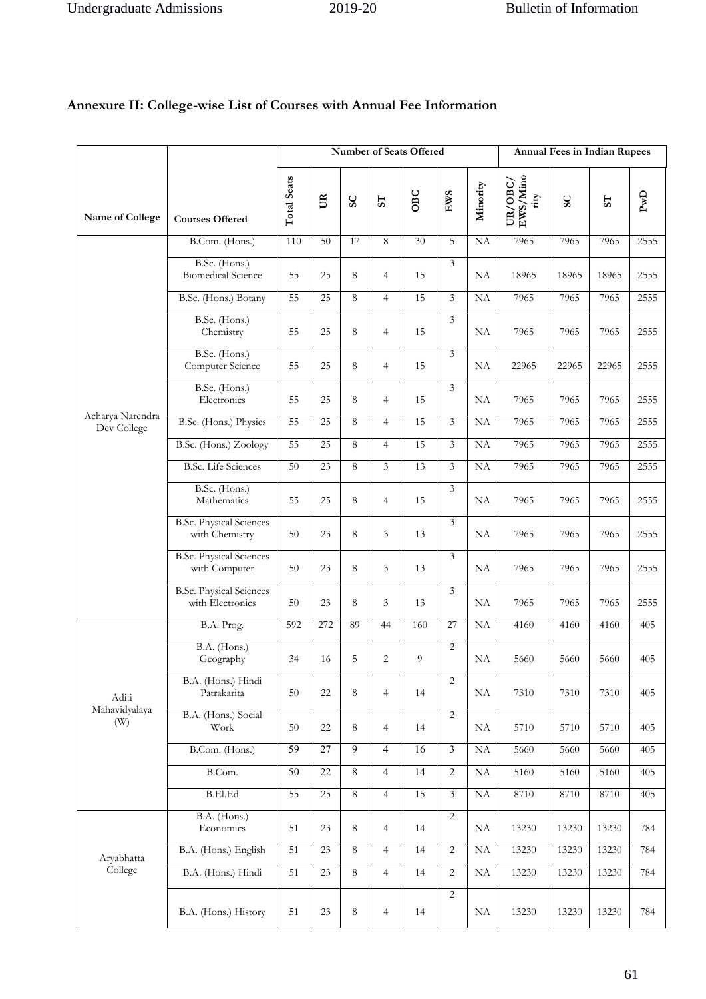|                                 |                                                    |                    |                 |                        |                | Number of Seats Offered |                         |           |                                      |                        | <b>Annual Fees in Indian Rupees</b> |                                                                          |
|---------------------------------|----------------------------------------------------|--------------------|-----------------|------------------------|----------------|-------------------------|-------------------------|-----------|--------------------------------------|------------------------|-------------------------------------|--------------------------------------------------------------------------|
| Name of College                 | <b>Courses Offered</b>                             | <b>Total Seats</b> | $U\mathbb{R}$   | $\mathsf{S}\mathsf{C}$ | 55             | OBC                     | EWS                     | Minority  | $\rm UR/OBC/$ $\rm EWS/Mino$<br>rity | $\mathsf{S}\mathsf{C}$ | $S_{T}$                             | $\ensuremath{\mathop{\text{\rm Pw}}\nolimits} \ensuremath{\text{\rm D}}$ |
|                                 | B.Com. (Hons.)                                     | 110                | 50              | 17                     | 8              | 30                      | 5                       | NA        | 7965                                 | 7965                   | 7965                                | 2555                                                                     |
|                                 | B.Sc. (Hons.)<br><b>Biomedical Science</b>         | 55                 | 25              | 8                      | $\overline{4}$ | 15                      | 3                       | NA        | 18965                                | 18965                  | 18965                               | 2555                                                                     |
|                                 | B.Sc. (Hons.) Botany                               | 55                 | 25              | 8                      | $\overline{4}$ | 15                      | 3                       | NA        | 7965                                 | 7965                   | 7965                                | 2555                                                                     |
|                                 | B.Sc. (Hons.)<br>Chemistry                         | 55                 | 25              | 8                      | $\overline{4}$ | 15                      | $\overline{3}$          | NA        | 7965                                 | 7965                   | 7965                                | 2555                                                                     |
|                                 | B.Sc. (Hons.)<br>Computer Science                  | 55                 | 25              | 8                      | $\overline{4}$ | 15                      | $\overline{3}$          | <b>NA</b> | 22965                                | 22965                  | 22965                               | 2555                                                                     |
|                                 | B.Sc. (Hons.)<br>Electronics                       | 55                 | 25              | 8                      | $\overline{4}$ | 15                      | $\overline{3}$          | NA        | 7965                                 | 7965                   | 7965                                | 2555                                                                     |
| Acharya Narendra<br>Dev College | B.Sc. (Hons.) Physics                              | 55                 | 25              | 8                      | $\overline{4}$ | 15                      | 3                       | NA        | 7965                                 | 7965                   | 7965                                | 2555                                                                     |
|                                 | B.Sc. (Hons.) Zoology                              | 55                 | 25              | 8                      | $\overline{4}$ | 15                      | $\overline{3}$          | NA        | 7965                                 | 7965                   | 7965                                | 2555                                                                     |
|                                 | <b>B.Sc.</b> Life Sciences                         | 50                 | 23              | 8                      | 3              | 13                      | $\overline{3}$          | <b>NA</b> | 7965                                 | 7965                   | 7965                                | 2555                                                                     |
|                                 | B.Sc. (Hons.)<br>Mathematics                       | 55                 | 25              | 8                      | $\overline{4}$ | 15                      | 3                       | <b>NA</b> | 7965                                 | 7965                   | 7965                                | 2555                                                                     |
|                                 | <b>B.Sc. Physical Sciences</b><br>with Chemistry   | 50                 | 23              | 8                      | 3              | 13                      | $\overline{3}$          | NA        | 7965                                 | 7965                   | 7965                                | 2555                                                                     |
|                                 | <b>B.Sc. Physical Sciences</b><br>with Computer    | 50                 | 23              | 8                      | 3              | 13                      | 3                       | NA        | 7965                                 | 7965                   | 7965                                | 2555                                                                     |
|                                 | <b>B.Sc. Physical Sciences</b><br>with Electronics | 50                 | 23              | 8                      | 3              | 13                      | $\overline{3}$          | NA        | 7965                                 | 7965                   | 7965                                | 2555                                                                     |
|                                 | B.A. Prog.                                         | 592                | 272             | 89                     | 44             | 160                     | 27                      | NA        | 4160                                 | 4160                   | 4160                                | 405                                                                      |
|                                 | B.A. (Hons.)<br>Geography                          | 34                 | 16              | 5                      | $\overline{2}$ | 9                       | 2                       | NA        | 5660                                 | 5660                   | 5660                                | 405                                                                      |
| Aditi                           | B.A. (Hons.) Hindi<br>Patrakarita                  | 50                 | 22              | 8                      | $\overline{4}$ | 14                      | 2                       | NA        | 7310                                 | 7310                   | 7310                                | 405                                                                      |
| Mahavidyalaya<br>(W)            | B.A. (Hons.) Social<br>Work                        | 50                 | 22              | 8                      | $\overline{4}$ | 14                      | 2                       | NA        | 5710                                 | 5710                   | 5710                                | 405                                                                      |
|                                 | B.Com. (Hons.)                                     | 59                 | 27              | 9                      | $\overline{4}$ | 16                      | $\overline{\mathbf{3}}$ | $\rm NA$  | 5660                                 | 5660                   | 5660                                | 405                                                                      |
|                                 | B.Com.                                             | $\overline{50}$    | $\overline{22}$ | $\,$ 8 $\,$            | $\overline{4}$ | $\overline{14}$         | $\overline{2}$          | NA        | 5160                                 | 5160                   | 5160                                | 405                                                                      |
|                                 | <b>B.El.Ed</b>                                     | 55                 | $\overline{25}$ | 8                      | $\overline{4}$ | 15                      | $\mathfrak{Z}$          | NA        | 8710                                 | 8710                   | 8710                                | 405                                                                      |
|                                 | B.A. (Hons.)<br>Economics                          | 51                 | 23              | 8                      | $\overline{4}$ | 14                      | 2                       | NA        | 13230                                | 13230                  | 13230                               | 784                                                                      |
| Aryabhatta                      | B.A. (Hons.) English                               | 51                 | 23              | $\,8\,$                | $\overline{4}$ | 14                      | $\overline{2}$          | NA        | 13230                                | 13230                  | 13230                               | 784                                                                      |
| College                         | B.A. (Hons.) Hindi                                 | 51                 | 23              | 8                      | $\overline{4}$ | 14                      | $\overline{2}$          | NA        | 13230                                | 13230                  | 13230                               | 784                                                                      |
|                                 | B.A. (Hons.) History                               | 51                 | 23              | 8                      | 4              | 14                      | $\overline{2}$          | NA        | 13230                                | 13230                  | 13230                               | 784                                                                      |

## **Annexure II: College-wise List of Courses with Annual Fee Information**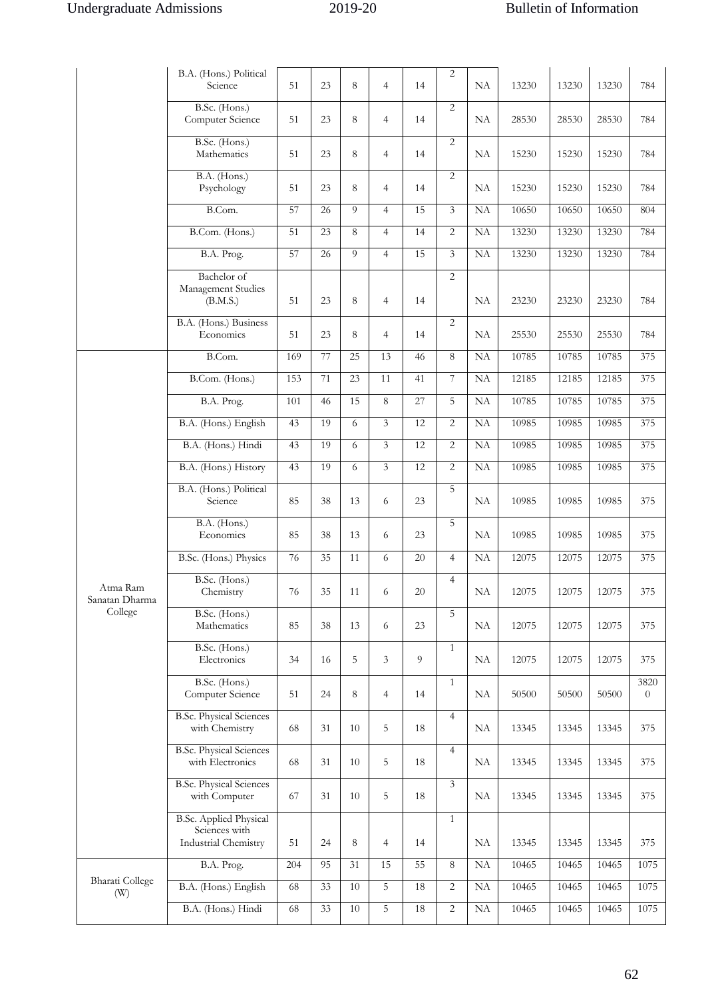|                            | B.A. (Hons.) Political<br>Science                                      | 51     | 23 | 8  | $\overline{4}$ | 14     | 2              | NA       | 13230 | 13230 | 13230 | 784                    |
|----------------------------|------------------------------------------------------------------------|--------|----|----|----------------|--------|----------------|----------|-------|-------|-------|------------------------|
|                            | B.Sc. (Hons.)<br>Computer Science                                      | 51     | 23 | 8  | $\overline{4}$ | 14     | 2              | NA       | 28530 | 28530 | 28530 | 784                    |
|                            | B.Sc. (Hons.)<br>Mathematics                                           | 51     | 23 | 8  | $\overline{4}$ | 14     | $\overline{2}$ | NA       | 15230 | 15230 | 15230 | 784                    |
|                            | B.A. (Hons.)<br>Psychology                                             | 51     | 23 | 8  | $\overline{4}$ | 14     | 2              | NA       | 15230 | 15230 | 15230 | 784                    |
|                            | B.Com.                                                                 | 57     | 26 | 9  | $\overline{4}$ | 15     | 3              | NA       | 10650 | 10650 | 10650 | 804                    |
|                            | B.Com. (Hons.)                                                         | 51     | 23 | 8  | $\overline{4}$ | 14     | $\overline{2}$ | NA       | 13230 | 13230 | 13230 | 784                    |
|                            | B.A. Prog.                                                             | 57     | 26 | 9  | $\overline{4}$ | 15     | 3              | NA       | 13230 | 13230 | 13230 | 784                    |
|                            | Bachelor of<br>Management Studies<br>(B.M.S.)                          | 51     | 23 | 8  | $\overline{4}$ | 14     | 2              | NA       | 23230 | 23230 | 23230 | 784                    |
|                            | B.A. (Hons.) Business<br>Economics                                     | 51     | 23 | 8  | $\overline{4}$ | 14     | 2              | NA       | 25530 | 25530 | 25530 | 784                    |
|                            | B.Com.                                                                 | 169    | 77 | 25 | 13             | 46     | 8              | NA       | 10785 | 10785 | 10785 | 375                    |
|                            | B.Com. (Hons.)                                                         | 153    | 71 | 23 | 11             | 41     | 7              | NA       | 12185 | 12185 | 12185 | 375                    |
|                            | B.A. Prog.                                                             | 101    | 46 | 15 | 8              | 27     | 5              | NA       | 10785 | 10785 | 10785 | 375                    |
|                            | B.A. (Hons.) English                                                   | 43     | 19 | 6  | $\overline{3}$ | 12     | 2              | NA       | 10985 | 10985 | 10985 | 375                    |
|                            | B.A. (Hons.) Hindi                                                     | 43     | 19 | 6  | 3              | 12     | $\overline{c}$ | NA       | 10985 | 10985 | 10985 | 375                    |
|                            | B.A. (Hons.) History                                                   | 43     | 19 | 6  | $\overline{3}$ | 12     | $\overline{2}$ | NA       | 10985 | 10985 | 10985 | 375                    |
|                            | B.A. (Hons.) Political<br>Science                                      | 85     | 38 | 13 | 6              | 23     | 5              | NA       | 10985 | 10985 | 10985 | 375                    |
|                            | B.A. (Hons.)<br>Economics                                              | 85     | 38 | 13 | 6              | 23     | 5              | NA       | 10985 | 10985 | 10985 | 375                    |
|                            | B.Sc. (Hons.) Physics                                                  | 76     | 35 | 11 | 6              | 20     | $\overline{4}$ | NA       | 12075 | 12075 | 12075 | 375                    |
| Atma Ram<br>Sanatan Dharma | B.Sc. (Hons.)<br>Chemistry                                             | $76\,$ | 35 | 11 | 6              | $20\,$ | 4              | $\rm NA$ | 12075 | 12075 | 12075 | 375                    |
| College                    | B.Sc. (Hons.)<br>Mathematics                                           | 85     | 38 | 13 | 6              | 23     | 5              | NA       | 12075 | 12075 | 12075 | 375                    |
|                            | B.Sc. (Hons.)<br>Electronics                                           | 34     | 16 | 5  | 3              | 9      | $\mathbf{1}$   | NA       | 12075 | 12075 | 12075 | 375                    |
|                            | B.Sc. (Hons.)<br>Computer Science                                      | 51     | 24 | 8  | $\overline{4}$ | 14     | $\mathbf{1}$   | NA       | 50500 | 50500 | 50500 | 3820<br>$\overline{0}$ |
|                            | <b>B.Sc. Physical Sciences</b><br>with Chemistry                       | 68     | 31 | 10 | 5              | 18     | $\overline{4}$ | NA       | 13345 | 13345 | 13345 | 375                    |
|                            | <b>B.Sc. Physical Sciences</b><br>with Electronics                     | 68     | 31 | 10 | 5              | 18     | $\overline{4}$ | NA       | 13345 | 13345 | 13345 | 375                    |
|                            | <b>B.Sc. Physical Sciences</b><br>with Computer                        | 67     | 31 | 10 | 5              | 18     | 3              | NA       | 13345 | 13345 | 13345 | 375                    |
|                            | <b>B.Sc. Applied Physical</b><br>Sciences with<br>Industrial Chemistry | 51     | 24 | 8  | $\overline{4}$ | 14     | $\mathbf{1}$   | NA       | 13345 | 13345 | 13345 | 375                    |
|                            | B.A. Prog.                                                             | 204    | 95 | 31 | 15             | 55     | 8              | NA       | 10465 | 10465 | 10465 | 1075                   |
| Bharati College<br>(W)     | B.A. (Hons.) English                                                   | 68     | 33 | 10 | 5              | 18     | 2              | NA       | 10465 | 10465 | 10465 | 1075                   |
|                            | B.A. (Hons.) Hindi                                                     | 68     | 33 | 10 | 5              | 18     | $\overline{c}$ | NA       | 10465 | 10465 | 10465 | 1075                   |
|                            |                                                                        |        |    |    |                |        |                |          |       |       |       |                        |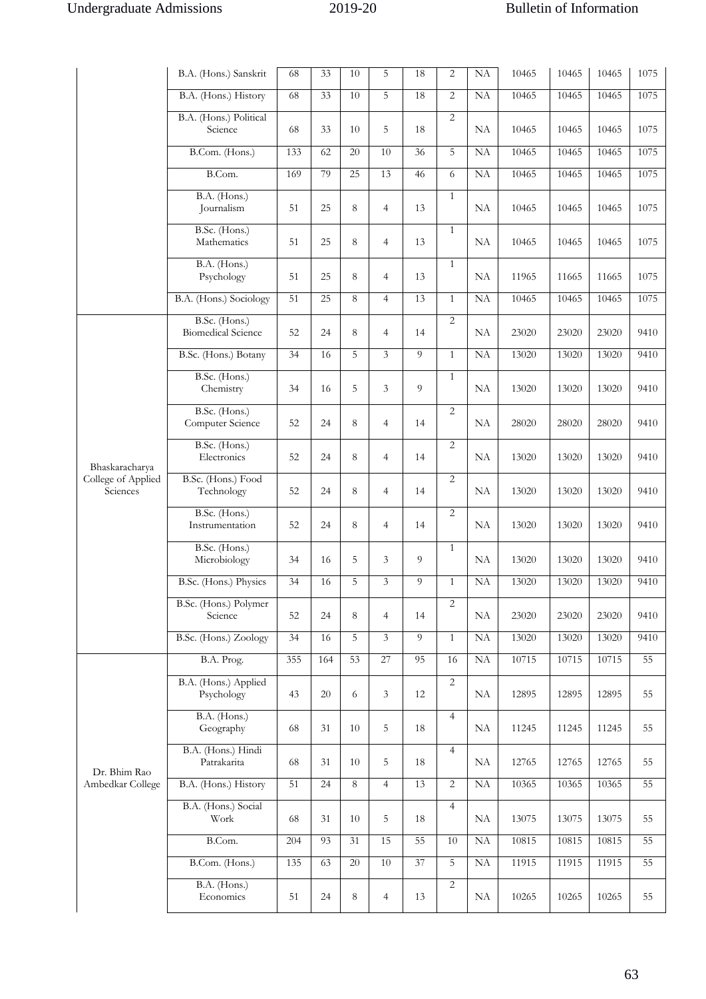|                                | B.A. (Hons.) Sanskrit                      | 68  | 33  | 10 | 5              | 18              | 2              | NA        | 10465 | 10465 | 10465 | 1075 |
|--------------------------------|--------------------------------------------|-----|-----|----|----------------|-----------------|----------------|-----------|-------|-------|-------|------|
|                                | B.A. (Hons.) History                       | 68  | 33  | 10 | 5              | 18              | $\overline{2}$ | <b>NA</b> | 10465 | 10465 | 10465 | 1075 |
|                                | B.A. (Hons.) Political<br>Science          | 68  | 33  | 10 | 5              | 18              | $\overline{2}$ | NA        | 10465 | 10465 | 10465 | 1075 |
|                                | B.Com. (Hons.)                             | 133 | 62  | 20 | 10             | 36              | 5              | NA        | 10465 | 10465 | 10465 | 1075 |
|                                | B.Com.                                     | 169 | 79  | 25 | 13             | 46              | 6              | <b>NA</b> | 10465 | 10465 | 10465 | 1075 |
|                                | B.A. (Hons.)<br>Journalism                 | 51  | 25  | 8  | $\overline{4}$ | 13              | $\mathbf{1}$   | NA        | 10465 | 10465 | 10465 | 1075 |
|                                | B.Sc. (Hons.)<br>Mathematics               | 51  | 25  | 8  | $\overline{4}$ | 13              | $\mathbf{1}$   | NA        | 10465 | 10465 | 10465 | 1075 |
|                                | B.A. (Hons.)<br>Psychology                 | 51  | 25  | 8  | $\overline{4}$ | 13              | $\mathbf{1}$   | NA        | 11965 | 11665 | 11665 | 1075 |
|                                | B.A. (Hons.) Sociology                     | 51  | 25  | 8  | $\overline{4}$ | 13              | $\mathbf{1}$   | NA        | 10465 | 10465 | 10465 | 1075 |
|                                | B.Sc. (Hons.)<br><b>Biomedical Science</b> | 52  | 24  | 8  | $\overline{4}$ | 14              | $\overline{2}$ | NA        | 23020 | 23020 | 23020 | 9410 |
|                                | B.Sc. (Hons.) Botany                       | 34  | 16  | 5  | $\overline{3}$ | 9               | $\mathbf{1}$   | NA        | 13020 | 13020 | 13020 | 9410 |
|                                | B.Sc. (Hons.)<br>Chemistry                 | 34  | 16  | 5  | 3              | 9               | $\mathbf{1}$   | NA        | 13020 | 13020 | 13020 | 9410 |
|                                | B.Sc. (Hons.)<br>Computer Science          | 52  | 24  | 8  | $\overline{4}$ | 14              | $\overline{c}$ | NA        | 28020 | 28020 | 28020 | 9410 |
| Bhaskaracharya                 | B.Sc. (Hons.)<br>Electronics               | 52  | 24  | 8  | $\overline{4}$ | 14              | $\overline{2}$ | NA        | 13020 | 13020 | 13020 | 9410 |
| College of Applied<br>Sciences | B.Sc. (Hons.) Food<br>Technology           | 52  | 24  | 8  | $\overline{4}$ | 14              | $\overline{c}$ | NA        | 13020 | 13020 | 13020 | 9410 |
|                                | B.Sc. (Hons.)<br>Instrumentation           | 52  | 24  | 8  | $\overline{4}$ | 14              | $\overline{2}$ | NA        | 13020 | 13020 | 13020 | 9410 |
|                                | B.Sc. (Hons.)<br>Microbiology              | 34  | 16  | 5  | 3              | 9               | $\mathbf{1}$   | NA        | 13020 | 13020 | 13020 | 9410 |
|                                | B.Sc. (Hons.) Physics                      | 34  | 16  | 5  | 3              | 9               | $\mathbf{1}$   | NA        | 13020 | 13020 | 13020 | 9410 |
|                                | B.Sc. (Hons.) Polymer<br>Science           | 52  | 24  | 8  | $\overline{4}$ | 14              | $\overline{2}$ | NA        | 23020 | 23020 | 23020 | 9410 |
|                                | B.Sc. (Hons.) Zoology                      | 34  | 16  | 5  | 3              | 9               | $\mathbf{1}$   | NA        | 13020 | 13020 | 13020 | 9410 |
|                                | B.A. Prog.                                 | 355 | 164 | 53 | 27             | 95              | 16             | NA        | 10715 | 10715 | 10715 | 55   |
|                                | B.A. (Hons.) Applied<br>Psychology         | 43  | 20  | 6  | 3              | 12              | 2              | NA        | 12895 | 12895 | 12895 | 55   |
|                                | B.A. (Hons.)<br>Geography                  | 68  | 31  | 10 | 5              | 18              | $\overline{4}$ | NA        | 11245 | 11245 | 11245 | 55   |
| Dr. Bhim Rao                   | B.A. (Hons.) Hindi<br>Patrakarita          | 68  | 31  | 10 | 5              | 18              | $\overline{4}$ | NA        | 12765 | 12765 | 12765 | 55   |
| Ambedkar College               | B.A. (Hons.) History                       | 51  | 24  | 8  | $\overline{4}$ | 13              | $\overline{2}$ | NA        | 10365 | 10365 | 10365 | 55   |
|                                | B.A. (Hons.) Social<br>Work                | 68  | 31  | 10 | 5              | 18              | $\overline{4}$ | NA        | 13075 | 13075 | 13075 | 55   |
|                                | B.Com.                                     | 204 | 93  | 31 | 15             | 55              | 10             | NA        | 10815 | 10815 | 10815 | 55   |
|                                | B.Com. (Hons.)                             | 135 | 63  | 20 | $10\,$         | $\overline{37}$ | 5              | NA        | 11915 | 11915 | 11915 | 55   |
|                                | B.A. (Hons.)<br>Economics                  | 51  | 24  | 8  | 4              | 13              | $\overline{c}$ | NA        | 10265 | 10265 | 10265 | 55   |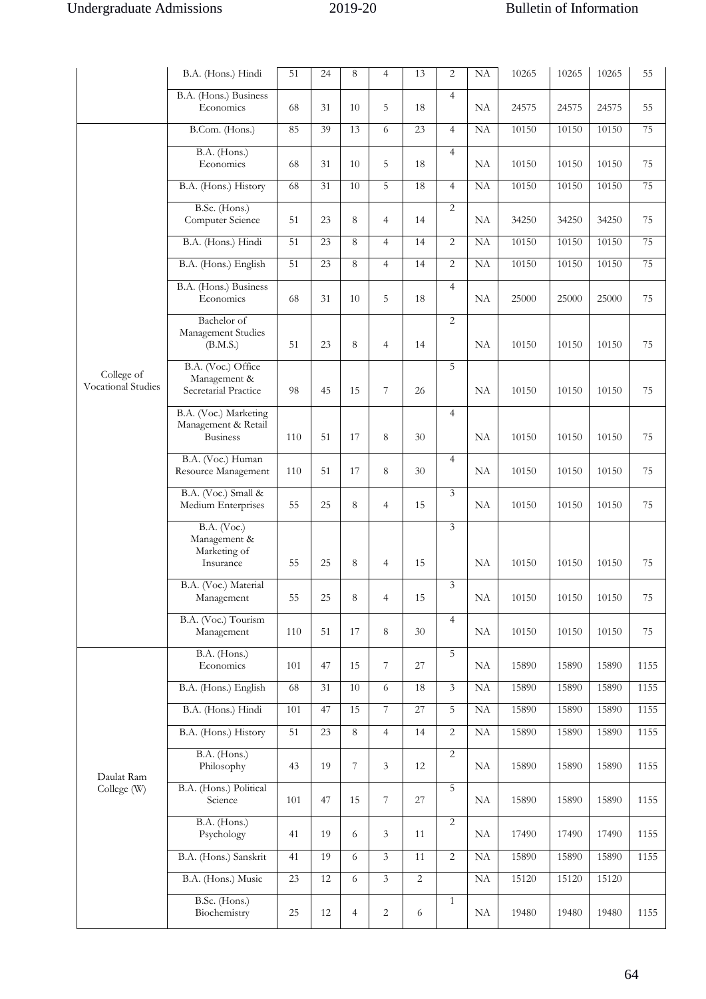|                                  | B.A. (Hons.) Hindi                                              | 51  | 24 | 8      | $\overline{4}$ | 13             | 2              | <b>NA</b> | 10265 | 10265 | 10265 | 55   |
|----------------------------------|-----------------------------------------------------------------|-----|----|--------|----------------|----------------|----------------|-----------|-------|-------|-------|------|
|                                  | B.A. (Hons.) Business<br>Economics                              | 68  | 31 | 10     | 5              | 18             | $\overline{4}$ | NA        | 24575 | 24575 | 24575 | 55   |
|                                  | B.Com. (Hons.)                                                  | 85  | 39 | 13     | 6              | 23             | $\overline{4}$ | NA        | 10150 | 10150 | 10150 | 75   |
|                                  | B.A. (Hons.)<br>Economics                                       | 68  | 31 | 10     | 5              | 18             | $\overline{4}$ | NA        | 10150 | 10150 | 10150 | 75   |
|                                  | B.A. (Hons.) History                                            | 68  | 31 | 10     | 5              | 18             | $\overline{4}$ | NA        | 10150 | 10150 | 10150 | 75   |
|                                  | B.Sc. (Hons.)<br>Computer Science                               | 51  | 23 | 8      | $\overline{4}$ | 14             | $\overline{2}$ | NA        | 34250 | 34250 | 34250 | 75   |
|                                  | B.A. (Hons.) Hindi                                              | 51  | 23 | 8      | $\overline{4}$ | 14             | $\overline{2}$ | NA        | 10150 | 10150 | 10150 | 75   |
|                                  | B.A. (Hons.) English                                            | 51  | 23 | 8      | $\overline{4}$ | 14             | $\overline{2}$ | NA        | 10150 | 10150 | 10150 | 75   |
|                                  | B.A. (Hons.) Business<br>Economics                              | 68  | 31 | 10     | 5              | 18             | $\overline{4}$ | <b>NA</b> | 25000 | 25000 | 25000 | 75   |
|                                  | Bachelor of<br>Management Studies<br>(B.M.S.)                   | 51  | 23 | 8      | $\overline{4}$ | 14             | $\overline{2}$ | <b>NA</b> | 10150 | 10150 | 10150 | 75   |
| College of<br>Vocational Studies | B.A. (Voc.) Office<br>Management &<br>Secretarial Practice      | 98  | 45 | 15     | 7              | 26             | 5              | NA        | 10150 | 10150 | 10150 | 75   |
|                                  | B.A. (Voc.) Marketing<br>Management & Retail<br><b>Business</b> | 110 | 51 | 17     | 8              | 30             | $\overline{4}$ | <b>NA</b> | 10150 | 10150 | 10150 | 75   |
|                                  | B.A. (Voc.) Human<br>Resource Management                        | 110 | 51 | 17     | 8              | 30             | $\overline{4}$ | <b>NA</b> | 10150 | 10150 | 10150 | 75   |
|                                  | B.A. (Voc.) Small &<br>Medium Enterprises                       | 55  | 25 | 8      | $\overline{4}$ | 15             | 3              | <b>NA</b> | 10150 | 10150 | 10150 | 75   |
|                                  | <b>B.A.</b> (Voc.)<br>Management &<br>Marketing of<br>Insurance | 55  | 25 | 8      | $\overline{4}$ | 15             | 3              | <b>NA</b> | 10150 | 10150 | 10150 | 75   |
|                                  | B.A. (Voc.) Material<br>Management                              | 55  | 25 | 8      | $\overline{4}$ | 15             | 3              | $\rm NA$  | 10150 | 10150 | 10150 | 75   |
|                                  | B.A. (Voc.) Tourism<br>Management                               | 110 | 51 | 17     | 8              | 30             | $\overline{4}$ | NA        | 10150 | 10150 | 10150 | 75   |
|                                  | B.A. (Hons.)<br>Economics                                       | 101 | 47 | 15     | $\overline{7}$ | 27             | 5              | NA        | 15890 | 15890 | 15890 | 1155 |
|                                  | B.A. (Hons.) English                                            | 68  | 31 | $10\,$ | 6              | 18             | $\overline{3}$ | NA        | 15890 | 15890 | 15890 | 1155 |
|                                  | B.A. (Hons.) Hindi                                              | 101 | 47 | 15     | $\overline{7}$ | 27             | 5              | NA        | 15890 | 15890 | 15890 | 1155 |
|                                  | B.A. (Hons.) History                                            | 51  | 23 | $8\,$  | $\overline{4}$ | 14             | $\overline{c}$ | NA        | 15890 | 15890 | 15890 | 1155 |
| Daulat Ram                       | B.A. (Hons.)<br>Philosophy                                      | 43  | 19 | 7      | 3              | 12             | $\overline{2}$ | NA        | 15890 | 15890 | 15890 | 1155 |
| College (W)                      | B.A. (Hons.) Political<br>Science                               | 101 | 47 | 15     | 7              | 27             | 5              | NA        | 15890 | 15890 | 15890 | 1155 |
|                                  | B.A. (Hons.)<br>Psychology                                      | 41  | 19 | 6      | 3              | 11             | $\overline{2}$ | NA        | 17490 | 17490 | 17490 | 1155 |
|                                  | B.A. (Hons.) Sanskrit                                           | 41  | 19 | 6      | $\overline{3}$ | 11             | $\overline{2}$ | NA        | 15890 | 15890 | 15890 | 1155 |
|                                  | B.A. (Hons.) Music                                              | 23  | 12 | 6      | 3              | $\overline{2}$ |                | <b>NA</b> | 15120 | 15120 | 15120 |      |
|                                  | B.Sc. (Hons.)<br>Biochemistry                                   | 25  | 12 | 4      | 2              | 6              | $\mathbf{1}$   | NA        | 19480 | 19480 | 19480 | 1155 |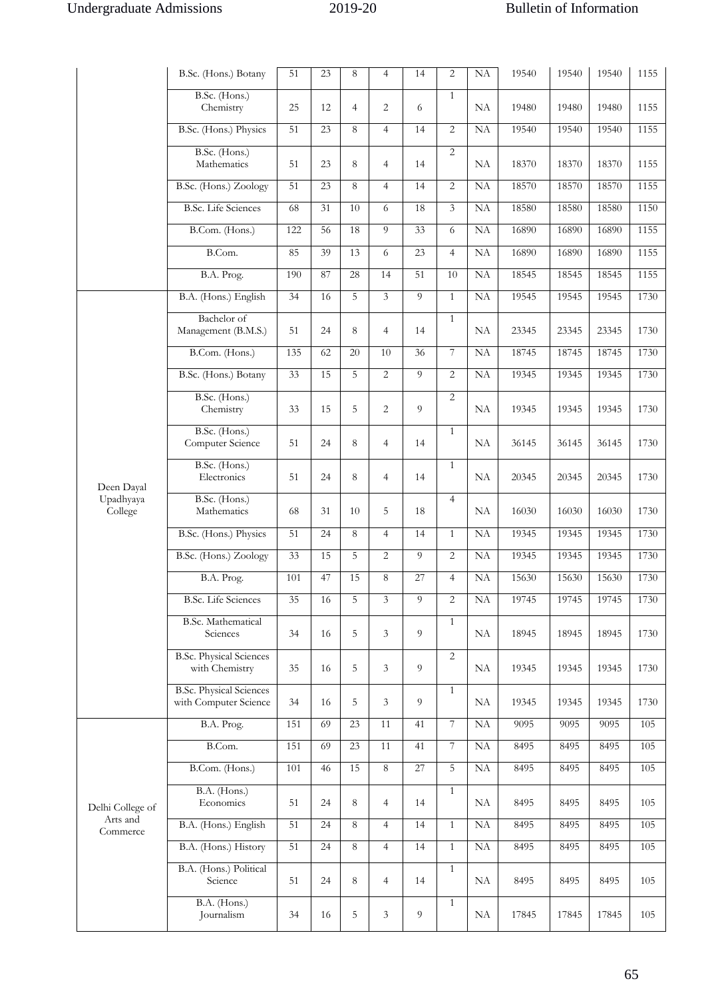|                      | B.Sc. (Hons.) Botany                                    | 51  | 23 | 8              | $\overline{4}$ | 14 | 2              | NA                  | 19540 | 19540 | 19540 | 1155 |
|----------------------|---------------------------------------------------------|-----|----|----------------|----------------|----|----------------|---------------------|-------|-------|-------|------|
|                      | B.Sc. (Hons.)<br>Chemistry                              | 25  | 12 | $\overline{4}$ | $\overline{2}$ | 6  | $\mathbf{1}$   | NA                  | 19480 | 19480 | 19480 | 1155 |
|                      | B.Sc. (Hons.) Physics                                   | 51  | 23 | 8              | $\overline{4}$ | 14 | $\overline{2}$ | NA                  | 19540 | 19540 | 19540 | 1155 |
|                      | B.Sc. (Hons.)<br>Mathematics                            | 51  | 23 | 8              | $\overline{4}$ | 14 | $\overline{2}$ | NA                  | 18370 | 18370 | 18370 | 1155 |
|                      | B.Sc. (Hons.) Zoology                                   | 51  | 23 | 8              | $\overline{4}$ | 14 | $\overline{c}$ | NA                  | 18570 | 18570 | 18570 | 1155 |
|                      | <b>B.Sc.</b> Life Sciences                              | 68  | 31 | 10             | 6              | 18 | $\overline{3}$ | NA                  | 18580 | 18580 | 18580 | 1150 |
|                      | B.Com. (Hons.)                                          | 122 | 56 | 18             | 9              | 33 | 6              | NA                  | 16890 | 16890 | 16890 | 1155 |
|                      | B.Com.                                                  | 85  | 39 | 13             | 6              | 23 | $\overline{4}$ | NA                  | 16890 | 16890 | 16890 | 1155 |
|                      | B.A. Prog.                                              | 190 | 87 | 28             | 14             | 51 | 10             | NA                  | 18545 | 18545 | 18545 | 1155 |
|                      | B.A. (Hons.) English                                    | 34  | 16 | 5              | $\overline{3}$ | 9  | $\mathbf{1}$   | NA                  | 19545 | 19545 | 19545 | 1730 |
|                      | Bachelor of<br>Management (B.M.S.)                      | 51  | 24 | 8              | $\overline{4}$ | 14 | $\mathbf{1}$   | NA                  | 23345 | 23345 | 23345 | 1730 |
|                      | B.Com. (Hons.)                                          | 135 | 62 | 20             | 10             | 36 | 7              | NA                  | 18745 | 18745 | 18745 | 1730 |
|                      | B.Sc. (Hons.) Botany                                    | 33  | 15 | 5              | $\overline{2}$ | 9  | $\overline{2}$ | NA                  | 19345 | 19345 | 19345 | 1730 |
|                      | B.Sc. (Hons.)<br>Chemistry                              | 33  | 15 | 5              | $\overline{2}$ | 9  | $\overline{2}$ | NA                  | 19345 | 19345 | 19345 | 1730 |
|                      | B.Sc. (Hons.)<br>Computer Science                       | 51  | 24 | 8              | $\overline{4}$ | 14 | $\mathbf{1}$   | NA                  | 36145 | 36145 | 36145 | 1730 |
| Deen Dayal           | B.Sc. (Hons.)<br>Electronics                            | 51  | 24 | 8              | $\overline{4}$ | 14 | $\mathbf{1}$   | NA                  | 20345 | 20345 | 20345 | 1730 |
| Upadhyaya<br>College | B.Sc. (Hons.)<br>Mathematics                            | 68  | 31 | 10             | 5              | 18 | $\overline{4}$ | NA                  | 16030 | 16030 | 16030 | 1730 |
|                      | B.Sc. (Hons.) Physics                                   | 51  | 24 | 8              | $\overline{4}$ | 14 | $\mathbf{1}$   | NA                  | 19345 | 19345 | 19345 | 1730 |
|                      | B.Sc. (Hons.) Zoology                                   | 33  | 15 | 5              | $\overline{2}$ | 9  | $\overline{c}$ | NA                  | 19345 | 19345 | 19345 | 1730 |
|                      | B.A. Prog.                                              | 101 | 47 | 15             | 8              | 27 | $\overline{4}$ | <b>NA</b>           | 15630 | 15630 | 15630 | 1730 |
|                      | <b>B.Sc.</b> Life Sciences                              | 35  | 16 | 5              | 3              | 9  | $\overline{c}$ | $\overline{\rm NA}$ | 19745 | 19745 | 19745 | 1730 |
|                      | <b>B.Sc. Mathematical</b><br>Sciences                   | 34  | 16 | 5              | 3              | 9  | $\mathbf{1}$   | NA                  | 18945 | 18945 | 18945 | 1730 |
|                      | <b>B.Sc. Physical Sciences</b><br>with Chemistry        | 35  | 16 | 5              | 3              | 9  | $\overline{c}$ | NA                  | 19345 | 19345 | 19345 | 1730 |
|                      | <b>B.Sc. Physical Sciences</b><br>with Computer Science | 34  | 16 | 5              | 3              | 9  | $\mathbf{1}$   | NA                  | 19345 | 19345 | 19345 | 1730 |
|                      | B.A. Prog.                                              | 151 | 69 | 23             | 11             | 41 | 7              | NA                  | 9095  | 9095  | 9095  | 105  |
|                      | B.Com.                                                  | 151 | 69 | 23             | 11             | 41 | 7              | NA                  | 8495  | 8495  | 8495  | 105  |
|                      | B.Com. (Hons.)                                          | 101 | 46 | 15             | 8              | 27 | 5              | NA                  | 8495  | 8495  | 8495  | 105  |
| Delhi College of     | B.A. (Hons.)<br>Economics                               | 51  | 24 | 8              | $\overline{4}$ | 14 | $\mathbf{1}$   | NA                  | 8495  | 8495  | 8495  | 105  |
| Arts and<br>Commerce | B.A. (Hons.) English                                    | 51  | 24 | 8              | $\overline{4}$ | 14 | $\mathbf{1}$   | NA                  | 8495  | 8495  | 8495  | 105  |
|                      | B.A. (Hons.) History                                    | 51  | 24 | 8              | $\overline{4}$ | 14 | $\mathbf{1}$   | NA                  | 8495  | 8495  | 8495  | 105  |
|                      | B.A. (Hons.) Political<br>Science                       | 51  | 24 | 8              | $\overline{4}$ | 14 | $\mathbf{1}$   | NA                  | 8495  | 8495  | 8495  | 105  |
|                      | B.A. (Hons.)<br>Journalism                              | 34  | 16 | 5              | 3              | 9  | $\mathbf{1}$   | NA                  | 17845 | 17845 | 17845 | 105  |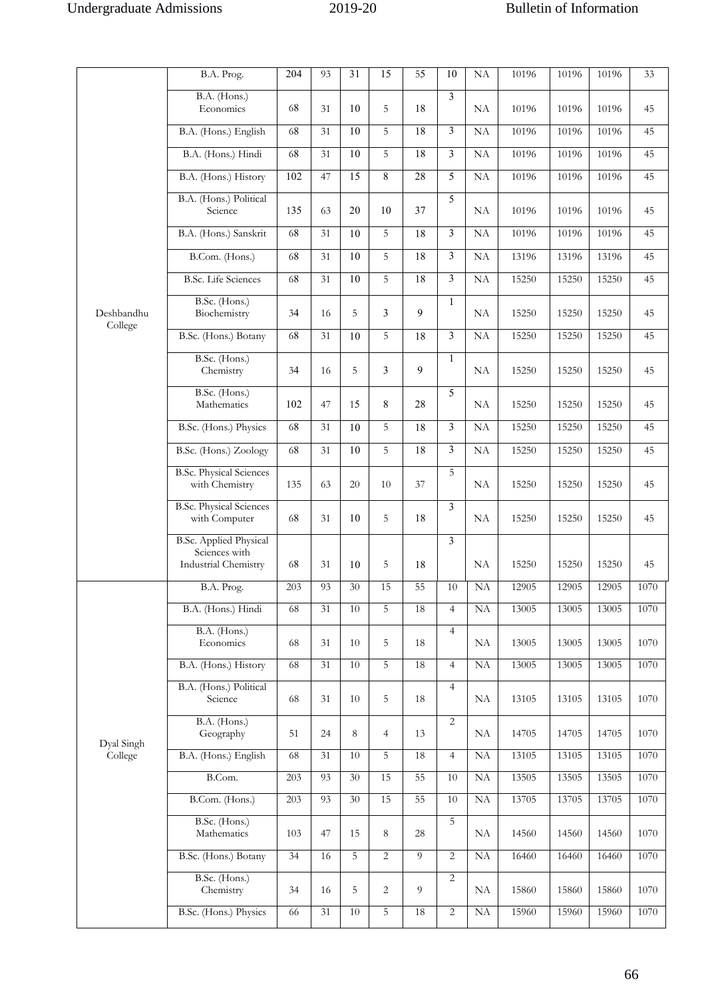|            | B.A. Prog.                                                             | 204 | 93              | 31              | 15             | 55             | 10                      | NA        | 10196 | 10196 | 10196 | 33   |
|------------|------------------------------------------------------------------------|-----|-----------------|-----------------|----------------|----------------|-------------------------|-----------|-------|-------|-------|------|
|            | B.A. (Hons.)<br>Economics                                              | 68  | 31              | 10              | 5              | 18             | 3                       | NA        | 10196 | 10196 | 10196 | 45   |
|            | B.A. (Hons.) English                                                   | 68  | 31              | 10              | 5              | 18             | $\overline{\mathbf{3}}$ | NA        | 10196 | 10196 | 10196 | 45   |
|            | B.A. (Hons.) Hindi                                                     | 68  | 31              | 10              | 5              | 18             | 3                       | NA        | 10196 | 10196 | 10196 | 45   |
|            | B.A. (Hons.) History                                                   | 102 | 47              | 15              | 8              | 28             | 5                       | NA        | 10196 | 10196 | 10196 | 45   |
|            | B.A. (Hons.) Political<br>Science                                      | 135 | 63              | 20              | 10             | 37             | 5                       | NA        | 10196 | 10196 | 10196 | 45   |
|            | B.A. (Hons.) Sanskrit                                                  | 68  | 31              | 10              | 5              | 18             | 3                       | NA        | 10196 | 10196 | 10196 | 45   |
|            | B.Com. (Hons.)                                                         | 68  | 31              | 10              | 5              | 18             | 3                       | NA        | 13196 | 13196 | 13196 | 45   |
|            | <b>B.Sc.</b> Life Sciences                                             | 68  | 31              | 10              | 5              | 18             | 3                       | NA        | 15250 | 15250 | 15250 | 45   |
| Deshbandhu | B.Sc. (Hons.)<br>Biochemistry                                          | 34  | 16              | 5               | 3              | 9              | $\mathbf{1}$            | NA        | 15250 | 15250 | 15250 | 45   |
| College    | B.Sc. (Hons.) Botany                                                   | 68  | 31              | 10              | 5              | 18             | 3                       | NA        | 15250 | 15250 | 15250 | 45   |
|            | B.Sc. (Hons.)<br>Chemistry                                             | 34  | 16              | 5               | 3              | 9              | $\mathbf{1}$            | NA        | 15250 | 15250 | 15250 | 45   |
|            | B.Sc. (Hons.)<br>Mathematics                                           | 102 | 47              | 15              | 8              | 28             | 5                       | NA        | 15250 | 15250 | 15250 | 45   |
|            | B.Sc. (Hons.) Physics                                                  | 68  | 31              | 10              | 5              | 18             | 3                       | NA        | 15250 | 15250 | 15250 | 45   |
|            | B.Sc. (Hons.) Zoology                                                  | 68  | 31              | 10              | 5              | 18             | 3                       | NA        | 15250 | 15250 | 15250 | 45   |
|            | <b>B.Sc. Physical Sciences</b><br>with Chemistry                       | 135 | 63              | 20              | 10             | 37             | 5                       | NA        | 15250 | 15250 | 15250 | 45   |
|            | <b>B.Sc. Physical Sciences</b><br>with Computer                        | 68  | 31              | 10              | 5              | 18             | 3                       | NA        | 15250 | 15250 | 15250 | 45   |
|            | <b>B.Sc. Applied Physical</b><br>Sciences with<br>Industrial Chemistry | 68  | 31              | 10              | 5              | 18             | 3                       | NA        | 15250 | 15250 | 15250 | 45   |
|            | B.A. Prog.                                                             | 203 | 93              | $\overline{30}$ | 15             | 55             | $10\,$                  | <b>NA</b> | 12905 | 12905 | 12905 | 1070 |
|            | B.A. (Hons.) Hindi                                                     | 68  | 31              | 10              | 5              | 18             | $\overline{4}$          | <b>NA</b> | 13005 | 13005 | 13005 | 1070 |
|            | B.A. (Hons.)<br>Economics                                              | 68  | 31              | 10              | 5              | 18             | $\overline{4}$          | NA        | 13005 | 13005 | 13005 | 1070 |
|            | B.A. (Hons.) History                                                   | 68  | 31              | $10\,$          | 5              | 18             | $\overline{4}$          | NA        | 13005 | 13005 | 13005 | 1070 |
|            | B.A. (Hons.) Political<br>Science                                      | 68  | 31              | 10              | 5              | 18             | $\overline{4}$          | NA        | 13105 | 13105 | 13105 | 1070 |
| Dyal Singh | B.A. (Hons.)<br>Geography                                              | 51  | 24              | $\,8\,$         | $\overline{4}$ | 13             | 2                       | NA        | 14705 | 14705 | 14705 | 1070 |
| College    | B.A. (Hons.) English                                                   | 68  | 31              | 10              | 5              | 18             | 4                       | NA        | 13105 | 13105 | 13105 | 1070 |
|            | B.Com.                                                                 | 203 | 93              | 30              | 15             | 55             | 10                      | NA        | 13505 | 13505 | 13505 | 1070 |
|            | B.Com. (Hons.)                                                         | 203 | 93              | 30              | 15             | 55             | 10                      | NA        | 13705 | 13705 | 13705 | 1070 |
|            | B.Sc. (Hons.)<br>Mathematics                                           | 103 | 47              | 15              | 8              | 28             | 5                       | <b>NA</b> | 14560 | 14560 | 14560 | 1070 |
|            | B.Sc. (Hons.) Botany                                                   | 34  | 16              | 5               | $\overline{c}$ | $\overline{9}$ | $\overline{c}$          | <b>NA</b> | 16460 | 16460 | 16460 | 1070 |
|            | B.Sc. (Hons.)<br>Chemistry                                             | 34  | 16              | 5               | $\overline{c}$ | 9              | 2                       | NA        | 15860 | 15860 | 15860 | 1070 |
|            | B.Sc. (Hons.) Physics                                                  | 66  | $\overline{31}$ | $10\,$          | 5              | 18             | $\overline{c}$          | NA        | 15960 | 15960 | 15960 | 1070 |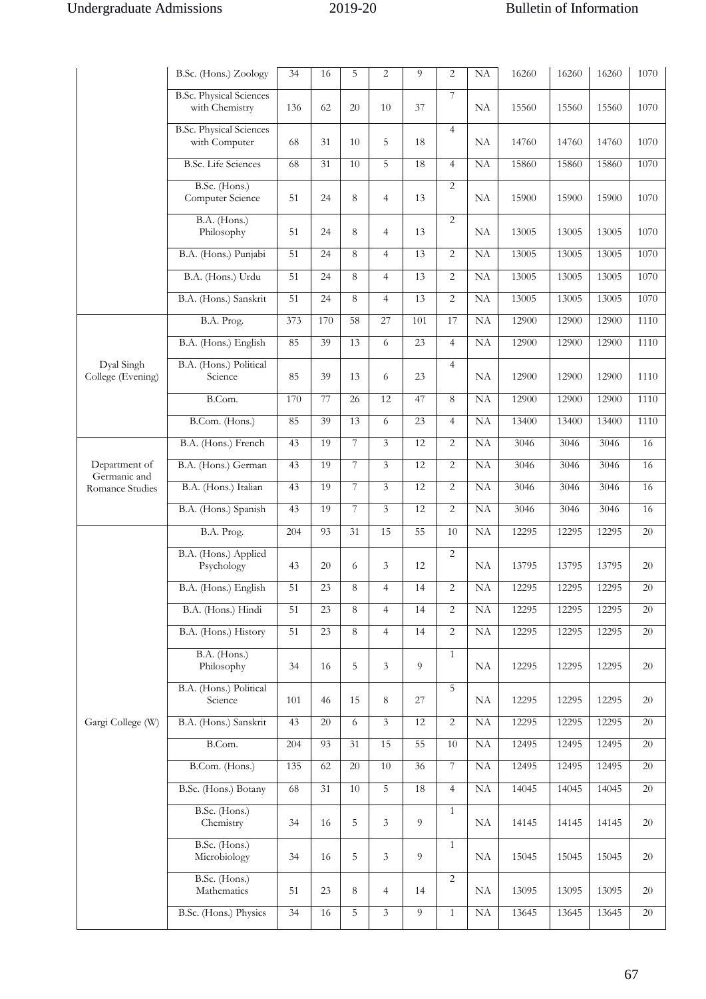|                                 | B.Sc. (Hons.) Zoology                            | 34              | 16     | 5              | $\overline{2}$ | 9              | $\overline{c}$ | NA       | 16260 | 16260 | 16260 | 1070   |
|---------------------------------|--------------------------------------------------|-----------------|--------|----------------|----------------|----------------|----------------|----------|-------|-------|-------|--------|
|                                 | <b>B.Sc. Physical Sciences</b><br>with Chemistry | 136             | 62     | 20             | 10             | 37             | 7              | NA       | 15560 | 15560 | 15560 | 1070   |
|                                 | <b>B.Sc. Physical Sciences</b><br>with Computer  | 68              | 31     | 10             | 5              | 18             | $\overline{4}$ | NA       | 14760 | 14760 | 14760 | 1070   |
|                                 | <b>B.Sc.</b> Life Sciences                       | 68              | 31     | 10             | 5              | 18             | $\overline{4}$ | NA       | 15860 | 15860 | 15860 | 1070   |
|                                 | B.Sc. (Hons.)<br>Computer Science                | 51              | 24     | 8              | $\overline{4}$ | 13             | $\overline{2}$ | NA       | 15900 | 15900 | 15900 | 1070   |
|                                 | B.A. (Hons.)<br>Philosophy                       | 51              | 24     | 8              | $\overline{4}$ | 13             | $\overline{2}$ | NA       | 13005 | 13005 | 13005 | 1070   |
|                                 | B.A. (Hons.) Punjabi                             | 51              | 24     | 8              | $\overline{4}$ | 13             | $\overline{2}$ | NA       | 13005 | 13005 | 13005 | 1070   |
|                                 | B.A. (Hons.) Urdu                                | 51              | 24     | 8              | $\overline{4}$ | 13             | $\overline{2}$ | NA       | 13005 | 13005 | 13005 | 1070   |
|                                 | B.A. (Hons.) Sanskrit                            | 51              | 24     | 8              | $\overline{4}$ | 13             | $\overline{2}$ | NA       | 13005 | 13005 | 13005 | 1070   |
|                                 | B.A. Prog.                                       | 373             | 170    | 58             | 27             | 101            | 17             | NA       | 12900 | 12900 | 12900 | 1110   |
|                                 | B.A. (Hons.) English                             | 85              | 39     | 13             | 6              | 23             | $\overline{4}$ | NA       | 12900 | 12900 | 12900 | 1110   |
| Dyal Singh<br>College (Evening) | B.A. (Hons.) Political<br>Science                | 85              | 39     | 13             | 6              | 23             | $\overline{4}$ | NA       | 12900 | 12900 | 12900 | 1110   |
|                                 | B.Com.                                           | 170             | 77     | 26             | 12             | 47             | 8              | NA       | 12900 | 12900 | 12900 | 1110   |
|                                 | B.Com. (Hons.)                                   | 85              | 39     | 13             | 6              | 23             | $\overline{4}$ | NA       | 13400 | 13400 | 13400 | 1110   |
|                                 | B.A. (Hons.) French                              | 43              | 19     | 7              | 3              | 12             | $\overline{c}$ | NA       | 3046  | 3046  | 3046  | 16     |
| Department of<br>Germanic and   | B.A. (Hons.) German                              | 43              | 19     | $\overline{7}$ | $\overline{3}$ | 12             | $\overline{2}$ | NA       | 3046  | 3046  | 3046  | 16     |
| Romance Studies                 | B.A. (Hons.) Italian                             | 43              | 19     | $\overline{7}$ | $\overline{3}$ | 12             | $\overline{2}$ | NA       | 3046  | 3046  | 3046  | 16     |
|                                 | B.A. (Hons.) Spanish                             | 43              | 19     | 7              | $\overline{3}$ | 12             | $\overline{2}$ | NA       | 3046  | 3046  | 3046  | 16     |
|                                 | B.A. Prog.                                       | 204             | 93     | 31             | 15             | 55             | 10             | NA       | 12295 | 12295 | 12295 | 20     |
|                                 | B.A. (Hons.) Applied<br>Psychology               | 43              | 20     | 6              | 3              | 12             | 2              | NA       | 13795 | 13795 | 13795 | 20     |
|                                 | B.A. (Hons.) English                             | 51              | 23     | 8              | $\overline{4}$ | 14             | $\overline{c}$ | NA       | 12295 | 12295 | 12295 | $20\,$ |
|                                 | B.A. (Hons.) Hindi                               | 51              | 23     | 8              | $\overline{4}$ | 14             | $\overline{2}$ | NA       | 12295 | 12295 | 12295 | 20     |
|                                 | B.A. (Hons.) History                             | 51              | 23     | 8              | $\overline{4}$ | 14             | $\overline{2}$ | NA       | 12295 | 12295 | 12295 | 20     |
|                                 | B.A. (Hons.)<br>Philosophy                       | 34              | 16     | 5              | $\mathfrak{Z}$ | 9              | $\mathbf{1}$   | NA       | 12295 | 12295 | 12295 | 20     |
|                                 | B.A. (Hons.) Political<br>Science                | 101             | 46     | 15             | 8              | 27             | 5              | NA       | 12295 | 12295 | 12295 | 20     |
| Gargi College (W)               | B.A. (Hons.) Sanskrit                            | 43              | $20\,$ | 6              | $\mathfrak{Z}$ | 12             | $\overline{2}$ | $\rm NA$ | 12295 | 12295 | 12295 | 20     |
|                                 | B.Com.                                           | 204             | 93     | 31             | 15             | 55             | 10             | NA       | 12495 | 12495 | 12495 | 20     |
|                                 | B.Com. (Hons.)                                   | 135             | 62     | 20             | $10\,$         | 36             | 7              | NA       | 12495 | 12495 | 12495 | 20     |
|                                 | B.Sc. (Hons.) Botany                             | $68$            | 31     | $10\,$         | $\overline{5}$ | 18             | $\overline{4}$ | NA       | 14045 | 14045 | 14045 | 20     |
|                                 | B.Sc. (Hons.)<br>Chemistry                       | 34              | 16     | 5              | 3              | 9              | $\mathbf{1}$   | NA       | 14145 | 14145 | 14145 | 20     |
|                                 | B.Sc. (Hons.)<br>Microbiology                    | 34              | 16     | 5              | 3              | 9              | $\mathbf{1}$   | NA       | 15045 | 15045 | 15045 | 20     |
|                                 | B.Sc. (Hons.)<br>Mathematics                     | 51              | 23     | 8              | $\overline{4}$ | 14             | $\overline{2}$ | NA       | 13095 | 13095 | 13095 | 20     |
|                                 | B.Sc. (Hons.) Physics                            | $\overline{34}$ | 16     | $\overline{5}$ | $\overline{3}$ | $\overline{9}$ | $\mathbf{1}$   | NA       | 13645 | 13645 | 13645 | $20\,$ |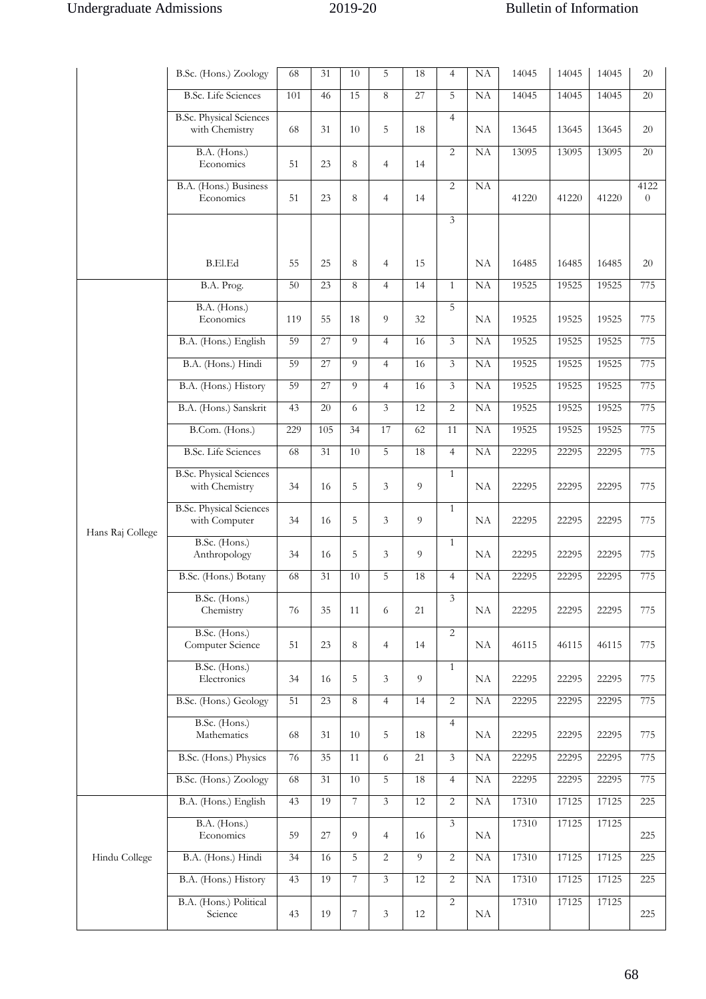|                  | B.Sc. (Hons.) Zoology                            | 68              | 31  | 10             | 5              | 18 | $\overline{4}$ | NA        | 14045 | 14045 | 14045 | 20               |
|------------------|--------------------------------------------------|-----------------|-----|----------------|----------------|----|----------------|-----------|-------|-------|-------|------------------|
|                  | <b>B.Sc.</b> Life Sciences                       | 101             | 46  | 15             | 8              | 27 | 5              | <b>NA</b> | 14045 | 14045 | 14045 | 20               |
|                  | <b>B.Sc. Physical Sciences</b><br>with Chemistry | 68              | 31  | 10             | 5              | 18 | $\overline{4}$ | NA        | 13645 | 13645 | 13645 | $20\,$           |
|                  | B.A. (Hons.)<br>Economics                        | 51              | 23  | 8              | $\overline{4}$ | 14 | 2              | NA        | 13095 | 13095 | 13095 | 20               |
|                  | B.A. (Hons.) Business<br>Economics               | 51              | 23  | 8              | $\overline{4}$ | 14 | $\overline{2}$ | NA        | 41220 | 41220 | 41220 | 4122<br>$\theta$ |
|                  |                                                  |                 |     |                |                |    | $\mathfrak{Z}$ |           |       |       |       |                  |
|                  | <b>B.El.Ed</b>                                   | 55              | 25  | 8              | $\overline{4}$ | 15 |                | NA        | 16485 | 16485 | 16485 | 20               |
|                  | B.A. Prog.                                       | 50              | 23  | 8              | $\overline{4}$ | 14 | $\mathbf{1}$   | NA        | 19525 | 19525 | 19525 | 775              |
|                  | B.A. (Hons.)<br>Economics                        | 119             | 55  | 18             | 9              | 32 | 5              | NA        | 19525 | 19525 | 19525 | 775              |
|                  | B.A. (Hons.) English                             | 59              | 27  | 9              | $\overline{4}$ | 16 | $\mathfrak{Z}$ | NA        | 19525 | 19525 | 19525 | 775              |
|                  | B.A. (Hons.) Hindi                               | 59              | 27  | 9              | $\overline{4}$ | 16 | $\overline{3}$ | NA        | 19525 | 19525 | 19525 | 775              |
|                  | B.A. (Hons.) History                             | 59              | 27  | 9              | $\overline{4}$ | 16 | $\mathfrak{Z}$ | NA        | 19525 | 19525 | 19525 | 775              |
|                  | B.A. (Hons.) Sanskrit                            | 43              | 20  | 6              | $\overline{3}$ | 12 | 2              | NA        | 19525 | 19525 | 19525 | 775              |
|                  | B.Com. (Hons.)                                   | 229             | 105 | 34             | 17             | 62 | 11             | NA        | 19525 | 19525 | 19525 | 775              |
|                  | <b>B.Sc.</b> Life Sciences                       | 68              | 31  | 10             | 5              | 18 | $\overline{4}$ | NA        | 22295 | 22295 | 22295 | 775              |
|                  | <b>B.Sc. Physical Sciences</b><br>with Chemistry | 34              | 16  | 5              | 3              | 9  | $\mathbf{1}$   | NA        | 22295 | 22295 | 22295 | 775              |
|                  | <b>B.Sc. Physical Sciences</b><br>with Computer  | 34              | 16  | 5              | 3              | 9  | $\mathbf{1}$   | NA        | 22295 | 22295 | 22295 | 775              |
| Hans Raj College | B.Sc. (Hons.)<br>Anthropology                    | 34              | 16  | 5              | 3              | 9  | $\mathbf{1}$   | NA        | 22295 | 22295 | 22295 | 775              |
|                  | B.Sc. (Hons.) Botany                             | 68              | 31  | 10             | 5              | 18 | $\overline{4}$ | NA        | 22295 | 22295 | 22295 | 775              |
|                  | B.Sc. (Hons.)<br>Chemistry                       | 76              | 35  | 11             | 6              | 21 | $\overline{3}$ | NA        | 22295 | 22295 | 22295 | 775              |
|                  | B.Sc. (Hons.)<br>Computer Science                | 51              | 23  | 8              | $\overline{4}$ | 14 | $\overline{2}$ | NA        | 46115 | 46115 | 46115 | 775              |
|                  | B.Sc. (Hons.)<br>Electronics                     | 34              | 16  | 5              | 3              | 9  | $\mathbf{1}$   | NA        | 22295 | 22295 | 22295 | 775              |
|                  | B.Sc. (Hons.) Geology                            | $\overline{51}$ | 23  | 8              | $\overline{4}$ | 14 | $\overline{2}$ | NA        | 22295 | 22295 | 22295 | 775              |
|                  | B.Sc. (Hons.)<br>Mathematics                     | 68              | 31  | 10             | 5              | 18 | $\overline{4}$ | NA        | 22295 | 22295 | 22295 | 775              |
|                  | B.Sc. (Hons.) Physics                            | 76              | 35  | 11             | 6              | 21 | $\mathfrak{Z}$ | NA        | 22295 | 22295 | 22295 | 775              |
|                  | B.Sc. (Hons.) Zoology                            | 68              | 31  | $10\,$         | 5              | 18 | $\overline{4}$ | NA        | 22295 | 22295 | 22295 | 775              |
|                  | B.A. (Hons.) English                             | 43              | 19  | $\overline{7}$ | $\overline{3}$ | 12 | $\overline{c}$ | NA        | 17310 | 17125 | 17125 | 225              |
|                  | B.A. (Hons.)<br>Economics                        | 59              | 27  | 9              | $\overline{4}$ | 16 | $\mathfrak{Z}$ | NA        | 17310 | 17125 | 17125 | 225              |
| Hindu College    | B.A. (Hons.) Hindi                               | 34              | 16  | 5              | 2              | 9  | 2              | NA        | 17310 | 17125 | 17125 | 225              |
|                  | B.A. (Hons.) History                             | 43              | 19  | $\overline{7}$ | $\mathfrak{Z}$ | 12 | 2              | NA        | 17310 | 17125 | 17125 | 225              |
|                  | B.A. (Hons.) Political<br>Science                | 43              | 19  | 7              | $\mathfrak{Z}$ | 12 | $\overline{c}$ | NA        | 17310 | 17125 | 17125 | 225              |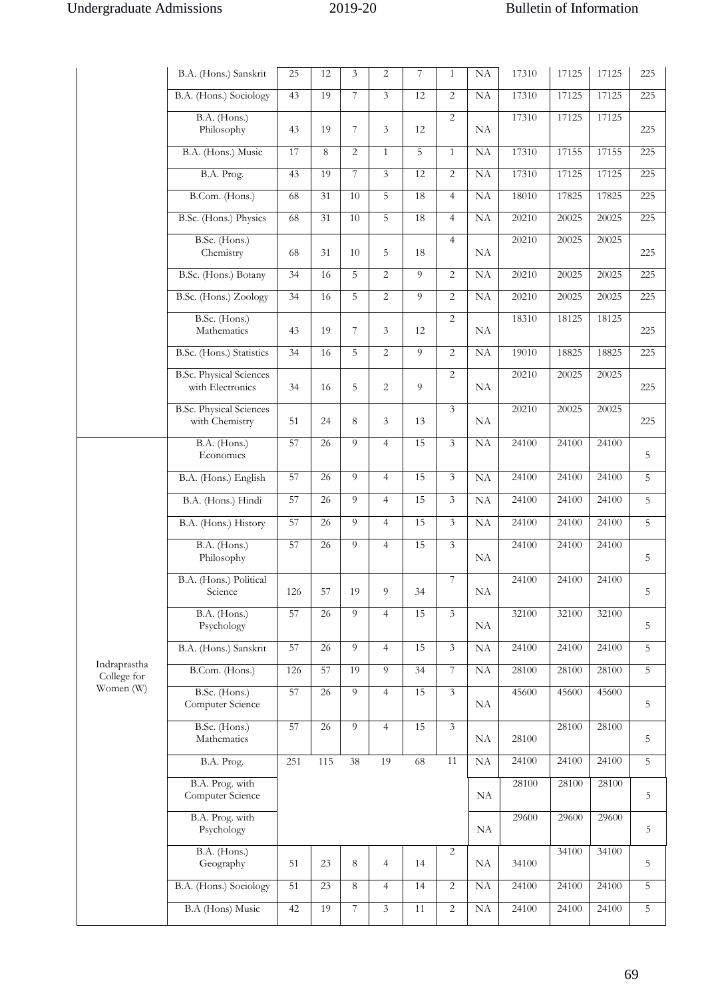|                             | B.A. (Hons.) Sanskrit                              | 25  | 12              | 3              | $\overline{2}$ | 7  | $\mathbf{1}$   | NA        | 17310 | 17125 | 17125 | 225            |
|-----------------------------|----------------------------------------------------|-----|-----------------|----------------|----------------|----|----------------|-----------|-------|-------|-------|----------------|
|                             | B.A. (Hons.) Sociology                             | 43  | 19              | 7              | 3              | 12 | 2              | <b>NA</b> | 17310 | 17125 | 17125 | 225            |
|                             | B.A. (Hons.)<br>Philosophy                         | 43  | 19              | $\overline{7}$ | 3              | 12 | 2              | <b>NA</b> | 17310 | 17125 | 17125 | 225            |
|                             | B.A. (Hons.) Music                                 | 17  | 8               | $\overline{2}$ | $\mathbf{1}$   | 5  | $\mathbf{1}$   | NA        | 17310 | 17155 | 17155 | 225            |
|                             | B.A. Prog.                                         | 43  | 19              | 7              | $\overline{3}$ | 12 | 2              | NA        | 17310 | 17125 | 17125 | 225            |
|                             | B.Com. (Hons.)                                     | 68  | 31              | $10\,$         | 5              | 18 | $\overline{4}$ | NA        | 18010 | 17825 | 17825 | 225            |
|                             | B.Sc. (Hons.) Physics                              | 68  | 31              | $10\,$         | 5              | 18 | $\overline{4}$ | NA        | 20210 | 20025 | 20025 | 225            |
|                             | B.Sc. (Hons.)<br>Chemistry                         | 68  | 31              | 10             | 5              | 18 | $\overline{4}$ | NA        | 20210 | 20025 | 20025 | 225            |
|                             | B.Sc. (Hons.) Botany                               | 34  | 16              | 5              | 2              | 9  | 2              | NA        | 20210 | 20025 | 20025 | 225            |
|                             | B.Sc. (Hons.) Zoology                              | 34  | 16              | 5              | $\overline{2}$ | 9  | $\overline{2}$ | NA        | 20210 | 20025 | 20025 | 225            |
|                             | B.Sc. (Hons.)<br>Mathematics                       | 43  | 19              | 7              | 3              | 12 | 2              | <b>NA</b> | 18310 | 18125 | 18125 | 225            |
|                             | B.Sc. (Hons.) Statistics                           | 34  | 16              | 5              | $\overline{2}$ | 9  | $\overline{2}$ | NA        | 19010 | 18825 | 18825 | 225            |
|                             | <b>B.Sc. Physical Sciences</b><br>with Electronics | 34  | 16              | 5              | 2              | 9  | 2              | <b>NA</b> | 20210 | 20025 | 20025 | 225            |
|                             | <b>B.Sc. Physical Sciences</b><br>with Chemistry   | 51  | 24              | 8              | 3              | 13 | $\overline{3}$ | <b>NA</b> | 20210 | 20025 | 20025 | 225            |
|                             | B.A. (Hons.)<br>Economics                          | 57  | 26              | $\overline{9}$ | $\overline{4}$ | 15 | $\overline{3}$ | <b>NA</b> | 24100 | 24100 | 24100 | 5              |
|                             | B.A. (Hons.) English                               | 57  | 26              | $\overline{Q}$ | $\overline{4}$ | 15 | $\mathfrak{Z}$ | NA        | 24100 | 24100 | 24100 | 5              |
|                             | B.A. (Hons.) Hindi                                 | 57  | 26              | 9              | $\overline{4}$ | 15 | $\mathfrak{Z}$ | NA        | 24100 | 24100 | 24100 | 5              |
|                             | B.A. (Hons.) History                               | 57  | 26              | 9              | $\overline{4}$ | 15 | $\overline{3}$ | $\rm NA$  | 24100 | 24100 | 24100 | 5              |
|                             | B.A. (Hons.)<br>Philosophy                         | 57  | 26              | 9              | $\overline{4}$ | 15 | 3              | <b>NA</b> | 24100 | 24100 | 24100 | 5              |
|                             | B.A. (Hons.) Political<br>Science                  | 126 | 57              | 19             | 9              | 34 | $\overline{7}$ | $\rm NA$  | 24100 | 24100 | 24100 | 5              |
|                             | B.A. (Hons.)<br>Psychology                         | 57  | $\overline{26}$ | $\overline{Q}$ | $\overline{4}$ | 15 | 3              | NA        | 32100 | 32100 | 32100 | 5              |
|                             | B.A. (Hons.) Sanskrit                              | 57  | $\overline{26}$ | 9              | $\overline{4}$ | 15 | $\mathfrak{Z}$ | NA        | 24100 | 24100 | 24100 | 5              |
| Indraprastha<br>College for | B.Com. (Hons.)                                     | 126 | 57              | 19             | 9              | 34 | 7              | NA        | 28100 | 28100 | 28100 | $\overline{5}$ |
| Women (W)                   | B.Sc. (Hons.)<br>Computer Science                  | 57  | 26              | 9              | $\overline{4}$ | 15 | 3              | NA        | 45600 | 45600 | 45600 | 5              |
|                             | B.Sc. (Hons.)<br>Mathematics                       | 57  | 26              | 9              | $\overline{4}$ | 15 | $\mathfrak{Z}$ | NA        | 28100 | 28100 | 28100 | 5              |
|                             | B.A. Prog.                                         | 251 | 115             | 38             | 19             | 68 | 11             | $\rm NA$  | 24100 | 24100 | 24100 | 5              |
|                             | B.A. Prog. with<br>Computer Science                |     |                 |                |                |    |                | NA        | 28100 | 28100 | 28100 | 5              |
|                             | B.A. Prog. with<br>Psychology                      |     |                 |                |                |    |                | NA        | 29600 | 29600 | 29600 | 5              |
|                             | B.A. (Hons.)<br>Geography                          | 51  | 23              | $\,8\,$        | $\overline{4}$ | 14 | $\overline{c}$ | NA        | 34100 | 34100 | 34100 | 5              |
|                             | B.A. (Hons.) Sociology                             | 51  | 23              | $8\,$          | $\overline{4}$ | 14 | 2              | NA        | 24100 | 24100 | 24100 | 5              |
|                             | B.A (Hons) Music                                   | 42  | 19              | 7              | $\mathfrak{Z}$ | 11 | $\overline{c}$ | NA        | 24100 | 24100 | 24100 | $\overline{5}$ |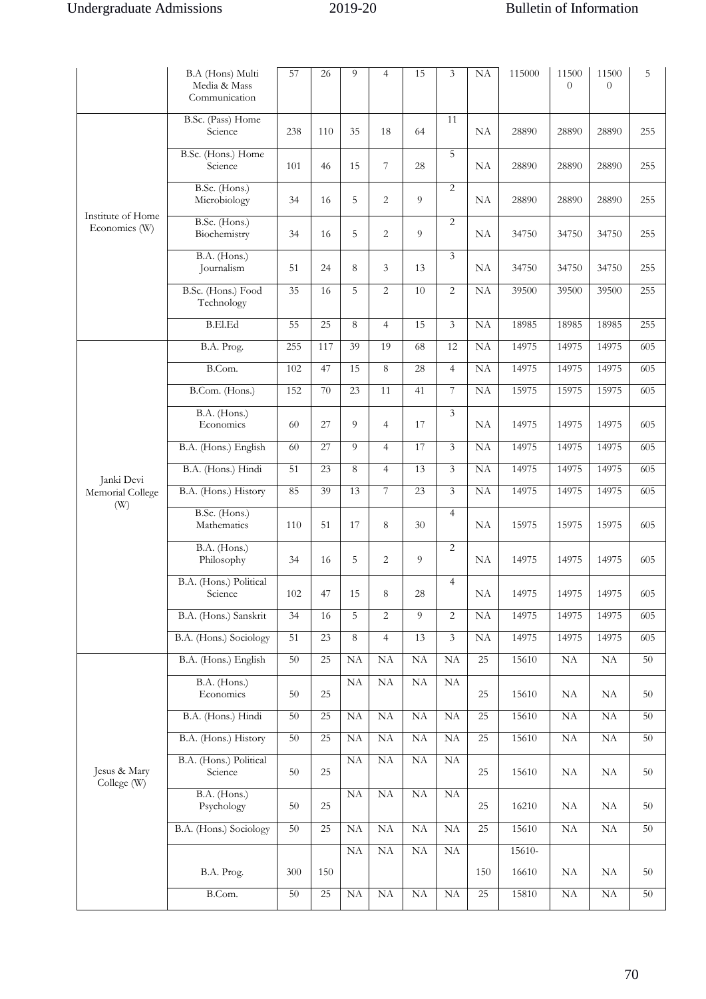|                                       | B.A (Hons) Multi<br>Media & Mass<br>Communication | 57  | 26              | 9          | $\overline{4}$ | 15       | 3              | NA              | 115000   | 11500<br>$\overline{0}$ | 11500<br>$\theta$   | 5   |
|---------------------------------------|---------------------------------------------------|-----|-----------------|------------|----------------|----------|----------------|-----------------|----------|-------------------------|---------------------|-----|
|                                       | B.Sc. (Pass) Home<br>Science                      | 238 | 110             | 35         | 18             | 64       | 11             | NA              | 28890    | 28890                   | 28890               | 255 |
|                                       | B.Sc. (Hons.) Home<br>Science                     | 101 | 46              | 15         | 7              | 28       | 5              | NA              | 28890    | 28890                   | 28890               | 255 |
|                                       | B.Sc. (Hons.)<br>Microbiology                     | 34  | 16              | 5          | $\overline{2}$ | 9        | $\overline{2}$ | <b>NA</b>       | 28890    | 28890                   | 28890               | 255 |
| Institute of Home<br>Economics (W)    | B.Sc. (Hons.)<br>Biochemistry                     | 34  | 16              | 5          | $\overline{2}$ | 9        | $\overline{2}$ | NA              | 34750    | 34750                   | 34750               | 255 |
|                                       | B.A. (Hons.)<br>Journalism                        | 51  | 24              | 8          | 3              | 13       | $\overline{3}$ | NA              | 34750    | 34750                   | 34750               | 255 |
|                                       | B.Sc. (Hons.) Food<br>Technology                  | 35  | 16              | 5          | $\overline{2}$ | 10       | $\overline{2}$ | NA              | 39500    | 39500                   | 39500               | 255 |
|                                       | <b>B.El.Ed</b>                                    | 55  | 25              | 8          | $\overline{4}$ | 15       | $\overline{3}$ | NA              | 18985    | 18985                   | 18985               | 255 |
|                                       | B.A. Prog.                                        | 255 | 117             | 39         | 19             | 68       | 12             | NA              | 14975    | 14975                   | 14975               | 605 |
|                                       | B.Com.                                            | 102 | 47              | 15         | 8              | 28       | $\overline{4}$ | NA              | 14975    | 14975                   | 14975               | 605 |
|                                       | B.Com. (Hons.)                                    | 152 | 70              | 23         | 11             | 41       | 7              | NA              | 15975    | 15975                   | 15975               | 605 |
|                                       | B.A. (Hons.)<br>Economics                         | 60  | 27              | 9          | $\overline{4}$ | 17       | $\overline{3}$ | NA              | 14975    | 14975                   | 14975               | 605 |
|                                       | B.A. (Hons.) English                              | 60  | 27              | 9          | $\overline{4}$ | 17       | 3              | NA              | 14975    | 14975                   | 14975               | 605 |
| Janki Devi<br>Memorial College<br>(W) | B.A. (Hons.) Hindi                                | 51  | 23              | 8          | $\overline{4}$ | 13       | 3              | NA              | 14975    | 14975                   | 14975               | 605 |
|                                       | B.A. (Hons.) History                              | 85  | 39              | 13         | 7              | 23       | $\overline{3}$ | NA              | 14975    | 14975                   | 14975               | 605 |
|                                       | B.Sc. (Hons.)<br>Mathematics                      | 110 | 51              | 17         | 8              | 30       | $\overline{4}$ | <b>NA</b>       | 15975    | 15975                   | 15975               | 605 |
|                                       | B.A. (Hons.)<br>Philosophy                        | 34  | 16              | 5          | $\overline{2}$ | 9        | $\overline{2}$ | <b>NA</b>       | 14975    | 14975                   | 14975               | 605 |
|                                       | B.A. (Hons.) Political<br>Science                 | 102 | 47              | 15         | 8              | 28       | $\overline{4}$ | NΑ              | 14975    | 14975                   | 14975               | 605 |
|                                       | B.A. (Hons.) Sanskrit                             | 34  | 16              | 5          | $\overline{2}$ | 9        | $\overline{c}$ | NA              | 14975    | 14975                   | 14975               | 605 |
|                                       | B.A. (Hons.) Sociology                            | 51  | $\overline{23}$ | 8          | $\overline{4}$ | 13       | $\overline{3}$ | NA              | 14975    | 14975                   | 14975               | 605 |
|                                       | B.A. (Hons.) English                              | 50  | $\overline{25}$ | NA         | NA             | NA       | NA             | 25              | 15610    | NA                      | NA                  | 50  |
|                                       | B.A. (Hons.)<br>Economics                         | 50  | 25              | NA         | NA             | NA       | <b>NA</b>      | 25              | 15610    | NA                      | NA                  | 50  |
|                                       | B.A. (Hons.) Hindi                                | 50  | $\overline{25}$ | NA         | NA             | NA       | <b>NA</b>      | 25              | 15610    | NA                      | NA                  | 50  |
|                                       | B.A. (Hons.) History                              | 50  | $\overline{25}$ | NA         | NA             | NA       | NA             | $\overline{25}$ | 15610    | NA                      | NA                  | 50  |
| Jesus & Mary<br>College (W)           | B.A. (Hons.) Political<br>Science                 | 50  | 25              | NA         | NA             | NA       | NA             | 25              | 15610    | NA                      | NA                  | 50  |
|                                       | B.A. (Hons.)<br>Psychology                        | 50  | 25              | $\rm NA$   | $\rm NA$       | $\rm NA$ | NA             | $25\,$          | 16210    | NA                      | NA                  | 50  |
|                                       | B.A. (Hons.) Sociology                            | 50  | 25              | NA         | NA             | NA       | NA             | $\overline{25}$ | 15610    | NA                      | NA                  | 50  |
|                                       |                                                   |     |                 | NA         | NA             | NA       | NA             |                 | $15610-$ |                         |                     |     |
|                                       | B.A. Prog.                                        | 300 | 150             |            |                |          |                | 150             | 16610    | NA                      | NA                  | 50  |
|                                       | B.Com.                                            | 50  | 25              | ${\rm NA}$ | NA             | NA       | NA             | $\overline{25}$ | 15810    | $\rm NA$                | $\overline{\rm NA}$ | 50  |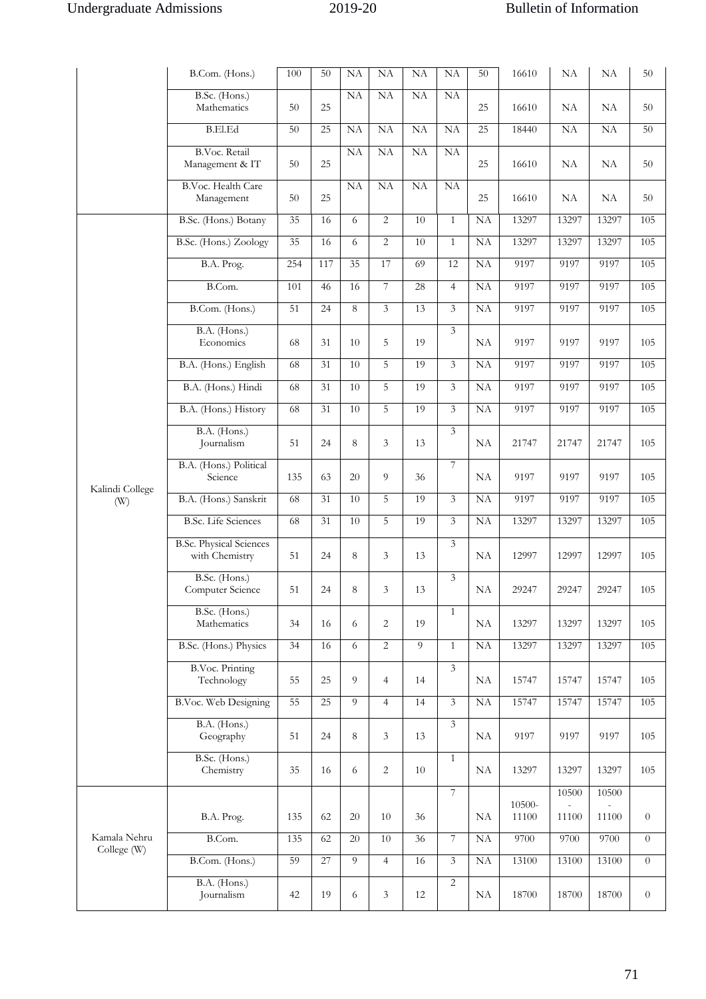|                             | B.Com. (Hons.)                                   | 100 | 50  | NA        | NA               | NA             | NA             | 50              | 16610  | NA    | NA        | 50             |
|-----------------------------|--------------------------------------------------|-----|-----|-----------|------------------|----------------|----------------|-----------------|--------|-------|-----------|----------------|
|                             | B.Sc. (Hons.)<br>Mathematics                     | 50  | 25  | <b>NA</b> | NA               | <b>NA</b>      | NA             | 25              | 16610  | NA    | <b>NA</b> | 50             |
|                             | <b>B.El.Ed</b>                                   | 50  | 25  | NA        | NA               | NA             | NA             | 25              | 18440  | NA    | NA        | 50             |
|                             | <b>B.Voc. Retail</b><br>Management & IT          | 50  | 25  | NA        | NA               | <b>NA</b>      | NA             | 25              | 16610  | NA    | <b>NA</b> | 50             |
|                             | B.Voc. Health Care<br>Management                 | 50  | 25  | NA        | NA               | NA             | NA             | 25              | 16610  | NA    | NA        | 50             |
|                             | B.Sc. (Hons.) Botany                             | 35  | 16  | 6         | 2                | 10             | $\mathbf{1}$   | $\overline{NA}$ | 13297  | 13297 | 13297     | 105            |
|                             | B.Sc. (Hons.) Zoology                            | 35  | 16  | 6         | $\overline{2}$   | 10             | $\mathbf{1}$   | NA              | 13297  | 13297 | 13297     | 105            |
|                             | B.A. Prog.                                       | 254 | 117 | 35        | 17               | 69             | 12             | NA              | 9197   | 9197  | 9197      | 105            |
|                             | B.Com.                                           | 101 | 46  | 16        | $\boldsymbol{7}$ | 28             | $\overline{4}$ | NA              | 9197   | 9197  | 9197      | 105            |
|                             | B.Com. (Hons.)                                   | 51  | 24  | 8         | $\overline{3}$   | 13             | $\overline{3}$ | NA              | 9197   | 9197  | 9197      | 105            |
|                             | B.A. (Hons.)<br>Economics                        | 68  | 31  | 10        | 5                | 19             | $\overline{3}$ | NA              | 9197   | 9197  | 9197      | 105            |
|                             | B.A. (Hons.) English                             | 68  | 31  | 10        | 5                | 19             | 3              | NA              | 9197   | 9197  | 9197      | 105            |
|                             | B.A. (Hons.) Hindi                               | 68  | 31  | $10\,$    | 5                | 19             | $\mathfrak{Z}$ | NA              | 9197   | 9197  | 9197      | 105            |
|                             | B.A. (Hons.) History                             | 68  | 31  | 10        | 5                | 19             | $\overline{3}$ | NA              | 9197   | 9197  | 9197      | 105            |
|                             | B.A. (Hons.)<br>Journalism                       | 51  | 24  | 8         | 3                | 13             | 3              | NA              | 21747  | 21747 | 21747     | 105            |
| Kalindi College             | B.A. (Hons.) Political<br>Science                | 135 | 63  | 20        | 9                | 36             | $\overline{7}$ | NA              | 9197   | 9197  | 9197      | 105            |
| (W)                         | B.A. (Hons.) Sanskrit                            | 68  | 31  | 10        | 5                | 19             | 3              | NA              | 9197   | 9197  | 9197      | 105            |
|                             | <b>B.Sc.</b> Life Sciences                       | 68  | 31  | 10        | 5                | 19             | $\overline{3}$ | NA              | 13297  | 13297 | 13297     | 105            |
|                             | <b>B.Sc. Physical Sciences</b><br>with Chemistry | 51  | 24  | 8         | 3                | 13             | $\overline{3}$ | NA              | 12997  | 12997 | 12997     | 105            |
|                             | B.Sc. (Hons.)<br>Computer Science                | 51  | 24  | $8\,$     | 3                | 13             | 3              | $\rm NA$        | 29247  | 29247 | 29247     | 105            |
|                             | B.Sc. (Hons.)<br>Mathematics                     | 34  | 16  | 6         | $\overline{2}$   | 19             | $\mathbf{1}$   | NA              | 13297  | 13297 | 13297     | 105            |
|                             | B.Sc. (Hons.) Physics                            | 34  | 16  | 6         | 2                | $\overline{9}$ | $\mathbf{1}$   | NA              | 13297  | 13297 | 13297     | 105            |
|                             | <b>B.Voc. Printing</b><br>Technology             | 55  | 25  | 9         | $\overline{4}$   | 14             | $\overline{3}$ | NA              | 15747  | 15747 | 15747     | 105            |
|                             | B.Voc. Web Designing                             | 55  | 25  | 9         | $\overline{4}$   | 14             | $\mathfrak{Z}$ | NA              | 15747  | 15747 | 15747     | 105            |
|                             | B.A. (Hons.)<br>Geography                        | 51  | 24  | 8         | $\mathfrak{Z}$   | 13             | $\mathfrak{Z}$ | NA              | 9197   | 9197  | 9197      | 105            |
|                             | B.Sc. (Hons.)<br>Chemistry                       | 35  | 16  | 6         | $\overline{2}$   | 10             | $\mathbf{1}$   | NA              | 13297  | 13297 | 13297     | 105            |
|                             |                                                  |     |     |           |                  |                | $\overline{7}$ |                 | 10500- | 10500 | 10500     |                |
|                             | B.A. Prog.                                       | 135 | 62  | 20        | 10               | 36             |                | NA              | 11100  | 11100 | 11100     | $\overline{0}$ |
| Kamala Nehru<br>College (W) | B.Com.                                           | 135 | 62  | 20        | $10\,$           | 36             | $\overline{7}$ | NA              | 9700   | 9700  | 9700      | $\theta$       |
|                             | B.Com. (Hons.)                                   | 59  | 27  | 9         | $\overline{4}$   | 16             | $\mathfrak{Z}$ | $\overline{NA}$ | 13100  | 13100 | 13100     | $\overline{0}$ |
|                             | B.A. (Hons.)<br>Journalism                       | 42  | 19  | 6         | 3                | 12             | 2              | NA              | 18700  | 18700 | 18700     | $\overline{0}$ |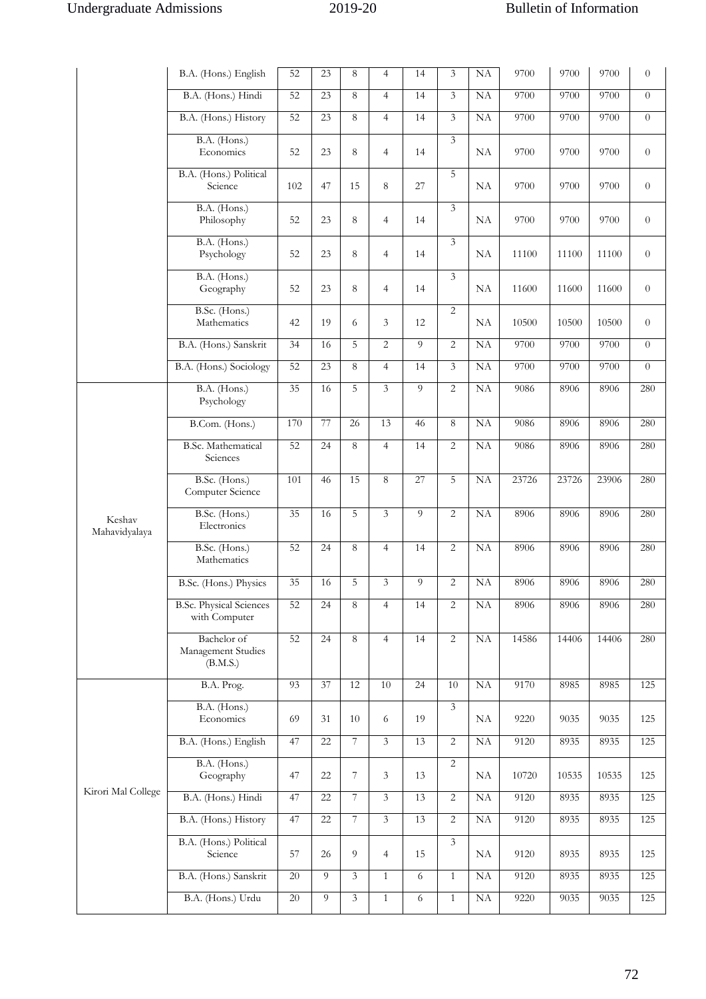|                         | B.A. (Hons.) English                            | 52              | 23 | 8                       | $\overline{4}$ | 14             | $\overline{3}$ | NA        | 9700  | 9700  | 9700  | $\theta$       |
|-------------------------|-------------------------------------------------|-----------------|----|-------------------------|----------------|----------------|----------------|-----------|-------|-------|-------|----------------|
|                         | B.A. (Hons.) Hindi                              | 52              | 23 | 8                       | $\overline{4}$ | 14             | $\overline{3}$ | NA        | 9700  | 9700  | 9700  | $\overline{0}$ |
|                         | B.A. (Hons.) History                            | 52              | 23 | 8                       | $\overline{4}$ | 14             | $\overline{3}$ | NA        | 9700  | 9700  | 9700  | $\theta$       |
|                         | B.A. (Hons.)<br>Economics                       | 52              | 23 | 8                       | $\overline{4}$ | 14             | $\overline{3}$ | <b>NA</b> | 9700  | 9700  | 9700  | $\theta$       |
|                         | B.A. (Hons.) Political<br>Science               | 102             | 47 | 15                      | 8              | 27             | $\overline{5}$ | NA        | 9700  | 9700  | 9700  | $\theta$       |
|                         | B.A. (Hons.)<br>Philosophy                      | 52              | 23 | 8                       | $\overline{4}$ | 14             | $\mathfrak{Z}$ | NA        | 9700  | 9700  | 9700  | $\overline{0}$ |
|                         | B.A. (Hons.)<br>Psychology                      | 52              | 23 | 8                       | $\overline{4}$ | 14             | 3              | <b>NA</b> | 11100 | 11100 | 11100 | $\theta$       |
|                         | B.A. (Hons.)<br>Geography                       | 52              | 23 | $\,8\,$                 | $\overline{4}$ | 14             | $\overline{3}$ | <b>NA</b> | 11600 | 11600 | 11600 | $\theta$       |
|                         | B.Sc. (Hons.)<br>Mathematics                    | 42              | 19 | 6                       | 3              | 12             | 2              | <b>NA</b> | 10500 | 10500 | 10500 | $\overline{0}$ |
|                         | B.A. (Hons.) Sanskrit                           | 34              | 16 | 5                       | $\overline{2}$ | 9              | $\overline{2}$ | NA        | 9700  | 9700  | 9700  | $\overline{0}$ |
|                         | B.A. (Hons.) Sociology                          | 52              | 23 | 8                       | $\overline{4}$ | 14             | $\mathfrak{Z}$ | NA        | 9700  | 9700  | 9700  | $\overline{0}$ |
|                         | B.A. (Hons.)<br>Psychology                      | 35              | 16 | 5                       | $\overline{3}$ | 9              | 2              | NA        | 9086  | 8906  | 8906  | 280            |
|                         | B.Com. (Hons.)                                  | 170             | 77 | 26                      | 13             | 46             | 8              | NA        | 9086  | 8906  | 8906  | 280            |
|                         | <b>B.Sc. Mathematical</b><br>Sciences           | 52              | 24 | 8                       | $\overline{4}$ | 14             | 2              | NA        | 9086  | 8906  | 8906  | 280            |
|                         | B.Sc. (Hons.)<br>Computer Science               | 101             | 46 | 15                      | 8              | 27             | 5              | NA        | 23726 | 23726 | 23906 | 280            |
| Keshav<br>Mahavidyalaya | B.Sc. (Hons.)<br>Electronics                    | 35              | 16 | $\overline{5}$          | $\overline{3}$ | $\overline{9}$ | $\overline{c}$ | <b>NA</b> | 8906  | 8906  | 8906  | 280            |
|                         | B.Sc. (Hons.)<br>Mathematics                    | 52              | 24 | 8                       | $\overline{4}$ | 14             | 2              | NA        | 8906  | 8906  | 8906  | 280            |
|                         | B.Sc. (Hons.) Physics                           | 35              | 16 | 5                       | 3              | 9              | 2              | NA        | 8906  | 8906  | 8906  | 280            |
|                         | <b>B.Sc. Physical Sciences</b><br>with Computer | 52              | 24 | 8                       | $\overline{4}$ | 14             | $\overline{2}$ | NA        | 8906  | 8906  | 8906  | 280            |
|                         | Bachelor of<br>Management Studies<br>(B.M.S.)   | 52              | 24 | 8                       | $\overline{4}$ | 14             | $\overline{2}$ | NA        | 14586 | 14406 | 14406 | 280            |
|                         | B.A. Prog.                                      | 93              | 37 | 12                      | $10\,$         | 24             | $10\,$         | NA        | 9170  | 8985  | 8985  | 125            |
|                         | B.A. (Hons.)<br>Economics                       | 69              | 31 | 10                      | 6              | 19             | $\mathfrak{Z}$ | NA        | 9220  | 9035  | 9035  | 125            |
|                         | B.A. (Hons.) English                            | 47              | 22 | $\boldsymbol{7}$        | $\overline{3}$ | 13             | 2              | NA        | 9120  | 8935  | 8935  | 125            |
|                         | B.A. (Hons.)<br>Geography                       | 47              | 22 | $\overline{7}$          | 3              | 13             | $\overline{2}$ | NA        | 10720 | 10535 | 10535 | 125            |
| Kirori Mal College      | B.A. (Hons.) Hindi                              | 47              | 22 | $\boldsymbol{7}$        | 3              | 13             | $\overline{2}$ | NA        | 9120  | 8935  | 8935  | 125            |
|                         | B.A. (Hons.) History                            | 47              | 22 | $\overline{7}$          | 3              | 13             | $\overline{2}$ | NA        | 9120  | 8935  | 8935  | 125            |
|                         | B.A. (Hons.) Political<br>Science               | 57              | 26 | 9                       | $\overline{4}$ | 15             | $\mathfrak{Z}$ | NA        | 9120  | 8935  | 8935  | 125            |
|                         | B.A. (Hons.) Sanskrit                           | 20              | 9  | $\mathfrak{Z}$          | $\mathbf{1}$   | 6              | $\mathbf{1}$   | NA        | 9120  | 8935  | 8935  | 125            |
|                         | B.A. (Hons.) Urdu                               | $\overline{20}$ | 9  | $\overline{\mathbf{3}}$ | $\mathbf{1}$   | 6              | $\mathbf{1}$   | NA        | 9220  | 9035  | 9035  | 125            |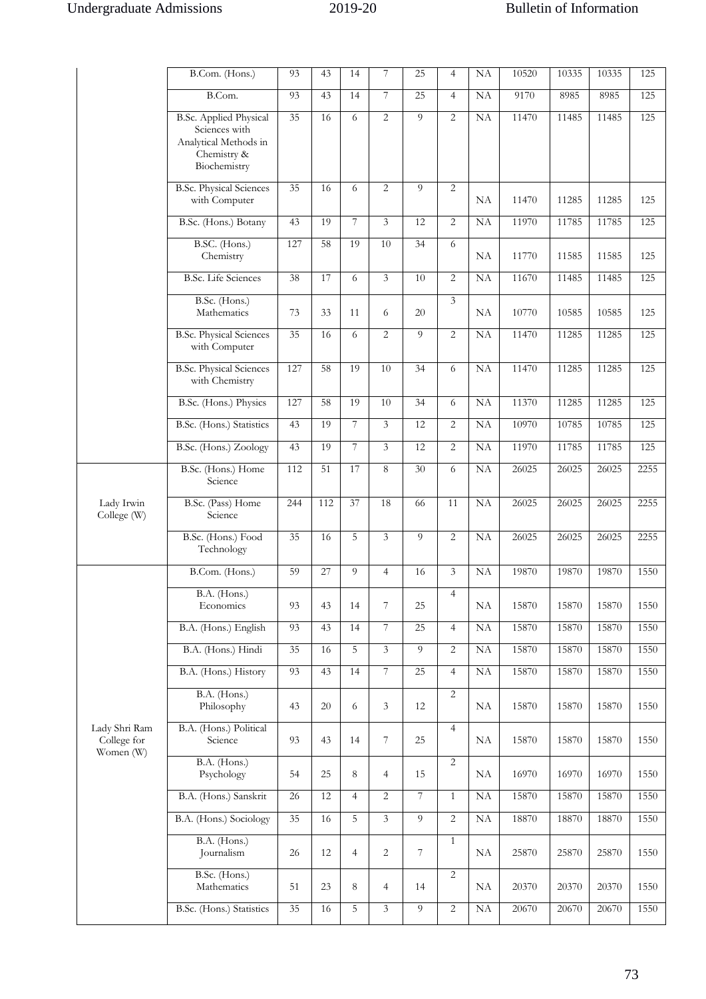|                                           | B.Com. (Hons.)                                  | 93              | 43  | 14             | 7              | 25             | $\overline{4}$ | NA | 10520 | 10335 | 10335 | 125  |
|-------------------------------------------|-------------------------------------------------|-----------------|-----|----------------|----------------|----------------|----------------|----|-------|-------|-------|------|
|                                           | B.Com.                                          | 93              | 43  | 14             | $\overline{7}$ | 25             | $\overline{4}$ | NA | 9170  | 8985  | 8985  | 125  |
|                                           | <b>B.Sc. Applied Physical</b><br>Sciences with  | 35              | 16  | 6              | $\overline{2}$ | 9              | 2              | NA | 11470 | 11485 | 11485 | 125  |
|                                           | Analytical Methods in                           |                 |     |                |                |                |                |    |       |       |       |      |
|                                           | Chemistry &<br>Biochemistry                     |                 |     |                |                |                |                |    |       |       |       |      |
|                                           | <b>B.Sc. Physical Sciences</b>                  | 35              | 16  | 6              | $\overline{c}$ | $\overline{9}$ | $\overline{2}$ |    |       |       |       |      |
|                                           | with Computer                                   |                 |     |                |                |                |                | NA | 11470 | 11285 | 11285 | 125  |
|                                           | B.Sc. (Hons.) Botany                            | 43              | 19  | 7              | $\overline{3}$ | 12             | $\overline{2}$ | NA | 11970 | 11785 | 11785 | 125  |
|                                           | B.SC. (Hons.)<br>Chemistry                      | 127             | 58  | 19             | 10             | 34             | 6              | NA | 11770 | 11585 | 11585 | 125  |
|                                           | <b>B.Sc.</b> Life Sciences                      | 38              | 17  | 6              | $\overline{3}$ | 10             | $\overline{2}$ | NA | 11670 | 11485 | 11485 | 125  |
|                                           | B.Sc. (Hons.)                                   |                 |     |                |                |                | 3              |    |       |       |       |      |
|                                           | Mathematics                                     | 73              | 33  | 11             | 6              | 20             |                | NA | 10770 | 10585 | 10585 | 125  |
|                                           | <b>B.Sc. Physical Sciences</b><br>with Computer | 35              | 16  | 6              | $\overline{2}$ | 9              | $\overline{2}$ | NA | 11470 | 11285 | 11285 | 125  |
|                                           | <b>B.Sc. Physical Sciences</b>                  | 127             | 58  | 19             | 10             | 34             | 6              | NA | 11470 | 11285 | 11285 | 125  |
|                                           | with Chemistry                                  |                 |     |                |                |                |                |    |       |       |       |      |
|                                           | B.Sc. (Hons.) Physics                           | 127             | 58  | 19             | 10             | 34             | 6              | NA | 11370 | 11285 | 11285 | 125  |
|                                           | B.Sc. (Hons.) Statistics                        | 43              | 19  | $\overline{7}$ | $\overline{3}$ | 12             | 2              | NA | 10970 | 10785 | 10785 | 125  |
|                                           | B.Sc. (Hons.) Zoology                           | 43              | 19  | 7              | $\overline{3}$ | 12             | $\overline{2}$ | NA | 11970 | 11785 | 11785 | 125  |
|                                           | B.Sc. (Hons.) Home<br>Science                   | 112             | 51  | 17             | 8              | 30             | 6              | NA | 26025 | 26025 | 26025 | 2255 |
| Lady Irwin<br>College (W)                 | B.Sc. (Pass) Home<br>Science                    | 244             | 112 | 37             | 18             | 66             | 11             | NA | 26025 | 26025 | 26025 | 2255 |
|                                           | B.Sc. (Hons.) Food<br>Technology                | 35              | 16  | 5              | $\overline{3}$ | 9              | 2              | NA | 26025 | 26025 | 26025 | 2255 |
|                                           | B.Com. (Hons.)                                  | 59              | 27  | 9              | $\overline{4}$ | 16             | 3              | NA | 19870 | 19870 | 19870 | 1550 |
|                                           | B.A. (Hons.)                                    |                 |     |                |                |                | $\overline{4}$ |    |       |       |       |      |
|                                           | Economics                                       | 93              | 43  | 14             | $\overline{7}$ | 25             |                | NA | 15870 | 15870 | 15870 | 1550 |
|                                           | B.A. (Hons.) English                            | 93              | 43  | 14             | $\overline{7}$ | 25             | $\overline{4}$ | NA | 15870 | 15870 | 15870 | 1550 |
|                                           | B.A. (Hons.) Hindi                              | $\overline{35}$ | 16  | 5              | $\overline{3}$ | 9              | $\overline{c}$ | NA | 15870 | 15870 | 15870 | 1550 |
|                                           | B.A. (Hons.) History                            | 93              | 43  | 14             | $\overline{7}$ | 25             | $\overline{4}$ | NA | 15870 | 15870 | 15870 | 1550 |
|                                           | B.A. (Hons.)<br>Philosophy                      | 43              | 20  | 6              | 3              | 12             | 2              | NA | 15870 | 15870 | 15870 | 1550 |
| Lady Shri Ram<br>College for<br>Women (W) | B.A. (Hons.) Political<br>Science               | 93              | 43  | 14             | 7              | 25             | $\overline{4}$ | NA | 15870 | 15870 | 15870 | 1550 |
|                                           | B.A. (Hons.)<br>Psychology                      | 54              | 25  | 8              | $\overline{4}$ | 15             | $\overline{2}$ | NA | 16970 | 16970 | 16970 | 1550 |
|                                           | B.A. (Hons.) Sanskrit                           | 26              | 12  | $\overline{4}$ | $\overline{2}$ | $\overline{7}$ | $\mathbf{1}$   | NA | 15870 | 15870 | 15870 | 1550 |
|                                           | B.A. (Hons.) Sociology                          | 35              | 16  | 5              | $\overline{3}$ | 9              | 2              | NA | 18870 | 18870 | 18870 | 1550 |
|                                           | B.A. (Hons.)<br>Journalism                      | 26              | 12  | 4              | $\overline{2}$ | $\overline{7}$ | $\mathbf{1}$   | NA | 25870 | 25870 | 25870 | 1550 |
|                                           | B.Sc. (Hons.)<br>Mathematics                    | 51              | 23  | 8              | $\overline{4}$ | 14             | $\overline{c}$ | NA | 20370 | 20370 | 20370 | 1550 |
|                                           | B.Sc. (Hons.) Statistics                        | 35              | 16  | 5              | 3              | 9              | $\overline{2}$ | NA | 20670 | 20670 | 20670 | 1550 |
|                                           |                                                 |                 |     |                |                |                |                |    |       |       |       |      |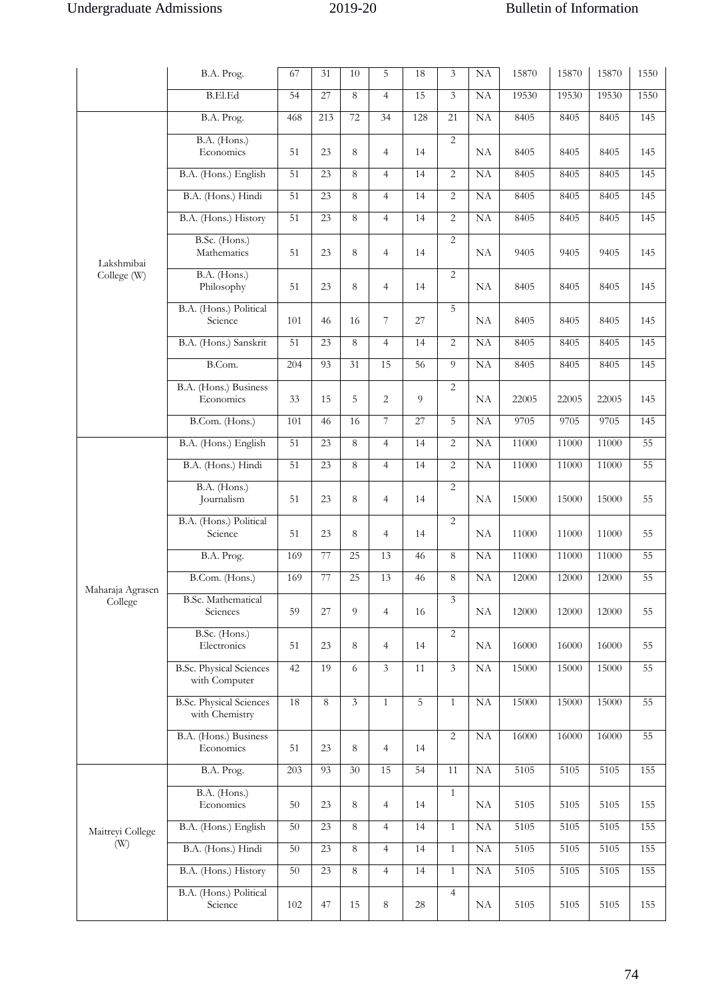|                  | B.A. Prog.                                       | 67              | 31  | 10             | 5              | 18              | 3                       | NA        | 15870 | 15870 | 15870 | 1550 |
|------------------|--------------------------------------------------|-----------------|-----|----------------|----------------|-----------------|-------------------------|-----------|-------|-------|-------|------|
|                  | <b>B.El.Ed</b>                                   | 54              | 27  | 8              | $\overline{4}$ | 15              | $\mathfrak{Z}$          | NA        | 19530 | 19530 | 19530 | 1550 |
|                  | B.A. Prog.                                       | 468             | 213 | 72             | 34             | 128             | 21                      | <b>NA</b> | 8405  | 8405  | 8405  | 145  |
|                  | B.A. (Hons.)<br>Economics                        | 51              | 23  | 8              | $\overline{4}$ | 14              | $\overline{2}$          | NA        | 8405  | 8405  | 8405  | 145  |
|                  | B.A. (Hons.) English                             | 51              | 23  | 8              | $\overline{4}$ | 14              | $\overline{2}$          | NA        | 8405  | 8405  | 8405  | 145  |
|                  | B.A. (Hons.) Hindi                               | 51              | 23  | 8              | $\overline{4}$ | 14              | $\overline{2}$          | NA        | 8405  | 8405  | 8405  | 145  |
|                  | B.A. (Hons.) History                             | 51              | 23  | 8              | $\overline{4}$ | 14              | $\overline{2}$          | <b>NA</b> | 8405  | 8405  | 8405  | 145  |
| Lakshmibai       | B.Sc. (Hons.)<br>Mathematics                     | 51              | 23  | 8              | $\overline{4}$ | 14              | $\overline{2}$          | NA        | 9405  | 9405  | 9405  | 145  |
| College (W)      | B.A. (Hons.)<br>Philosophy                       | 51              | 23  | $\,8\,$        | $\overline{4}$ | 14              | $\overline{2}$          | NA        | 8405  | 8405  | 8405  | 145  |
|                  | B.A. (Hons.) Political<br>Science                | 101             | 46  | 16             | $\overline{7}$ | 27              | 5                       | NA        | 8405  | 8405  | 8405  | 145  |
|                  | B.A. (Hons.) Sanskrit                            | 51              | 23  | 8              | $\overline{4}$ | 14              | $\overline{2}$          | NA        | 8405  | 8405  | 8405  | 145  |
|                  | B.Com.                                           | 204             | 93  | 31             | 15             | $\overline{56}$ | 9                       | NA        | 8405  | 8405  | 8405  | 145  |
|                  | B.A. (Hons.) Business<br>Economics               | 33              | 15  | 5              | $\overline{c}$ | 9               | 2                       | NA        | 22005 | 22005 | 22005 | 145  |
|                  | B.Com. (Hons.)                                   | 101             | 46  | 16             | 7              | 27              | 5                       | NA        | 9705  | 9705  | 9705  | 145  |
|                  | B.A. (Hons.) English                             | 51              | 23  | 8              | $\overline{4}$ | 14              | $\overline{2}$          | NA        | 11000 | 11000 | 11000 | 55   |
|                  | B.A. (Hons.) Hindi                               | $\overline{51}$ | 23  | 8              | $\overline{4}$ | 14              | $\overline{2}$          | NA        | 11000 | 11000 | 11000 | 55   |
|                  | B.A. (Hons.)<br>Journalism                       | 51              | 23  | $\,8\,$        | $\overline{4}$ | 14              | $\overline{2}$          | NA        | 15000 | 15000 | 15000 | 55   |
|                  | B.A. (Hons.) Political<br>Science                | 51              | 23  | 8              | $\overline{4}$ | 14              | $\overline{2}$          | NA        | 11000 | 11000 | 11000 | 55   |
|                  | B.A. Prog.                                       | 169             | 77  | 25             | 13             | 46              | 8                       | $\rm NA$  | 11000 | 11000 | 11000 | 55   |
| Maharaja Agrasen | B.Com. (Hons.)                                   | 169             | 77  | 25             | 13             | 46              | 8                       | NA        | 12000 | 12000 | 12000 | 55   |
| College          | <b>B.Sc. Mathematical</b><br>Sciences            | 59              | 27  | 9              | $\overline{4}$ | 16              | $\overline{3}$          | NA        | 12000 | 12000 | 12000 | 55   |
|                  | B.Sc. (Hons.)<br>Electronics                     | 51              | 23  | 8              | $\overline{4}$ | 14              | $\overline{2}$          | NA        | 16000 | 16000 | 16000 | 55   |
|                  | <b>B.Sc. Physical Sciences</b><br>with Computer  | 42              | 19  | 6              | $\overline{3}$ | 11              | $\overline{\mathbf{3}}$ | NA        | 15000 | 15000 | 15000 | 55   |
|                  | <b>B.Sc. Physical Sciences</b><br>with Chemistry | 18              | 8   | $\overline{3}$ | $\mathbf{1}$   | $\overline{5}$  | $\mathbf{1}$            | NA        | 15000 | 15000 | 15000 | 55   |
|                  | B.A. (Hons.) Business<br>Economics               | 51              | 23  | $\,8\,$        | $\overline{4}$ | 14              | $\sqrt{2}$              | NA        | 16000 | 16000 | 16000 | 55   |
|                  | B.A. Prog.                                       | 203             | 93  | 30             | 15             | 54              | 11                      | NA        | 5105  | 5105  | 5105  | 155  |
|                  | B.A. (Hons.)<br>Economics                        | 50              | 23  | 8              | $\overline{4}$ | 14              | $\mathbf{1}$            | NA        | 5105  | 5105  | 5105  | 155  |
| Maitreyi College | B.A. (Hons.) English                             | 50              | 23  | $\,8\,$        | $\overline{4}$ | 14              | $\mathbf{1}$            | NA        | 5105  | 5105  | 5105  | 155  |
| (W)              | B.A. (Hons.) Hindi                               | 50              | 23  | 8              | $\overline{4}$ | 14              | $\mathbf{1}$            | $\rm NA$  | 5105  | 5105  | 5105  | 155  |
|                  | B.A. (Hons.) History                             | 50              | 23  | 8              | $\overline{4}$ | 14              | $\mathbf{1}$            | NA        | 5105  | 5105  | 5105  | 155  |
|                  | B.A. (Hons.) Political<br>Science                | 102             | 47  | 15             | 8              | 28              | $\overline{4}$          | NA        | 5105  | 5105  | 5105  | 155  |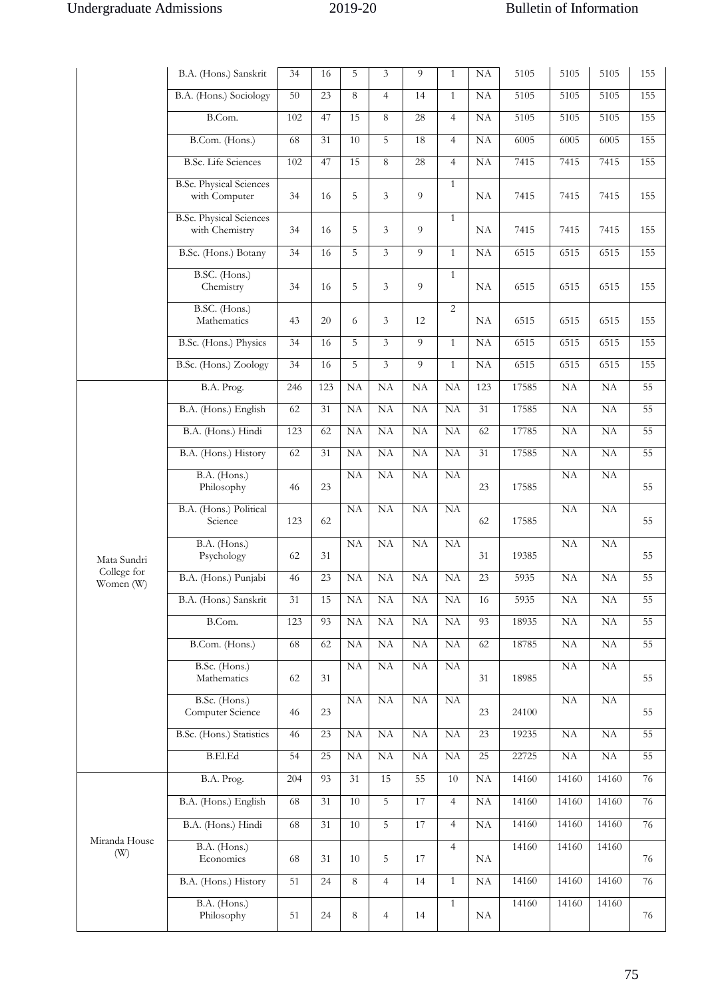|                          | B.A. (Hons.) Sanskrit                            | 34  | 16  | 5       | $\overline{3}$ | $\overline{O}$ | $\mathbf{1}$   | NA              | 5105  | 5105                | 5105      | 155 |
|--------------------------|--------------------------------------------------|-----|-----|---------|----------------|----------------|----------------|-----------------|-------|---------------------|-----------|-----|
|                          | B.A. (Hons.) Sociology                           | 50  | 23  | 8       | $\overline{4}$ | 14             | $\mathbf{1}$   | <b>NA</b>       | 5105  | 5105                | 5105      | 155 |
|                          | B.Com.                                           | 102 | 47  | 15      | 8              | 28             | $\overline{4}$ | NA              | 5105  | 5105                | 5105      | 155 |
|                          | B.Com. (Hons.)                                   | 68  | 31  | 10      | 5              | 18             | $\overline{4}$ | NA              | 6005  | 6005                | 6005      | 155 |
|                          | <b>B.Sc.</b> Life Sciences                       | 102 | 47  | 15      | 8              | 28             | $\overline{4}$ | NA              | 7415  | 7415                | 7415      | 155 |
|                          | <b>B.Sc. Physical Sciences</b><br>with Computer  | 34  | 16  | 5       | 3              | 9              | 1              | NA              | 7415  | 7415                | 7415      | 155 |
|                          | <b>B.Sc. Physical Sciences</b><br>with Chemistry | 34  | 16  | 5       | 3              | 9              | $\mathbf{1}$   | NA              | 7415  | 7415                | 7415      | 155 |
|                          | B.Sc. (Hons.) Botany                             | 34  | 16  | 5       | $\overline{3}$ | 9              | $\mathbf{1}$   | NA              | 6515  | 6515                | 6515      | 155 |
|                          | B.SC. (Hons.)<br>Chemistry                       | 34  | 16  | 5       | 3              | 9              | $\mathbf{1}$   | NA              | 6515  | 6515                | 6515      | 155 |
|                          | B.SC. (Hons.)<br>Mathematics                     | 43  | 20  | 6       | 3              | 12             | 2              | NA              | 6515  | 6515                | 6515      | 155 |
|                          | B.Sc. (Hons.) Physics                            | 34  | 16  | 5       | 3              | 9              | $\mathbf{1}$   | NA              | 6515  | 6515                | 6515      | 155 |
|                          | B.Sc. (Hons.) Zoology                            | 34  | 16  | 5       | $\overline{3}$ | $\overline{9}$ | $\mathbf{1}$   | NA              | 6515  | 6515                | 6515      | 155 |
|                          | B.A. Prog.                                       | 246 | 123 | NA      | NA             | NA             | <b>NA</b>      | 123             | 17585 | NA                  | NA        | 55  |
|                          | B.A. (Hons.) English                             | 62  | 31  | NA      | NA             | <b>NA</b>      | <b>NA</b>      | 31              | 17585 | NA                  | <b>NA</b> | 55  |
|                          | B.A. (Hons.) Hindi                               | 123 | 62  | NA      | NA             | <b>NA</b>      | NA             | 62              | 17785 | NA                  | NA        | 55  |
|                          | B.A. (Hons.) History                             | 62  | 31  | NA      | NA             | NA             | NA             | 31              | 17585 | NA                  | NA        | 55  |
|                          | B.A. (Hons.)<br>Philosophy                       | 46  | 23  | NA      | NA             | NA             | NA             | 23              | 17585 | NA                  | NA        | 55  |
|                          | B.A. (Hons.) Political<br>Science                | 123 | 62  | NA      | NA             | <b>NA</b>      | <b>NA</b>      | 62              | 17585 | NA                  | NA        | 55  |
| Mata Sundri              | B.A. (Hons.)<br>Psychology                       | 62  | 31  | NA      | NA             | NA             | NA             | 31              | 19385 | NA                  | NA        | 55  |
| College for<br>Women (W) | B.A. (Hons.) Punjabi                             | 46  | 23  | NA      | NA             | NA             | NA             | $\overline{23}$ | 5935  | NA                  | NA        | 55  |
|                          | B.A. (Hons.) Sanskrit                            | 31  | 15  | NA      | NA             | NA             | NA             | 16              | 5935  | NA                  | NA        | 55  |
|                          | B.Com.                                           | 123 | 93  | NA      | NA             | NA             | NA             | 93              | 18935 | $\rm NA$            | NA        | 55  |
|                          | B.Com. (Hons.)                                   | 68  | 62  | NA      | NA             | NA             | NA             | 62              | 18785 | NA                  | NA        | 55  |
|                          | B.Sc. (Hons.)<br>Mathematics                     | 62  | 31  | NA      | NA             | NA             | <b>NA</b>      | 31              | 18985 | NA                  | NA        | 55  |
|                          | B.Sc. (Hons.)<br>Computer Science                | 46  | 23  | NA      | NA             | $\rm NA$       | NA             | 23              | 24100 | NA                  | $\rm NA$  | 55  |
|                          | B.Sc. (Hons.) Statistics                         | 46  | 23  | NA      | NA             | NA             | NA             | 23              | 19235 | NA                  | NA        | 55  |
|                          | <b>B.El.Ed</b>                                   | 54  | 25  | NA      | NA             | NA             | NA             | 25              | 22725 | $\overline{\rm NA}$ | NA        | 55  |
|                          | B.A. Prog.                                       | 204 | 93  | 31      | 15             | 55             | 10             | NA              | 14160 | 14160               | 14160     | 76  |
|                          | B.A. (Hons.) English                             | 68  | 31  | 10      | 5              | 17             | $\overline{4}$ | $\rm NA$        | 14160 | 14160               | 14160     | 76  |
|                          | B.A. (Hons.) Hindi                               | 68  | 31  | 10      | 5              | 17             | $\overline{4}$ | $\rm NA$        | 14160 | 14160               | 14160     | 76  |
| Miranda House<br>(W)     | B.A. (Hons.)<br>Economics                        | 68  | 31  | 10      | 5              | 17             | $\overline{4}$ | NA              | 14160 | 14160               | 14160     | 76  |
|                          | B.A. (Hons.) History                             | 51  | 24  | $\,8\,$ | $\overline{4}$ | 14             | $\mathbf{1}$   | $\rm NA$        | 14160 | 14160               | 14160     | 76  |
|                          | B.A. (Hons.)<br>Philosophy                       | 51  | 24  | $\,8\,$ | $\overline{4}$ | 14             | $\mathbf{1}$   | NA              | 14160 | 14160               | 14160     | 76  |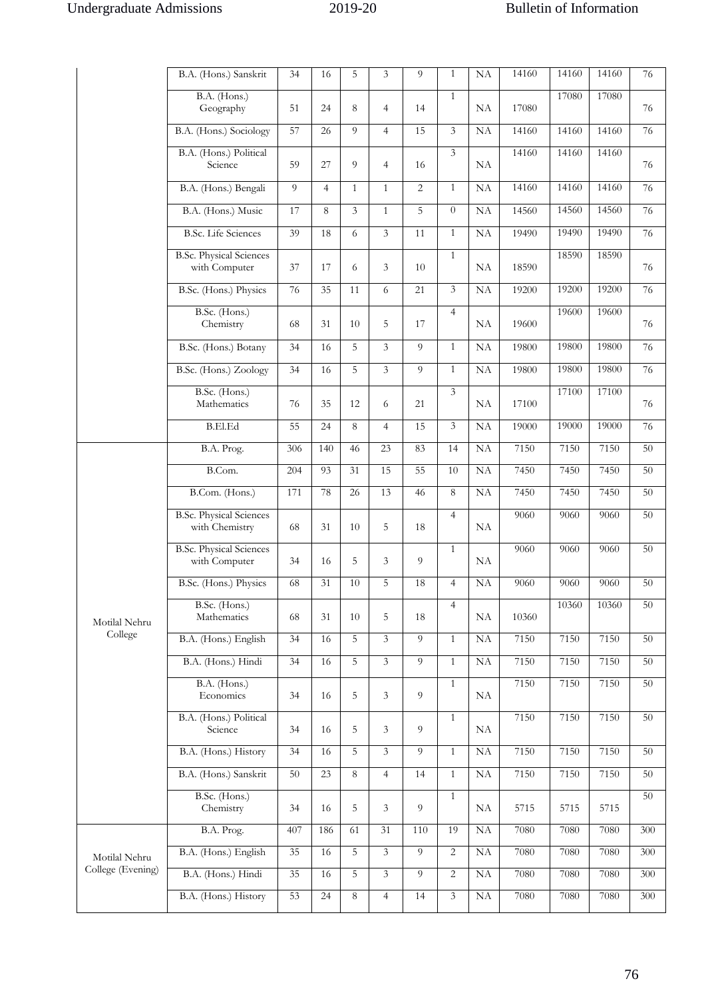|                   | B.A. (Hons.) Sanskrit                            | 34  | 16             | 5            | 3              | 9              | $\mathbf{1}$   | NA        | 14160 | 14160 | 14160 | 76  |
|-------------------|--------------------------------------------------|-----|----------------|--------------|----------------|----------------|----------------|-----------|-------|-------|-------|-----|
|                   | B.A. (Hons.)<br>Geography                        | 51  | 24             | 8            | $\overline{4}$ | 14             | $\mathbf{1}$   | <b>NA</b> | 17080 | 17080 | 17080 | 76  |
|                   | B.A. (Hons.) Sociology                           | 57  | 26             | 9            | $\overline{4}$ | 15             | 3              | NA        | 14160 | 14160 | 14160 | 76  |
|                   | B.A. (Hons.) Political<br>Science                | 59  | 27             | 9            | $\overline{4}$ | 16             | 3              | NA        | 14160 | 14160 | 14160 | 76  |
|                   | B.A. (Hons.) Bengali                             | 9   | $\overline{4}$ | $\mathbf{1}$ | $\mathbf{1}$   | $\overline{2}$ | $\mathbf{1}$   | NA        | 14160 | 14160 | 14160 | 76  |
|                   | B.A. (Hons.) Music                               | 17  | 8              | 3            | $\mathbf{1}$   | 5              | $\theta$       | NA        | 14560 | 14560 | 14560 | 76  |
|                   | <b>B.Sc.</b> Life Sciences                       | 39  | 18             | 6            | 3              | 11             | $\mathbf{1}$   | NA        | 19490 | 19490 | 19490 | 76  |
|                   | <b>B.Sc. Physical Sciences</b><br>with Computer  | 37  | 17             | 6            | 3              | 10             | $\mathbf{1}$   | NA        | 18590 | 18590 | 18590 | 76  |
|                   | B.Sc. (Hons.) Physics                            | 76  | 35             | 11           | 6              | 21             | 3              | NA        | 19200 | 19200 | 19200 | 76  |
|                   | B.Sc. (Hons.)<br>Chemistry                       | 68  | 31             | 10           | 5              | 17             | $\overline{4}$ | NA        | 19600 | 19600 | 19600 | 76  |
|                   | B.Sc. (Hons.) Botany                             | 34  | 16             | 5            | 3              | 9              | $\mathbf{1}$   | NA        | 19800 | 19800 | 19800 | 76  |
|                   | B.Sc. (Hons.) Zoology                            | 34  | 16             | 5            | 3              | 9              | $\mathbf{1}$   | NA        | 19800 | 19800 | 19800 | 76  |
|                   | B.Sc. (Hons.)<br>Mathematics                     | 76  | 35             | 12           | 6              | 21             | 3              | <b>NA</b> | 17100 | 17100 | 17100 | 76  |
|                   | <b>B.El.Ed</b>                                   | 55  | 24             | 8            | $\overline{4}$ | 15             | 3              | NA        | 19000 | 19000 | 19000 | 76  |
|                   | B.A. Prog.                                       | 306 | 140            | 46           | 23             | 83             | 14             | NA        | 7150  | 7150  | 7150  | 50  |
|                   | B.Com.                                           | 204 | 93             | 31           | 15             | 55             | 10             | NA        | 7450  | 7450  | 7450  | 50  |
|                   | B.Com. (Hons.)                                   | 171 | 78             | 26           | 13             | 46             | 8              | NA        | 7450  | 7450  | 7450  | 50  |
|                   | <b>B.Sc. Physical Sciences</b><br>with Chemistry | 68  | 31             | 10           | 5              | 18             | $\overline{4}$ | NA        | 9060  | 9060  | 9060  | 50  |
|                   | <b>B.Sc. Physical Sciences</b><br>with Computer  | 34  | 16             | 5            | 3              | 9              | $\mathbf{1}$   | NA        | 9060  | 9060  | 9060  | 50  |
|                   | B.Sc. (Hons.) Physics                            | 68  | 31             | 10           | 5              | 18             | $\overline{4}$ | NA        | 9060  | 9060  | 9060  | 50  |
| Motilal Nehru     | B.Sc. (Hons.)<br>Mathematics                     | 68  | 31             | 10           | 5              | 18             | $\overline{4}$ | NA        | 10360 | 10360 | 10360 | 50  |
| College           | B.A. (Hons.) English                             | 34  | 16             | 5            | 3              | 9              | $\mathbf{1}$   | NA        | 7150  | 7150  | 7150  | 50  |
|                   | B.A. (Hons.) Hindi                               | 34  | 16             | 5            | $\overline{3}$ | 9              | $\mathbf{1}$   | NA        | 7150  | 7150  | 7150  | 50  |
|                   | B.A. (Hons.)<br>Economics                        | 34  | 16             | 5            | 3              | 9              | $\mathbf{1}$   | NA        | 7150  | 7150  | 7150  | 50  |
|                   | B.A. (Hons.) Political<br>Science                | 34  | 16             | 5            | 3              | 9              | $\mathbf{1}$   | NA        | 7150  | 7150  | 7150  | 50  |
|                   | B.A. (Hons.) History                             | 34  | 16             | 5            | $\overline{3}$ | 9              | $\mathbf{1}$   | $\rm NA$  | 7150  | 7150  | 7150  | 50  |
|                   | B.A. (Hons.) Sanskrit                            | 50  | 23             | $\,8\,$      | $\overline{4}$ | 14             | $\mathbf{1}$   | NA        | 7150  | 7150  | 7150  | 50  |
|                   | B.Sc. (Hons.)<br>Chemistry                       | 34  | 16             | 5            | 3              | 9              | $\mathbf{1}$   | NA        | 5715  | 5715  | 5715  | 50  |
|                   | B.A. Prog.                                       | 407 | 186            | 61           | 31             | 110            | 19             | NA        | 7080  | 7080  | 7080  | 300 |
| Motilal Nehru     | B.A. (Hons.) English                             | 35  | 16             | 5            | $\mathfrak{Z}$ | 9              | 2              | NA        | 7080  | 7080  | 7080  | 300 |
| College (Evening) | B.A. (Hons.) Hindi                               | 35  | 16             | 5            | $\mathfrak{Z}$ | 9              | 2              | NA        | 7080  | 7080  | 7080  | 300 |
|                   | B.A. (Hons.) History                             | 53  | 24             | $\sqrt{8}$   | $\overline{4}$ | 14             | $\mathfrak{Z}$ | NA        | 7080  | 7080  | 7080  | 300 |
|                   |                                                  |     |                |              |                |                |                |           |       |       |       |     |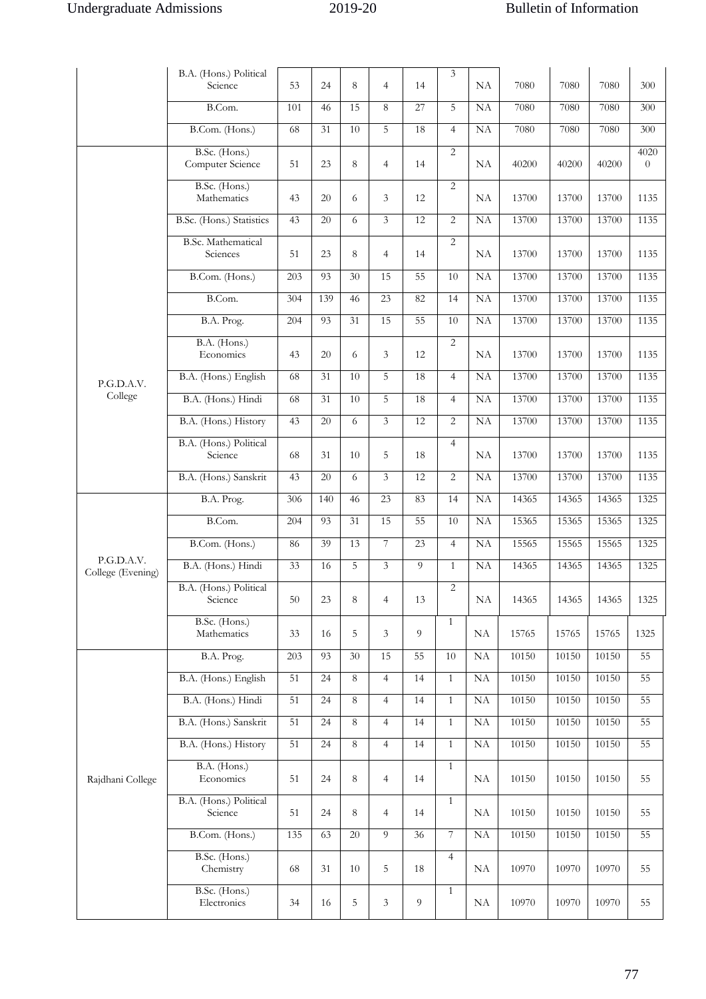|                                 | B.A. (Hons.) Political<br>Science | 53              | 24              | 8          | $\overline{4}$ | 14             | 3                | NA        | 7080  | 7080  | 7080  | 300                    |
|---------------------------------|-----------------------------------|-----------------|-----------------|------------|----------------|----------------|------------------|-----------|-------|-------|-------|------------------------|
|                                 | B.Com.                            | 101             | 46              | 15         | 8              | 27             | 5                | NA        | 7080  | 7080  | 7080  | 300                    |
|                                 | B.Com. (Hons.)                    | 68              | 31              | 10         | 5              | 18             | $\overline{4}$   | <b>NA</b> | 7080  | 7080  | 7080  | 300                    |
|                                 | B.Sc. (Hons.)<br>Computer Science | 51              | 23              | 8          | $\overline{4}$ | 14             | 2                | NA        | 40200 | 40200 | 40200 | 4020<br>$\overline{0}$ |
|                                 | B.Sc. (Hons.)<br>Mathematics      | 43              | 20              | 6          | 3              | 12             | $\overline{2}$   | NA        | 13700 | 13700 | 13700 | 1135                   |
|                                 | B.Sc. (Hons.) Statistics          | 43              | 20              | 6          | $\overline{3}$ | 12             | 2                | NA        | 13700 | 13700 | 13700 | 1135                   |
|                                 | B.Sc. Mathematical<br>Sciences    | 51              | 23              | 8          | $\overline{4}$ | 14             | $\overline{2}$   | NA        | 13700 | 13700 | 13700 | 1135                   |
|                                 | B.Com. (Hons.)                    | 203             | 93              | 30         | 15             | 55             | 10               | NA        | 13700 | 13700 | 13700 | 1135                   |
|                                 | B.Com.                            | 304             | 139             | 46         | 23             | 82             | 14               | <b>NA</b> | 13700 | 13700 | 13700 | 1135                   |
|                                 | B.A. Prog.                        | 204             | 93              | 31         | 15             | 55             | 10               | NA        | 13700 | 13700 | 13700 | 1135                   |
|                                 | B.A. (Hons.)<br>Economics         | 43              | 20              | 6          | 3              | 12             | 2                | NA        | 13700 | 13700 | 13700 | 1135                   |
| P.G.D.A.V.                      | B.A. (Hons.) English              | 68              | 31              | 10         | 5              | 18             | $\overline{4}$   | NA        | 13700 | 13700 | 13700 | 1135                   |
| College                         | B.A. (Hons.) Hindi                | 68              | 31              | 10         | 5              | 18             | $\overline{4}$   | NA        | 13700 | 13700 | 13700 | 1135                   |
|                                 | B.A. (Hons.) History              | 43              | 20              | 6          | $\overline{3}$ | 12             | 2                | <b>NA</b> | 13700 | 13700 | 13700 | 1135                   |
|                                 | B.A. (Hons.) Political<br>Science | 68              | 31              | 10         | 5              | 18             | $\overline{4}$   | NA        | 13700 | 13700 | 13700 | 1135                   |
|                                 | B.A. (Hons.) Sanskrit             | 43              | 20              | 6          | 3              | 12             | 2                | NA        | 13700 | 13700 | 13700 | 1135                   |
|                                 | B.A. Prog.                        | 306             | 140             | 46         | 23             | 83             | 14               | NA        | 14365 | 14365 | 14365 | 1325                   |
|                                 | B.Com.                            | 204             | 93              | 31         | 15             | 55             | 10               | NA        | 15365 | 15365 | 15365 | 1325                   |
|                                 | B.Com. (Hons.)                    | 86              | 39              | 13         | $\overline{7}$ | 23             | $\overline{4}$   | NA        | 15565 | 15565 | 15565 | 1325                   |
| P.G.D.A.V.<br>College (Evening) | B.A. (Hons.) Hindi                | 33              | 16              | 5          | $\overline{3}$ | $\overline{9}$ | $\mathbf{1}$     | NA        | 14365 | 14365 | 14365 | 1325                   |
|                                 | B.A. (Hons.) Political<br>Science | 50              | 23              | $\,8\,$    | $\overline{4}$ | 13             | $\overline{2}$   | NA        | 14365 | 14365 | 14365 | 1325                   |
|                                 | B.Sc. (Hons.)<br>Mathematics      | 33              | 16              | 5          | 3              | 9              | $\mathbf{1}$     | NA        | 15765 | 15765 | 15765 | 1325                   |
|                                 | B.A. Prog.                        | 203             | 93              | 30         | 15             | 55             | 10               | NA        | 10150 | 10150 | 10150 | 55                     |
|                                 | B.A. (Hons.) English              | 51              | $\overline{24}$ | 8          | $\overline{4}$ | 14             | $\mathbf{1}$     | NA        | 10150 | 10150 | 10150 | 55                     |
|                                 | B.A. (Hons.) Hindi                | 51              | 24              | $\sqrt{8}$ | $\overline{4}$ | 14             | $\mathbf{1}$     | $\rm NA$  | 10150 | 10150 | 10150 | 55                     |
|                                 | B.A. (Hons.) Sanskrit             | $\overline{51}$ | 24              | $\,8\,$    | $\overline{4}$ | 14             | $\mathbf{1}$     | NA        | 10150 | 10150 | 10150 | 55                     |
|                                 | B.A. (Hons.) History              | 51              | 24              | 8          | $\overline{4}$ | 14             | $\mathbf{1}$     | NA        | 10150 | 10150 | 10150 | 55                     |
| Rajdhani College                | B.A. (Hons.)<br>Economics         | 51              | 24              | 8          | $\overline{4}$ | 14             | $\mathbf{1}$     | NA        | 10150 | 10150 | 10150 | 55                     |
|                                 | B.A. (Hons.) Political<br>Science | 51              | 24              | 8          | $\overline{4}$ | 14             | $\mathbf{1}$     | NA        | 10150 | 10150 | 10150 | 55                     |
|                                 | B.Com. (Hons.)                    | 135             | 63              | 20         | 9              | 36             | $\boldsymbol{7}$ | NA        | 10150 | 10150 | 10150 | 55                     |
|                                 | B.Sc. (Hons.)<br>Chemistry        | 68              | 31              | 10         | 5              | 18             | $\overline{4}$   | NA        | 10970 | 10970 | 10970 | 55                     |
|                                 | B.Sc. (Hons.)<br>Electronics      | 34              | 16              | 5          | 3              | 9              | $\mathbf{1}$     | NA        | 10970 | 10970 | 10970 | 55                     |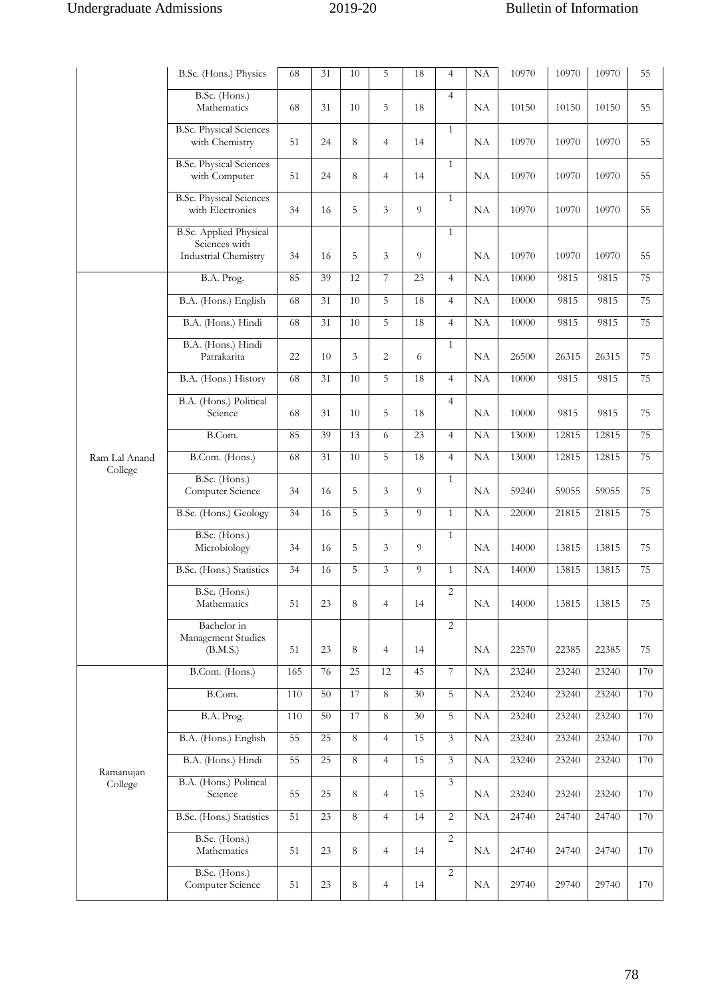|                      | B.Sc. (Hons.) Physics                                                  | 68  | 31 | 10      | 5              | 18 | $\overline{4}$  | NA | 10970 | 10970 | 10970 | 55  |
|----------------------|------------------------------------------------------------------------|-----|----|---------|----------------|----|-----------------|----|-------|-------|-------|-----|
|                      | B.Sc. (Hons.)<br>Mathematics                                           | 68  | 31 | 10      | 5              | 18 | $\overline{4}$  | NA | 10150 | 10150 | 10150 | 55  |
|                      | <b>B.Sc. Physical Sciences</b><br>with Chemistry                       | 51  | 24 | 8       | $\overline{4}$ | 14 | $\mathbf{1}$    | NA | 10970 | 10970 | 10970 | 55  |
|                      | <b>B.Sc. Physical Sciences</b><br>with Computer                        | 51  | 24 | 8       | $\overline{4}$ | 14 | 1               | NA | 10970 | 10970 | 10970 | 55  |
|                      | <b>B.Sc. Physical Sciences</b><br>with Electronics                     | 34  | 16 | 5       | 3              | 9  | $\mathbf{1}$    | NA | 10970 | 10970 | 10970 | 55  |
|                      | <b>B.Sc. Applied Physical</b><br>Sciences with<br>Industrial Chemistry | 34  | 16 | 5       | 3              | 9  | $\mathbf{1}$    | NA | 10970 | 10970 | 10970 | 55  |
|                      | B.A. Prog.                                                             | 85  | 39 | 12      | $\overline{7}$ | 23 | $\overline{4}$  | NA | 10000 | 9815  | 9815  | 75  |
|                      | B.A. (Hons.) English                                                   | 68  | 31 | 10      | 5              | 18 | $\overline{4}$  | NA | 10000 | 9815  | 9815  | 75  |
|                      | B.A. (Hons.) Hindi                                                     | 68  | 31 | 10      | 5              | 18 | $\overline{4}$  | NA | 10000 | 9815  | 9815  | 75  |
|                      | B.A. (Hons.) Hindi<br>Patrakarita                                      | 22  | 10 | 3       | $\overline{2}$ | 6  | $\mathbf{1}$    | NA | 26500 | 26315 | 26315 | 75  |
|                      | B.A. (Hons.) History                                                   | 68  | 31 | 10      | 5              | 18 | $\overline{4}$  | NA | 10000 | 9815  | 9815  | 75  |
|                      | B.A. (Hons.) Political<br>Science                                      | 68  | 31 | 10      | 5              | 18 | $\overline{4}$  | NA | 10000 | 9815  | 9815  | 75  |
|                      | B.Com.                                                                 | 85  | 39 | 13      | 6              | 23 | $\overline{4}$  | NA | 13000 | 12815 | 12815 | 75  |
| Ram Lal Anand        | B.Com. (Hons.)                                                         | 68  | 31 | 10      | 5              | 18 | $\overline{4}$  | NA | 13000 | 12815 | 12815 | 75  |
| College              | B.Sc. (Hons.)<br>Computer Science                                      | 34  | 16 | 5       | 3              | 9  | $\mathbf{1}$    | NA | 59240 | 59055 | 59055 | 75  |
|                      | B.Sc. (Hons.) Geology                                                  | 34  | 16 | 5       | $\mathfrak{Z}$ | 9  | $\mathbf{1}$    | NA | 22000 | 21815 | 21815 | 75  |
|                      | B.Sc. (Hons.)<br>Microbiology                                          | 34  | 16 | 5       | 3              | 9  | 1               | NA | 14000 | 13815 | 13815 | 75  |
|                      | B.Sc. (Hons.) Statistics                                               | 34  | 16 | 5       | 3              | 9  | $\mathbf{1}$    | NA | 14000 | 13815 | 13815 | 75  |
|                      | B.Sc. (Hons.)<br>Mathematics                                           | 51  | 23 | 8       | $\overline{4}$ | 14 | 2               | NA | 14000 | 13815 | 13815 | 75  |
|                      | Bachelor in<br>Management Studies<br>(B.M.S.)                          | 51  | 23 | 8       | $\overline{4}$ | 14 | $\overline{2}$  | NA | 22570 | 22385 | 22385 | 75  |
|                      | B.Com. (Hons.)                                                         | 165 | 76 | 25      | 12             | 45 | $7\phantom{.0}$ | NA | 23240 | 23240 | 23240 | 170 |
|                      | B.Com.                                                                 | 110 | 50 | 17      | $8\,$          | 30 | 5               | NA | 23240 | 23240 | 23240 | 170 |
|                      | B.A. Prog.                                                             | 110 | 50 | 17      | 8              | 30 | $\overline{5}$  | NA | 23240 | 23240 | 23240 | 170 |
|                      | B.A. (Hons.) English                                                   | 55  | 25 | 8       | $\overline{4}$ | 15 | $\mathfrak{Z}$  | NA | 23240 | 23240 | 23240 | 170 |
|                      | B.A. (Hons.) Hindi                                                     | 55  | 25 | 8       | $\overline{4}$ | 15 | $\mathfrak{Z}$  | NA | 23240 | 23240 | 23240 | 170 |
| Ramanujan<br>College | B.A. (Hons.) Political<br>Science                                      | 55  | 25 | $\,8\,$ | $\overline{4}$ | 15 | $\mathfrak{Z}$  | NA | 23240 | 23240 | 23240 | 170 |
|                      | B.Sc. (Hons.) Statistics                                               | 51  | 23 | 8       | $\overline{4}$ | 14 | 2               | NA | 24740 | 24740 | 24740 | 170 |
|                      | B.Sc. (Hons.)<br>Mathematics                                           | 51  | 23 | 8       | $\overline{4}$ | 14 | $\overline{2}$  | NA | 24740 | 24740 | 24740 | 170 |
|                      | B.Sc. (Hons.)<br>Computer Science                                      | 51  | 23 | 8       | $\overline{4}$ | 14 | $\overline{2}$  | NA | 29740 | 29740 | 29740 | 170 |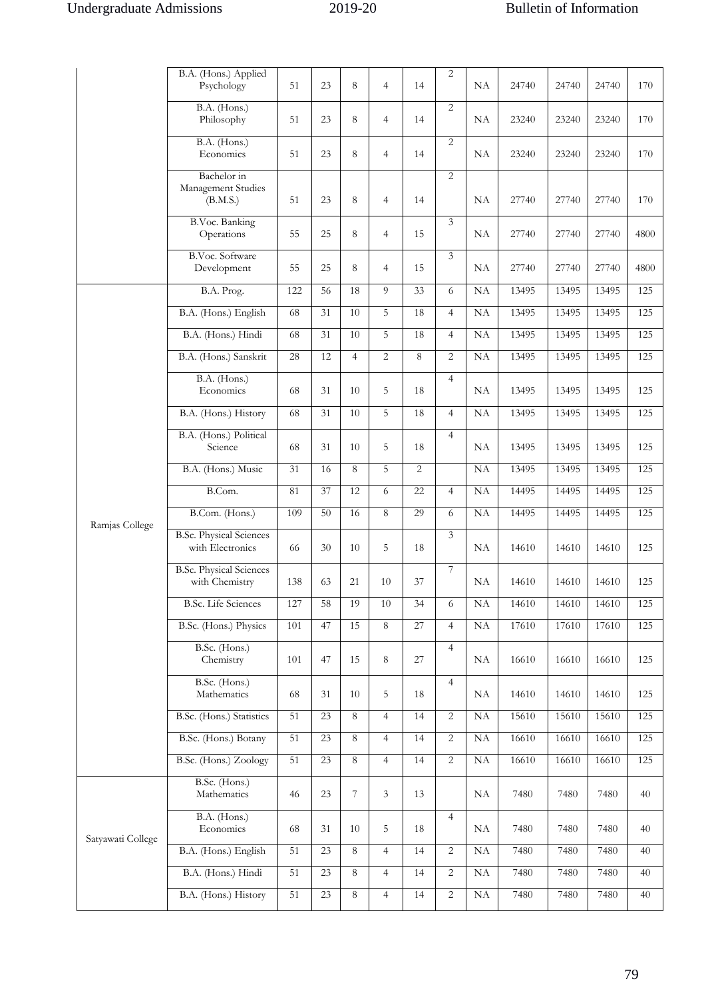|                   | B.A. (Hons.) Applied<br>Psychology                 | 51  | 23 | 8              | $\overline{4}$ | 14 | $\overline{2}$ | NA | 24740 | 24740 | 24740 | 170  |
|-------------------|----------------------------------------------------|-----|----|----------------|----------------|----|----------------|----|-------|-------|-------|------|
|                   | B.A. (Hons.)<br>Philosophy                         | 51  | 23 | 8              | $\overline{4}$ | 14 | $\overline{2}$ | NA | 23240 | 23240 | 23240 | 170  |
|                   | B.A. (Hons.)<br>Economics                          | 51  | 23 | 8              | $\overline{4}$ | 14 | $\overline{2}$ | NA | 23240 | 23240 | 23240 | 170  |
|                   | Bachelor in<br>Management Studies<br>(B.M.S.)      | 51  | 23 | 8              | $\overline{4}$ | 14 | 2              | NA | 27740 | 27740 | 27740 | 170  |
|                   | <b>B.Voc. Banking</b><br>Operations                | 55  | 25 | 8              | $\overline{4}$ | 15 | 3              | NA | 27740 | 27740 | 27740 | 4800 |
|                   | B.Voc. Software<br>Development                     | 55  | 25 | 8              | $\overline{4}$ | 15 | $\overline{3}$ | NA | 27740 | 27740 | 27740 | 4800 |
|                   | B.A. Prog.                                         | 122 | 56 | 18             | 9              | 33 | 6              | NA | 13495 | 13495 | 13495 | 125  |
|                   | B.A. (Hons.) English                               | 68  | 31 | 10             | 5              | 18 | $\overline{4}$ | NA | 13495 | 13495 | 13495 | 125  |
|                   | B.A. (Hons.) Hindi                                 | 68  | 31 | 10             | 5              | 18 | $\overline{4}$ | NA | 13495 | 13495 | 13495 | 125  |
|                   | B.A. (Hons.) Sanskrit                              | 28  | 12 | $\overline{4}$ | $\overline{2}$ | 8  | $\overline{2}$ | NA | 13495 | 13495 | 13495 | 125  |
|                   | B.A. (Hons.)<br>Economics                          | 68  | 31 | 10             | 5              | 18 | $\overline{4}$ | NA | 13495 | 13495 | 13495 | 125  |
|                   | B.A. (Hons.) History                               | 68  | 31 | 10             | 5              | 18 | $\overline{4}$ | NA | 13495 | 13495 | 13495 | 125  |
|                   | B.A. (Hons.) Political<br>Science                  | 68  | 31 | 10             | 5              | 18 | $\overline{4}$ | NA | 13495 | 13495 | 13495 | 125  |
|                   | B.A. (Hons.) Music                                 | 31  | 16 | 8              | 5              | 2  |                | NA | 13495 | 13495 | 13495 | 125  |
|                   | B.Com.                                             | 81  | 37 | 12             | 6              | 22 | $\overline{4}$ | NA | 14495 | 14495 | 14495 | 125  |
|                   | B.Com. (Hons.)                                     | 109 | 50 | 16             | 8              | 29 | 6              | NA | 14495 | 14495 | 14495 | 125  |
| Ramjas College    | <b>B.Sc. Physical Sciences</b><br>with Electronics | 66  | 30 | 10             | 5              | 18 | 3              | NA | 14610 | 14610 | 14610 | 125  |
|                   | <b>B.Sc. Physical Sciences</b><br>with Chemistry   | 138 | 63 | 21             | 10             | 37 | 7              | NA | 14610 | 14610 | 14610 | 125  |
|                   | <b>B.Sc.</b> Life Sciences                         | 127 | 58 | 19             | 10             | 34 | 6              | NA | 14610 | 14610 | 14610 | 125  |
|                   | B.Sc. (Hons.) Physics                              | 101 | 47 | 15             | 8              | 27 | $\overline{4}$ | NA | 17610 | 17610 | 17610 | 125  |
|                   | B.Sc. (Hons.)<br>Chemistry                         | 101 | 47 | 15             | 8              | 27 | $\overline{4}$ | NA | 16610 | 16610 | 16610 | 125  |
|                   | B.Sc. (Hons.)<br>Mathematics                       | 68  | 31 | 10             | 5              | 18 | $\overline{4}$ | NA | 14610 | 14610 | 14610 | 125  |
|                   | B.Sc. (Hons.) Statistics                           | 51  | 23 | 8              | $\overline{4}$ | 14 | $\overline{c}$ | NA | 15610 | 15610 | 15610 | 125  |
|                   | B.Sc. (Hons.) Botany                               | 51  | 23 | $\overline{8}$ | $\overline{4}$ | 14 | $\overline{2}$ | NA | 16610 | 16610 | 16610 | 125  |
|                   | B.Sc. (Hons.) Zoology                              | 51  | 23 | 8              | $\overline{4}$ | 14 | $\overline{2}$ | NA | 16610 | 16610 | 16610 | 125  |
|                   | B.Sc. (Hons.)<br>Mathematics                       | 46  | 23 | $\overline{7}$ | $\mathfrak{Z}$ | 13 |                | NA | 7480  | 7480  | 7480  | 40   |
| Satyawati College | B.A. (Hons.)<br>Economics                          | 68  | 31 | 10             | 5              | 18 | $\overline{4}$ | NA | 7480  | 7480  | 7480  | 40   |
|                   | B.A. (Hons.) English                               | 51  | 23 | $\,8\,$        | $\overline{4}$ | 14 | $\overline{2}$ | NA | 7480  | 7480  | 7480  | 40   |
|                   | B.A. (Hons.) Hindi                                 | 51  | 23 | $\,8\,$        | $\overline{4}$ | 14 | $\overline{c}$ | NA | 7480  | 7480  | 7480  | 40   |
|                   | B.A. (Hons.) History                               | 51  | 23 | $\,8\,$        | $\overline{4}$ | 14 | $\overline{c}$ | NA | 7480  | 7480  | 7480  | 40   |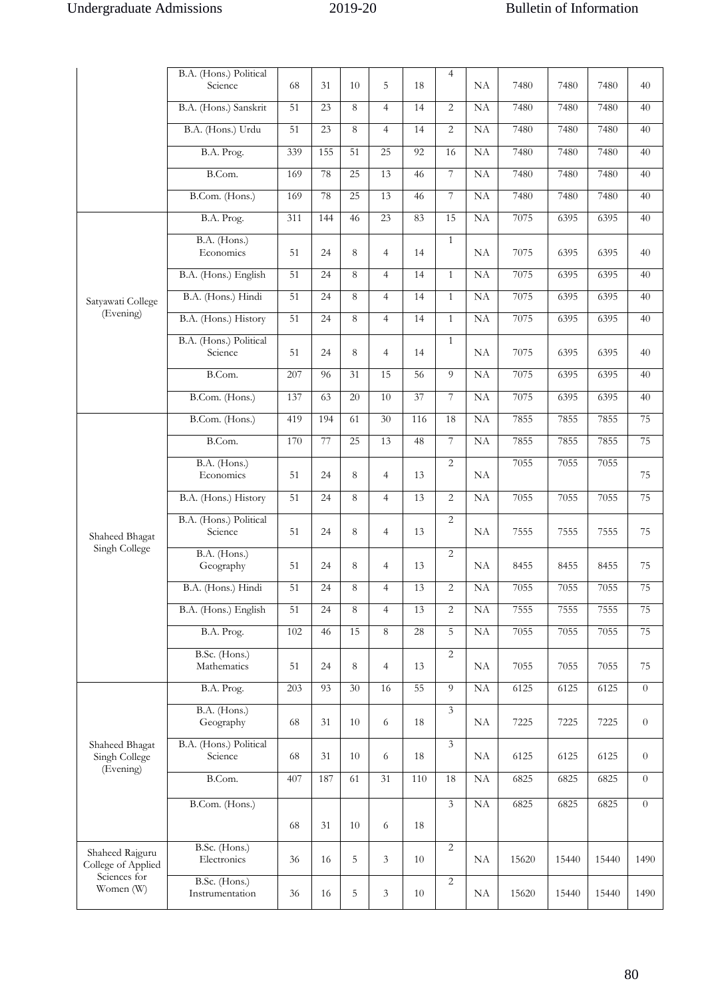|                                                       | B.A. (Hons.) Political<br>Science | 68              | 31  | 10 | 5               | 18  | $\overline{4}$ | NA              | 7480  | 7480  | 7480  | 40             |
|-------------------------------------------------------|-----------------------------------|-----------------|-----|----|-----------------|-----|----------------|-----------------|-------|-------|-------|----------------|
|                                                       | B.A. (Hons.) Sanskrit             | 51              | 23  | 8  | $\overline{4}$  | 14  | $\overline{2}$ | NA              | 7480  | 7480  | 7480  | 40             |
|                                                       | B.A. (Hons.) Urdu                 | 51              | 23  | 8  | $\overline{4}$  | 14  | $\overline{2}$ | NA              | 7480  | 7480  | 7480  | 40             |
|                                                       | B.A. Prog.                        | 339             | 155 | 51 | 25              | 92  | 16             | NA              | 7480  | 7480  | 7480  | 40             |
|                                                       | B.Com.                            | 169             | 78  | 25 | 13              | 46  | 7              | NA              | 7480  | 7480  | 7480  | 40             |
|                                                       | B.Com. (Hons.)                    | 169             | 78  | 25 | 13              | 46  | $\overline{7}$ | NA              | 7480  | 7480  | 7480  | 40             |
|                                                       | B.A. Prog.                        | 311             | 144 | 46 | 23              | 83  | 15             | <b>NA</b>       | 7075  | 6395  | 6395  | 40             |
|                                                       | B.A. (Hons.)<br>Economics         | 51              | 24  | 8  | $\overline{4}$  | 14  | $\mathbf{1}$   | NA              | 7075  | 6395  | 6395  | 40             |
|                                                       | B.A. (Hons.) English              | 51              | 24  | 8  | $\overline{4}$  | 14  | $\mathbf{1}$   | NA              | 7075  | 6395  | 6395  | 40             |
| Satyawati College                                     | B.A. (Hons.) Hindi                | 51              | 24  | 8  | $\overline{4}$  | 14  | $\mathbf{1}$   | <b>NA</b>       | 7075  | 6395  | 6395  | 40             |
| (Evening)                                             | B.A. (Hons.) History              | 51              | 24  | 8  | $\overline{4}$  | 14  | $\mathbf{1}$   | <b>NA</b>       | 7075  | 6395  | 6395  | 40             |
|                                                       | B.A. (Hons.) Political<br>Science | 51              | 24  | 8  | $\overline{4}$  | 14  | $\mathbf{1}$   | NA              | 7075  | 6395  | 6395  | 40             |
|                                                       | B.Com.                            | 207             | 96  | 31 | 15              | 56  | $\overline{9}$ | NA              | 7075  | 6395  | 6395  | 40             |
|                                                       | B.Com. (Hons.)                    | 137             | 63  | 20 | 10              | 37  | $\overline{7}$ | NA              | 7075  | 6395  | 6395  | 40             |
|                                                       | B.Com. (Hons.)                    | 419             | 194 | 61 | 30              | 116 | 18             | NA              | 7855  | 7855  | 7855  | 75             |
|                                                       | B.Com.                            | 170             | 77  | 25 | 13              | 48  | 7              | $\overline{NA}$ | 7855  | 7855  | 7855  | 75             |
|                                                       | B.A. (Hons.)<br>Economics         | 51              | 24  | 8  | $\overline{4}$  | 13  | $\overline{2}$ | NA              | 7055  | 7055  | 7055  | 75             |
|                                                       | B.A. (Hons.) History              | 51              | 24  | 8  | $\overline{4}$  | 13  | $\overline{2}$ | NA              | 7055  | 7055  | 7055  | 75             |
| Shaheed Bhagat                                        | B.A. (Hons.) Political<br>Science | 51              | 24  | 8  | $\overline{4}$  | 13  | $\overline{2}$ | NA              | 7555  | 7555  | 7555  | 75             |
| Singh College                                         | B.A. (Hons.)<br>Geography         | 51              | 24  | 8  | $\overline{4}$  | 13  | $\overline{2}$ | NA              | 8455  | 8455  | 8455  | 75             |
|                                                       | B.A. (Hons.) Hindi                | $\overline{51}$ | 24  | 8  | $\overline{4}$  | 13  | $\overline{2}$ | NA              | 7055  | 7055  | 7055  | 75             |
|                                                       | B.A. (Hons.) English              | 51              | 24  | 8  | $\overline{4}$  | 13  | $\overline{2}$ | NA              | 7555  | 7555  | 7555  | 75             |
|                                                       | B.A. Prog.                        | 102             | 46  | 15 | 8               | 28  | 5              | NA              | 7055  | 7055  | 7055  | 75             |
|                                                       | B.Sc. (Hons.)<br>Mathematics      | 51              | 24  | 8  | $\overline{4}$  | 13  | $\overline{2}$ | NA              | 7055  | 7055  | 7055  | 75             |
|                                                       | B.A. Prog.                        | 203             | 93  | 30 | 16              | 55  | 9              | NA              | 6125  | 6125  | 6125  | $\theta$       |
|                                                       | B.A. (Hons.)<br>Geography         | 68              | 31  | 10 | 6               | 18  | 3              | NA              | 7225  | 7225  | 7225  | $\overline{0}$ |
| Shaheed Bhagat<br>Singh College<br>(Evening)          | B.A. (Hons.) Political<br>Science | 68              | 31  | 10 | 6               | 18  | 3              | NA              | 6125  | 6125  | 6125  | $\overline{0}$ |
|                                                       | B.Com.                            | 407             | 187 | 61 | $\overline{31}$ | 110 | 18             | NA              | 6825  | 6825  | 6825  | $\theta$       |
|                                                       | B.Com. (Hons.)                    |                 |     |    |                 |     | 3              | NA              | 6825  | 6825  | 6825  | $\overline{0}$ |
|                                                       |                                   | 68              | 31  | 10 | 6               | 18  |                |                 |       |       |       |                |
| Shaheed Rajguru<br>College of Applied<br>Sciences for | B.Sc. (Hons.)<br>Electronics      | 36              | 16  | 5  | 3               | 10  | 2              | NA              | 15620 | 15440 | 15440 | 1490           |
| Women (W)                                             | B.Sc. (Hons.)<br>Instrumentation  | 36              | 16  | 5  | 3               | 10  | $\overline{2}$ | $\rm NA$        | 15620 | 15440 | 15440 | 1490           |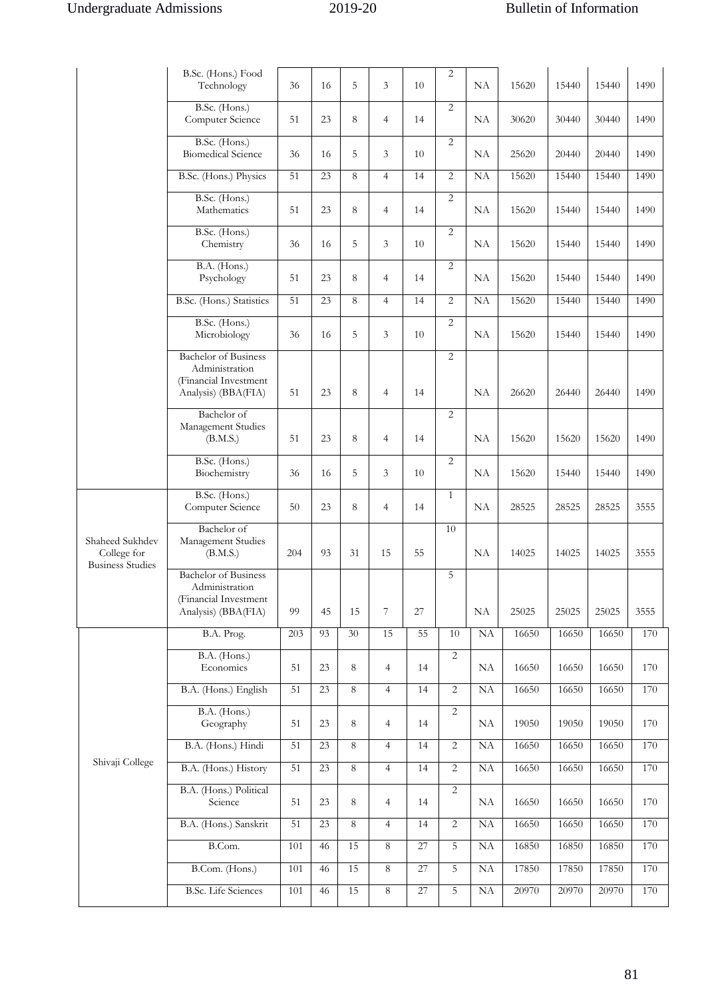|                                                           | B.Sc. (Hons.) Food<br>Technology                                                              | 36  | 16 | 5       | 3                        | 10              | $\overline{2}$ | NA                  | 15620 | 15440 | 15440 | 1490 |
|-----------------------------------------------------------|-----------------------------------------------------------------------------------------------|-----|----|---------|--------------------------|-----------------|----------------|---------------------|-------|-------|-------|------|
|                                                           | B.Sc. (Hons.)<br>Computer Science                                                             | 51  | 23 | 8       | $\overline{4}$           | 14              | $\overline{2}$ | NA                  | 30620 | 30440 | 30440 | 1490 |
|                                                           | B.Sc. (Hons.)<br><b>Biomedical Science</b>                                                    | 36  | 16 | 5       | 3                        | 10              | $\overline{2}$ | NA                  | 25620 | 20440 | 20440 | 1490 |
|                                                           | B.Sc. (Hons.) Physics                                                                         | 51  | 23 | 8       | $\overline{4}$           | 14              | $\overline{2}$ | NA                  | 15620 | 15440 | 15440 | 1490 |
|                                                           | B.Sc. (Hons.)<br>Mathematics                                                                  | 51  | 23 | 8       | $\overline{4}$           | 14              | $\overline{2}$ | NA                  | 15620 | 15440 | 15440 | 1490 |
|                                                           | B.Sc. (Hons.)<br>Chemistry                                                                    | 36  | 16 | 5       | 3                        | 10              | $\overline{2}$ | NA                  | 15620 | 15440 | 15440 | 1490 |
|                                                           | B.A. (Hons.)<br>Psychology                                                                    | 51  | 23 | 8       | $\overline{4}$           | 14              | $\overline{2}$ | NA                  | 15620 | 15440 | 15440 | 1490 |
|                                                           | B.Sc. (Hons.) Statistics                                                                      | 51  | 23 | 8       | $\overline{4}$           | 14              | $\overline{c}$ | NA                  | 15620 | 15440 | 15440 | 1490 |
|                                                           | B.Sc. (Hons.)<br>Microbiology                                                                 | 36  | 16 | 5       | 3                        | 10              | $\overline{2}$ | NA                  | 15620 | 15440 | 15440 | 1490 |
|                                                           | <b>Bachelor</b> of Business<br>Administration<br>(Financial Investment                        |     |    |         |                          |                 | $\overline{2}$ |                     |       |       |       |      |
|                                                           | Analysis) (BBA(FIA)                                                                           | 51  | 23 | 8       | $\overline{4}$           | 14              |                | NA                  | 26620 | 26440 | 26440 | 1490 |
|                                                           | Bachelor of<br>Management Studies<br>(B.M.S.)                                                 | 51  | 23 | 8       | $\overline{4}$           | 14              | $\overline{2}$ | NA                  | 15620 | 15620 | 15620 | 1490 |
|                                                           | B.Sc. (Hons.)<br>Biochemistry                                                                 | 36  | 16 | 5       | 3                        | 10              | $\overline{2}$ | NA                  | 15620 | 15440 | 15440 | 1490 |
|                                                           | B.Sc. (Hons.)<br>Computer Science                                                             | 50  | 23 | 8       | $\overline{4}$           | 14              | $\mathbf{1}$   | NA                  | 28525 | 28525 | 28525 | 3555 |
| Shaheed Sukhdev<br>College for<br><b>Business Studies</b> | <b>Bachelor</b> of<br>Management Studies<br>(B.M.S.)                                          | 204 | 93 | 31      | 15                       | 55              | 10             | NA                  | 14025 | 14025 | 14025 | 3555 |
|                                                           | <b>Bachelor</b> of Business<br>Administration<br>(Financial Investment<br>Analysis) (BBA(FIA) | 99  | 45 | 15      | $\overline{\mathcal{I}}$ | 27              | 5              | $\rm NA$            | 25025 | 25025 | 25025 | 3555 |
|                                                           | B.A. Prog.                                                                                    | 203 | 93 | 30      | 15                       | 55              | 10             | NA                  | 16650 | 16650 | 16650 | 170  |
|                                                           | B.A. (Hons.)<br>Economics                                                                     | 51  | 23 | 8       | $\overline{4}$           | 14              | $\overline{2}$ | NA                  | 16650 | 16650 | 16650 | 170  |
|                                                           | B.A. (Hons.) English                                                                          | 51  | 23 | $\,8\,$ | $\overline{4}$           | 14              | $\overline{2}$ | NA                  | 16650 | 16650 | 16650 | 170  |
|                                                           | B.A. (Hons.)<br>Geography                                                                     | 51  | 23 | 8       | $\overline{4}$           | 14              | $\overline{2}$ | NA                  | 19050 | 19050 | 19050 | 170  |
|                                                           | B.A. (Hons.) Hindi                                                                            | 51  | 23 | $\,8\,$ | $\overline{4}$           | 14              | $\overline{2}$ | NA                  | 16650 | 16650 | 16650 | 170  |
| Shivaji College                                           | B.A. (Hons.) History                                                                          | 51  | 23 | $\,8\,$ | $\overline{4}$           | 14              | $\overline{2}$ | NA                  | 16650 | 16650 | 16650 | 170  |
|                                                           | B.A. (Hons.) Political<br>Science                                                             | 51  | 23 | 8       | $\overline{4}$           | 14              | $\overline{2}$ | NA                  | 16650 | 16650 | 16650 | 170  |
|                                                           | B.A. (Hons.) Sanskrit                                                                         | 51  | 23 | 8       | $\overline{4}$           | 14              | $\sqrt{2}$     | NA                  | 16650 | 16650 | 16650 | 170  |
|                                                           | B.Com.                                                                                        | 101 | 46 | 15      | $\,8\,$                  | 27              | 5              | NA                  | 16850 | 16850 | 16850 | 170  |
|                                                           | B.Com. (Hons.)                                                                                | 101 | 46 | 15      | $\,8\,$                  | 27              | 5              | NA                  | 17850 | 17850 | 17850 | 170  |
|                                                           | <b>B.Sc.</b> Life Sciences                                                                    | 101 | 46 | 15      | $\,8\,$                  | $\overline{27}$ | 5              | $\overline{\rm NA}$ | 20970 | 20970 | 20970 | 170  |
|                                                           |                                                                                               |     |    |         |                          |                 |                |                     |       |       |       |      |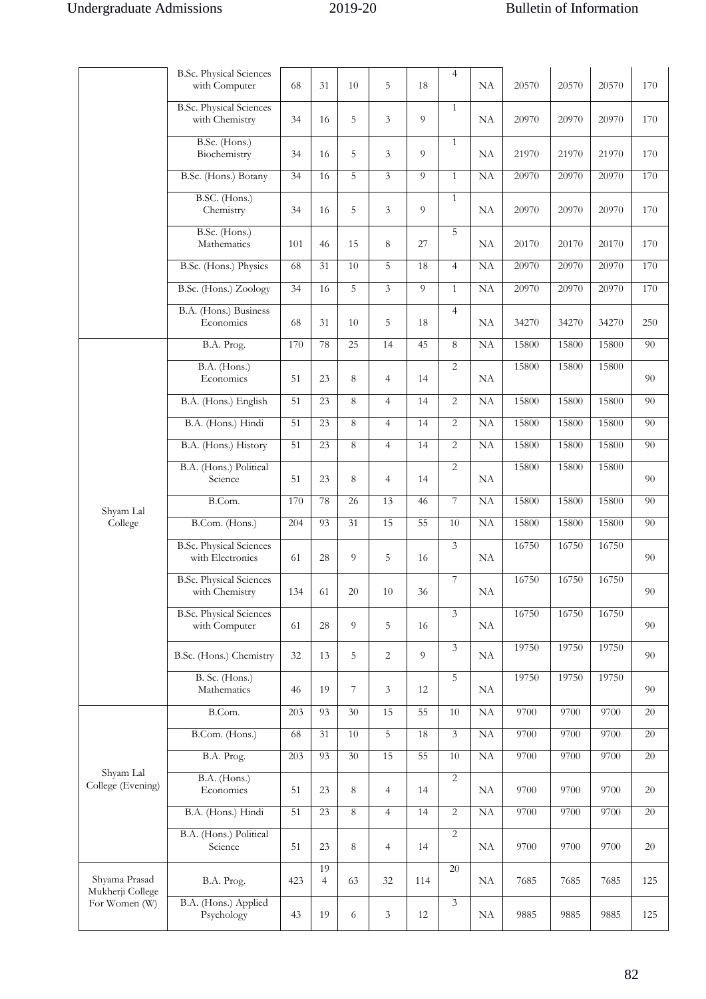|                                   | <b>B.Sc. Physical Sciences</b><br>with Computer    | 68  | 31                   | 10             | 5              | 18             | $\overline{4}$   | NA | 20570 | 20570 | 20570 | 170 |
|-----------------------------------|----------------------------------------------------|-----|----------------------|----------------|----------------|----------------|------------------|----|-------|-------|-------|-----|
|                                   | <b>B.Sc. Physical Sciences</b><br>with Chemistry   | 34  | 16                   | 5              | 3              | 9              | 1                | NA | 20970 | 20970 | 20970 | 170 |
|                                   | B.Sc. (Hons.)<br>Biochemistry                      | 34  | 16                   | 5              | 3              | $\overline{Q}$ | $\mathbf{1}$     | NA | 21970 | 21970 | 21970 | 170 |
|                                   | B.Sc. (Hons.) Botany                               | 34  | 16                   | 5              | $\overline{3}$ | 9              | $\mathbf{1}$     | NA | 20970 | 20970 | 20970 | 170 |
|                                   | B.SC. (Hons.)<br>Chemistry                         | 34  | 16                   | 5              | 3              | $\overline{9}$ | $\mathbf{1}$     | NA | 20970 | 20970 | 20970 | 170 |
|                                   | B.Sc. (Hons.)<br>Mathematics                       | 101 | 46                   | 15             | 8              | 27             | 5                | NA | 20170 | 20170 | 20170 | 170 |
|                                   | B.Sc. (Hons.) Physics                              | 68  | 31                   | 10             | 5              | 18             | $\overline{4}$   | NA | 20970 | 20970 | 20970 | 170 |
|                                   | B.Sc. (Hons.) Zoology                              | 34  | 16                   | 5              | $\overline{3}$ | 9              | $\mathbf{1}$     | NA | 20970 | 20970 | 20970 | 170 |
|                                   | B.A. (Hons.) Business<br>Economics                 | 68  | 31                   | 10             | 5              | 18             | $\overline{4}$   | NA | 34270 | 34270 | 34270 | 250 |
|                                   | B.A. Prog.                                         | 170 | 78                   | 25             | 14             | 45             | 8                | NA | 15800 | 15800 | 15800 | 90  |
|                                   | B.A. (Hons.)<br>Economics                          | 51  | 23                   | 8              | 4              | 14             | $\overline{2}$   | NA | 15800 | 15800 | 15800 | 90  |
|                                   | B.A. (Hons.) English                               | 51  | 23                   | 8              | $\overline{4}$ | 14             | $\overline{2}$   | NA | 15800 | 15800 | 15800 | 90  |
|                                   | B.A. (Hons.) Hindi                                 | 51  | 23                   | 8              | $\overline{4}$ | 14             | $\overline{2}$   | NA | 15800 | 15800 | 15800 | 90  |
|                                   | B.A. (Hons.) History                               | 51  | 23                   | 8              | $\overline{4}$ | 14             | $\overline{2}$   | NA | 15800 | 15800 | 15800 | 90  |
|                                   | B.A. (Hons.) Political<br>Science                  | 51  | 23                   | 8              | $\overline{4}$ | 14             | 2                | NA | 15800 | 15800 | 15800 | 90  |
|                                   | B.Com.                                             | 170 | 78                   | 26             | 13             | 46             | $\overline{7}$   | NA | 15800 | 15800 | 15800 | 90  |
| Shyam Lal<br>College              | B.Com. (Hons.)                                     | 204 | 93                   | 31             | 15             | 55             | 10               | NA | 15800 | 15800 | 15800 | 90  |
|                                   | <b>B.Sc. Physical Sciences</b><br>with Electronics | 61  | 28                   | 9              | 5              | 16             | 3                | NA | 16750 | 16750 | 16750 | 90  |
|                                   | <b>B.Sc. Physical Sciences</b><br>with Chemistry   | 134 | 61                   | 20             | 10             | 36             | $\boldsymbol{7}$ | NA | 16750 | 16750 | 16750 | 90  |
|                                   | <b>B.Sc. Physical Sciences</b><br>with Computer    | 61  | 28                   | 9              | 5              | 16             | $\overline{3}$   | NA | 16750 | 16750 | 16750 | 90  |
|                                   | B.Sc. (Hons.) Chemistry                            | 32  | 13                   | 5              | $\overline{2}$ | 9              | 3                | NA | 19750 | 19750 | 19750 | 90  |
|                                   | B. Sc. (Hons.)<br>Mathematics                      | 46  | 19                   | $\overline{7}$ | 3              | 12             | 5                | NA | 19750 | 19750 | 19750 | 90  |
|                                   | B.Com.                                             | 203 | 93                   | 30             | 15             | 55             | 10               | NA | 9700  | 9700  | 9700  | 20  |
|                                   | B.Com. (Hons.)                                     | 68  | 31                   | 10             | 5              | 18             | $\mathfrak{Z}$   | NA | 9700  | 9700  | 9700  | 20  |
|                                   | B.A. Prog.                                         | 203 | 93                   | 30             | 15             | 55             | $10\,$           | NA | 9700  | 9700  | 9700  | 20  |
| Shyam Lal<br>College (Evening)    | B.A. (Hons.)<br>Economics                          | 51  | 23                   | 8              | $\overline{4}$ | 14             | $\overline{2}$   | NA | 9700  | 9700  | 9700  | 20  |
|                                   | B.A. (Hons.) Hindi                                 | 51  | 23                   | 8              | $\overline{4}$ | 14             | $\overline{2}$   | NA | 9700  | 9700  | 9700  | 20  |
|                                   | B.A. (Hons.) Political<br>Science                  | 51  | 23                   | 8              | $\overline{4}$ | 14             | $\overline{2}$   | NA | 9700  | 9700  | 9700  | 20  |
| Shyama Prasad<br>Mukherji College | B.A. Prog.                                         | 423 | 19<br>$\overline{4}$ | 63             | 32             | 114            | 20               | NA | 7685  | 7685  | 7685  | 125 |
| For Women (W)                     | B.A. (Hons.) Applied<br>Psychology                 | 43  | 19                   | 6              | 3              | 12             | $\mathfrak{Z}$   | NA | 9885  | 9885  | 9885  | 125 |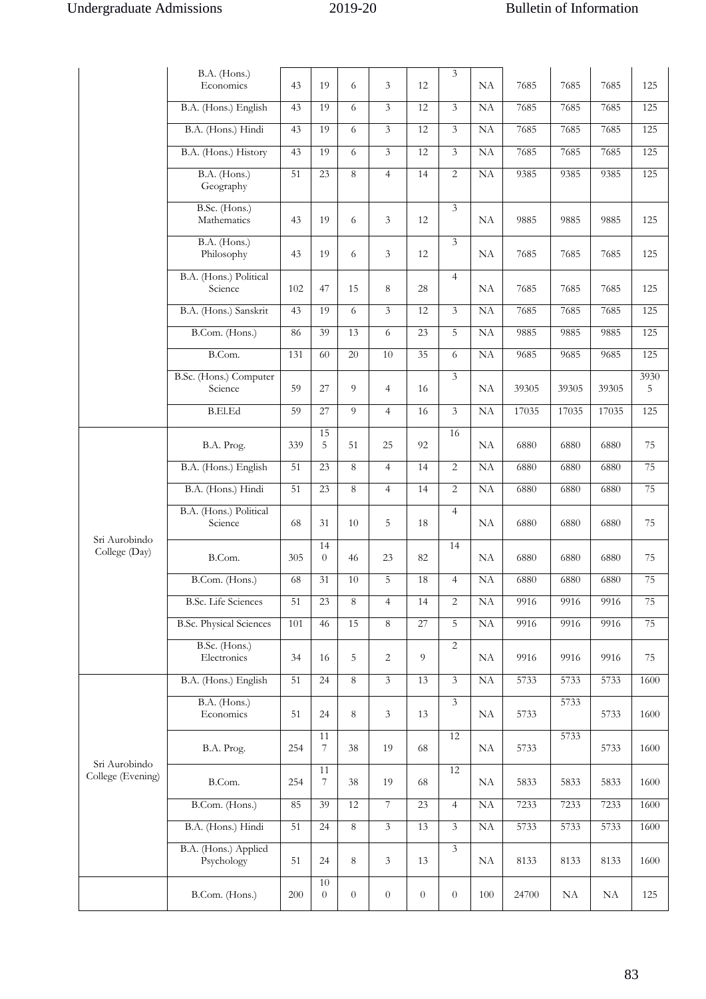|                                    | B.A. (Hons.)                       |     |                      |                |                  |                | 3                |           |       |       |       |           |
|------------------------------------|------------------------------------|-----|----------------------|----------------|------------------|----------------|------------------|-----------|-------|-------|-------|-----------|
|                                    | Economics                          | 43  | 19                   | 6              | 3                | 12             |                  | NA        | 7685  | 7685  | 7685  | 125       |
|                                    | B.A. (Hons.) English               | 43  | 19                   | 6              | $\overline{3}$   | 12             | 3                | NA        | 7685  | 7685  | 7685  | 125       |
|                                    | B.A. (Hons.) Hindi                 | 43  | 19                   | 6              | 3                | 12             | $\overline{3}$   | NA        | 7685  | 7685  | 7685  | 125       |
|                                    | B.A. (Hons.) History               | 43  | 19                   | 6              | 3                | 12             | 3                | NA        | 7685  | 7685  | 7685  | 125       |
|                                    | B.A. (Hons.)<br>Geography          | 51  | 23                   | $\,8\,$        | $\overline{4}$   | 14             | $\overline{2}$   | NA        | 9385  | 9385  | 9385  | 125       |
|                                    | B.Sc. (Hons.)<br>Mathematics       | 43  | 19                   | 6              | 3                | 12             | $\overline{3}$   | NA        | 9885  | 9885  | 9885  | 125       |
|                                    | B.A. (Hons.)<br>Philosophy         | 43  | 19                   | 6              | 3                | 12             | 3                | NA        | 7685  | 7685  | 7685  | 125       |
|                                    | B.A. (Hons.) Political<br>Science  | 102 | 47                   | 15             | 8                | 28             | $\overline{4}$   | NA        | 7685  | 7685  | 7685  | 125       |
|                                    | B.A. (Hons.) Sanskrit              | 43  | 19                   | 6              | 3                | 12             | 3                | NA        | 7685  | 7685  | 7685  | 125       |
|                                    | B.Com. (Hons.)                     | 86  | 39                   | 13             | 6                | 23             | 5                | NA        | 9885  | 9885  | 9885  | 125       |
|                                    | B.Com.                             | 131 | 60                   | 20             | $10\,$           | 35             | 6                | NA        | 9685  | 9685  | 9685  | 125       |
|                                    | B.Sc. (Hons.) Computer<br>Science  | 59  | 27                   | 9              | $\overline{4}$   | 16             | 3                | NA        | 39305 | 39305 | 39305 | 3930<br>5 |
|                                    | <b>B.El.Ed</b>                     | 59  | 27                   | 9              | $\overline{4}$   | 16             | $\overline{3}$   | <b>NA</b> | 17035 | 17035 | 17035 | 125       |
|                                    | B.A. Prog.                         | 339 | 15<br>5              | 51             | 25               | 92             | 16               | NA        | 6880  | 6880  | 6880  | 75        |
|                                    | B.A. (Hons.) English               | 51  | 23                   | 8              | $\overline{4}$   | 14             | $\overline{2}$   | NA        | 6880  | 6880  | 6880  | 75        |
|                                    | B.A. (Hons.) Hindi                 | 51  | 23                   | 8              | $\overline{4}$   | 14             | $\overline{2}$   | <b>NA</b> | 6880  | 6880  | 6880  | 75        |
|                                    | B.A. (Hons.) Political<br>Science  | 68  | 31                   | 10             | 5                | 18             | $\overline{4}$   | NA        | 6880  | 6880  | 6880  | 75        |
| Sri Aurobindo<br>College (Day)     | B.Com.                             | 305 | 14<br>$\theta$       | 46             | 23               | 82             | 14               | NA        | 6880  | 6880  | 6880  | 75        |
|                                    | B.Com. (Hons.)                     | 68  | 31                   | 10             | 5                | 18             | $\overline{4}$   | NA        | 6880  | 6880  | 6880  | 75        |
|                                    | <b>B.Sc.</b> Life Sciences         | 51  | 23                   | 8              | $\overline{4}$   | 14             | $\overline{c}$   | NA        | 9916  | 9916  | 9916  | 75        |
|                                    | <b>B.Sc. Physical Sciences</b>     | 101 | 46                   | 15             | 8                | 27             | 5                | NA        | 9916  | 9916  | 9916  | 75        |
|                                    | B.Sc. (Hons.)<br>Electronics       | 34  | 16                   | 5              | 2                | 9              | $\overline{2}$   | NA        | 9916  | 9916  | 9916  | 75        |
|                                    | B.A. (Hons.) English               | 51  | 24                   | 8              | 3                | 13             | 3                | NA        | 5733  | 5733  | 5733  | 1600      |
|                                    | B.A. (Hons.)<br>Economics          | 51  | 24                   | 8              | 3                | 13             | 3                | NA        | 5733  | 5733  | 5733  | 1600      |
|                                    | B.A. Prog.                         | 254 | 11<br>7              | 38             | 19               | 68             | 12               | NA        | 5733  | 5733  | 5733  | 1600      |
| Sri Aurobindo<br>College (Evening) | B.Com.                             | 254 | 11<br>$\overline{7}$ | 38             | 19               | 68             | 12               | NA        | 5833  | 5833  | 5833  | 1600      |
|                                    | B.Com. (Hons.)                     | 85  | 39                   | 12             | $\overline{7}$   | 23             | $\overline{4}$   | NA        | 7233  | 7233  | 7233  | 1600      |
|                                    | B.A. (Hons.) Hindi                 | 51  | 24                   | 8              | 3                | 13             | 3                | NA        | 5733  | 5733  | 5733  | 1600      |
|                                    | B.A. (Hons.) Applied<br>Psychology | 51  | 24                   | 8              | 3                | 13             | 3                | NA        | 8133  | 8133  | 8133  | 1600      |
|                                    | B.Com. (Hons.)                     | 200 | 10<br>$\overline{0}$ | $\overline{0}$ | $\boldsymbol{0}$ | $\overline{0}$ | $\boldsymbol{0}$ | 100       | 24700 | NA    | NA    | 125       |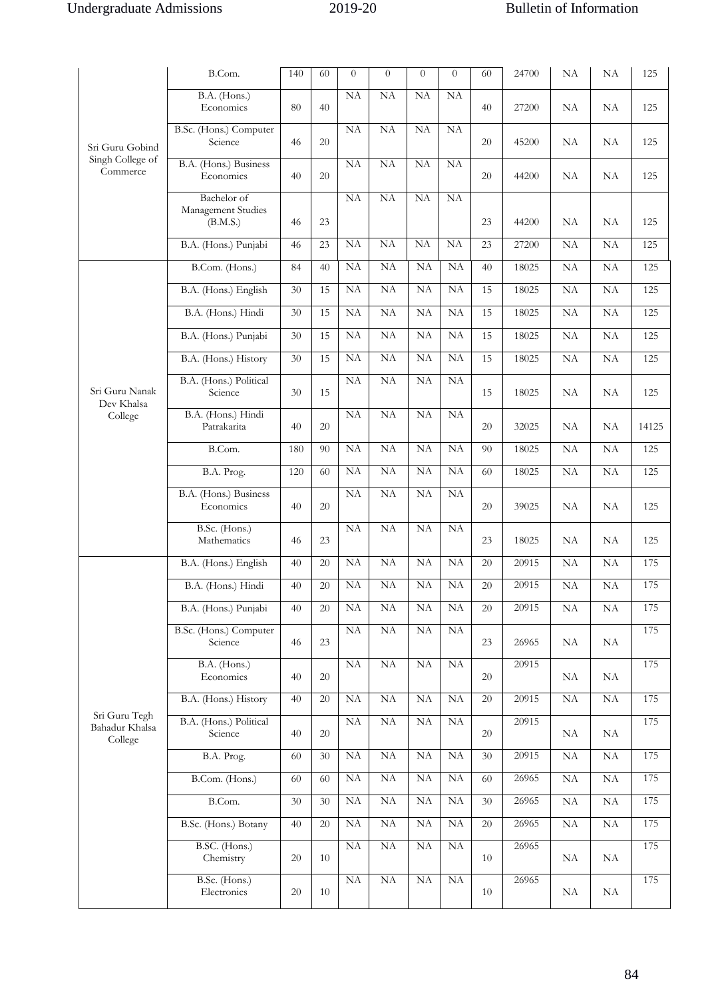|                                            | B.Com.                                        | 140 | 60 | $\overline{0}$         | $\overline{0}$      | $\overline{0}$ | $\theta$ | 60 | 24700 | NA       | NA       | 125   |
|--------------------------------------------|-----------------------------------------------|-----|----|------------------------|---------------------|----------------|----------|----|-------|----------|----------|-------|
|                                            | B.A. (Hons.)<br>Economics                     | 80  | 40 | NA                     | <b>NA</b>           | <b>NA</b>      | NA       | 40 | 27200 | NA       | NA       | 125   |
| Sri Guru Gobind                            | B.Sc. (Hons.) Computer<br>Science             | 46  | 20 | NA                     | NA                  | NA             | NA       | 20 | 45200 | NA       | NA       | 125   |
| Singh College of<br>Commerce               | B.A. (Hons.) Business<br>Economics            | 40  | 20 | NA                     | NA                  | NA             | NA       | 20 | 44200 | NA       | NA       | 125   |
|                                            | Bachelor of<br>Management Studies<br>(B.M.S.) | 46  | 23 | NA                     | NA                  | NA             | NA       | 23 | 44200 | NA       | NA       | 125   |
|                                            | B.A. (Hons.) Punjabi                          | 46  | 23 | NA                     | NA                  | NA             | NA       | 23 | 27200 | NA       | NA       | 125   |
|                                            | B.Com. (Hons.)                                | 84  | 40 | NA                     | <b>NA</b>           | NA             | NA       | 40 | 18025 | NA       | NA       | 125   |
|                                            | B.A. (Hons.) English                          | 30  | 15 | NA                     | NA                  | NA             | NA       | 15 | 18025 | NA       | NA       | 125   |
|                                            | B.A. (Hons.) Hindi                            | 30  | 15 | $\overline{NA}$        | NA                  | NA             | NA       | 15 | 18025 | NA       | NA       | 125   |
|                                            | B.A. (Hons.) Punjabi                          | 30  | 15 | NA                     | NA                  | NA             | NA       | 15 | 18025 | NA       | NA       | 125   |
|                                            | B.A. (Hons.) History                          | 30  | 15 | NA                     | <b>NA</b>           | <b>NA</b>      | NA       | 15 | 18025 | NA       | NA       | 125   |
|                                            | B.A. (Hons.) Political                        |     |    | <b>NA</b>              | NA                  | <b>NA</b>      | NA       |    |       |          |          |       |
| Sri Guru Nanak<br>Dev Khalsa               | Science                                       | 30  | 15 |                        |                     |                |          | 15 | 18025 | NA       | NA       | 125   |
| College                                    | B.A. (Hons.) Hindi<br>Patrakarita             | 40  | 20 | NA                     | <b>NA</b>           | NA             | NA       | 20 | 32025 | NA       | NA       | 14125 |
|                                            | B.Com.                                        | 180 | 90 | NA                     | <b>NA</b>           | NA             | NA       | 90 | 18025 | NA       | NA       | 125   |
|                                            | B.A. Prog.                                    | 120 | 60 | NA                     | NA                  | NA             | NA       | 60 | 18025 | NA       | NA       | 125   |
|                                            | B.A. (Hons.) Business<br>Economics            | 40  | 20 | <b>NA</b>              | <b>NA</b>           | <b>NA</b>      | NA       | 20 | 39025 | NA       | NA       | 125   |
|                                            | B.Sc. (Hons.)<br>Mathematics                  | 46  | 23 | NA                     | NA                  | <b>NA</b>      | NA       | 23 | 18025 | NA       | NA       | 125   |
|                                            | B.A. (Hons.) English                          | 40  | 20 | NA                     | NA                  | NA             | NA       | 20 | 20915 | NA       | NA       | 175   |
|                                            | B.A. (Hons.) Hindi                            | 40  | 20 | NA                     | NA                  | NA             | NA       | 20 | 20915 | NA       | NA       | 175   |
|                                            | B.A. (Hons.) Punjabi                          | 40  | 20 | NA                     | NA                  | NA             | NA       | 20 | 20915 | NA       | $\rm NA$ | 175   |
|                                            | B.Sc. (Hons.) Computer<br>Science             | 46  | 23 | NA                     | NA                  | NA             | NA       | 23 | 26965 | NA       | NA       | 175   |
|                                            | B.A. (Hons.)<br>Economics                     | 40  | 20 | NA                     | $\rm NA$            | ${\rm NA}$     | NA       | 20 | 20915 | NA       | NA       | 175   |
|                                            | B.A. (Hons.) History                          | 40  | 20 | NA                     | NA                  | NA             | NA       | 20 | 20915 | $\rm NA$ | $\rm NA$ | 175   |
| Sri Guru Tegh<br>Bahadur Khalsa<br>College | B.A. (Hons.) Political<br>Science             | 40  | 20 | NA                     | $\overline{\rm NA}$ | NA             | NA       | 20 | 20915 | NA       | NA       | 175   |
|                                            | B.A. Prog.                                    | 60  | 30 | NA                     | NA                  | NA             | NA       | 30 | 20915 | NA       | $\rm NA$ | 175   |
|                                            | B.Com. (Hons.)                                | 60  | 60 | $\overline{\rm NA}$    | $\overline{\rm NA}$ | NA             | NA       | 60 | 26965 | $\rm NA$ | $\rm NA$ | 175   |
|                                            | B.Com.                                        | 30  | 30 | $\overline{\rm NA}$    | NA                  | NA             | NA       | 30 | 26965 | $\rm NA$ | $\rm NA$ | 175   |
|                                            | B.Sc. (Hons.) Botany                          | 40  | 20 | NA                     | NA                  | NA             | NA       | 20 | 26965 | NA       | $\rm NA$ | 175   |
|                                            | B.SC. (Hons.)<br>Chemistry                    | 20  | 10 | $\overline{\text{NA}}$ | NA                  | NA             | NA       | 10 | 26965 | NA       | NA       | 175   |
|                                            | B.Sc. (Hons.)<br>Electronics                  | 20  | 10 | NA                     | NA                  | NA             | NA       | 10 | 26965 | NA       | NA       | 175   |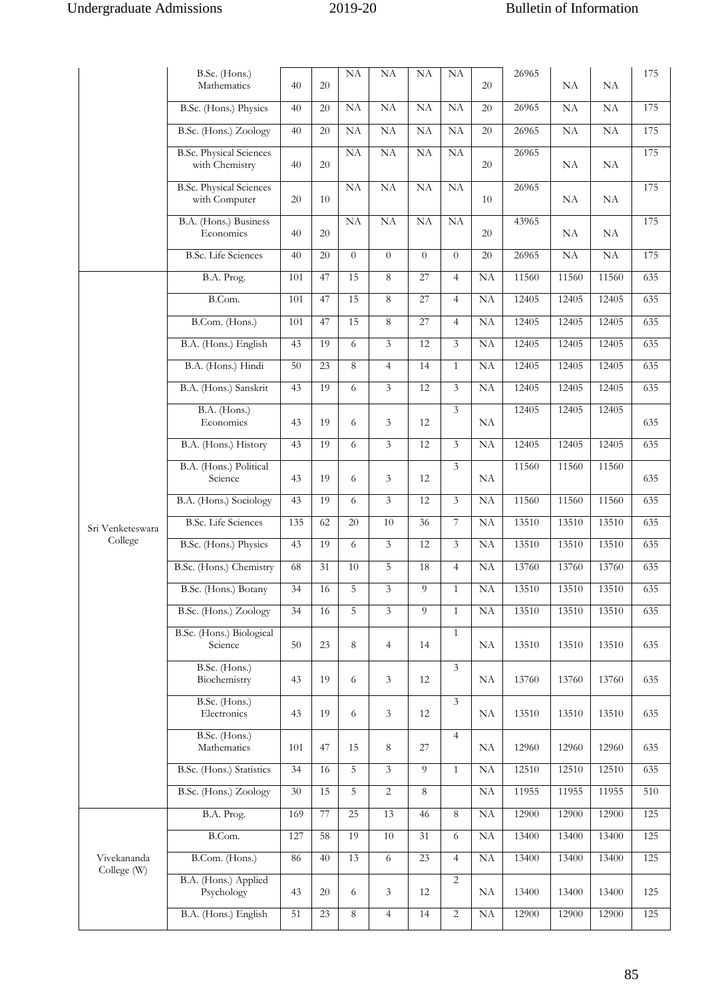|                            | B.Sc. (Hons.)<br>Mathematics                     | 40  | 20 | NA        | NA             | NA             | NA             | 20 | 26965 | NA    | NA    | 175 |
|----------------------------|--------------------------------------------------|-----|----|-----------|----------------|----------------|----------------|----|-------|-------|-------|-----|
|                            | B.Sc. (Hons.) Physics                            | 40  | 20 | NA        | NA             | NA             | NA             | 20 | 26965 | NA    | NA    | 175 |
|                            | B.Sc. (Hons.) Zoology                            | 40  | 20 | NA        | NA             | NA             | NA             | 20 | 26965 | NA    | NA    | 175 |
|                            | <b>B.Sc. Physical Sciences</b><br>with Chemistry | 40  | 20 | <b>NA</b> | NA             | NA             | NA             | 20 | 26965 | NA    | NA    | 175 |
|                            | <b>B.Sc. Physical Sciences</b><br>with Computer  | 20  | 10 | NA        | NA             | NA             | NA             | 10 | 26965 | NA    | NA    | 175 |
|                            | B.A. (Hons.) Business<br>Economics               | 40  | 20 | <b>NA</b> | <b>NA</b>      | NA             | NA             | 20 | 43965 | NA    | NA    | 175 |
|                            | <b>B.Sc.</b> Life Sciences                       | 40  | 20 | $\theta$  | $\Omega$       | $\theta$       | $\theta$       | 20 | 26965 | NA    | NA    | 175 |
|                            | B.A. Prog.                                       | 101 | 47 | 15        | 8              | 27             | $\overline{4}$ | NA | 11560 | 11560 | 11560 | 635 |
|                            | B.Com.                                           | 101 | 47 | 15        | 8              | 27             | $\overline{4}$ | NA | 12405 | 12405 | 12405 | 635 |
|                            | B.Com. (Hons.)                                   | 101 | 47 | 15        | 8              | 27             | $\overline{4}$ | NA | 12405 | 12405 | 12405 | 635 |
|                            | B.A. (Hons.) English                             | 43  | 19 | 6         | $\overline{3}$ | 12             | $\overline{3}$ | NA | 12405 | 12405 | 12405 | 635 |
|                            | B.A. (Hons.) Hindi                               | 50  | 23 | 8         | $\overline{4}$ | 14             | $\mathbf{1}$   | NA | 12405 | 12405 | 12405 | 635 |
|                            | B.A. (Hons.) Sanskrit                            | 43  | 19 | 6         | $\overline{3}$ | 12             | 3              | NA | 12405 | 12405 | 12405 | 635 |
|                            | $B.A.$ (Hons.)<br>Economics                      | 43  | 19 | 6         | 3              | 12             | 3              | NA | 12405 | 12405 | 12405 | 635 |
| Sri Venketeswara           | B.A. (Hons.) History                             | 43  | 19 | 6         | $\overline{3}$ | 12             | 3              | NA | 12405 | 12405 | 12405 | 635 |
|                            | B.A. (Hons.) Political<br>Science                | 43  | 19 | 6         | 3              | 12             | 3              | NA | 11560 | 11560 | 11560 | 635 |
|                            | B.A. (Hons.) Sociology                           | 43  | 19 | 6         | $\overline{3}$ | 12             | $\overline{3}$ | NA | 11560 | 11560 | 11560 | 635 |
|                            | <b>B.Sc.</b> Life Sciences                       | 135 | 62 | 20        | 10             | 36             | 7              | NA | 13510 | 13510 | 13510 | 635 |
| College                    | B.Sc. (Hons.) Physics                            | 43  | 19 | 6         | $\overline{3}$ | 12             | 3              | NA | 13510 | 13510 | 13510 | 635 |
|                            | B.Sc. (Hons.) Chemistry                          | 68  | 31 | 10        | 5              | 18             | $\overline{4}$ | NA | 13760 | 13760 | 13760 | 635 |
|                            | B.Sc. (Hons.) Botany                             | 34  | 16 | 5         | 3              | 9              | $\mathbf{1}$   | NA | 13510 | 13510 | 13510 | 635 |
|                            | B.Sc. (Hons.) Zoology                            | 34  | 16 | 5         | $\overline{3}$ | $\overline{9}$ | $\mathbf{1}$   | NA | 13510 | 13510 | 13510 | 635 |
|                            | B.Sc. (Hons.) Biological<br>Science              | 50  | 23 | 8         | $\overline{4}$ | 14             | $\mathbf{1}$   | NA | 13510 | 13510 | 13510 | 635 |
|                            | B.Sc. (Hons.)<br>Biochemistry                    | 43  | 19 | 6         | 3              | 12             | 3              | NA | 13760 | 13760 | 13760 | 635 |
|                            | B.Sc. (Hons.)<br>Electronics                     | 43  | 19 | 6         | 3              | 12             | $\overline{3}$ | NA | 13510 | 13510 | 13510 | 635 |
|                            | B.Sc. (Hons.)<br>Mathematics                     | 101 | 47 | 15        | 8              | 27             | $\overline{4}$ | NA | 12960 | 12960 | 12960 | 635 |
|                            | B.Sc. (Hons.) Statistics                         | 34  | 16 | 5         | 3              | $\Omega$       | $\mathbf{1}$   | NA | 12510 | 12510 | 12510 | 635 |
|                            | B.Sc. (Hons.) Zoology                            | 30  | 15 | 5         | $\overline{2}$ | 8              |                | NA | 11955 | 11955 | 11955 | 510 |
| Vivekananda<br>College (W) | B.A. Prog.                                       | 169 | 77 | 25        | 13             | 46             | 8              | NA | 12900 | 12900 | 12900 | 125 |
|                            | B.Com.                                           | 127 | 58 | 19        | 10             | 31             | 6              | NA | 13400 | 13400 | 13400 | 125 |
|                            | B.Com. (Hons.)                                   | 86  | 40 | 13        | 6              | 23             | $\overline{4}$ | NA | 13400 | 13400 | 13400 | 125 |
|                            | B.A. (Hons.) Applied<br>Psychology               | 43  | 20 | 6         | 3              | 12             | $\overline{c}$ | NA | 13400 | 13400 | 13400 | 125 |
|                            | B.A. (Hons.) English                             | 51  | 23 | $\,8\,$   | $\overline{4}$ | 14             | $\overline{c}$ | NA | 12900 | 12900 | 12900 | 125 |
|                            |                                                  |     |    |           |                |                |                |    |       |       |       |     |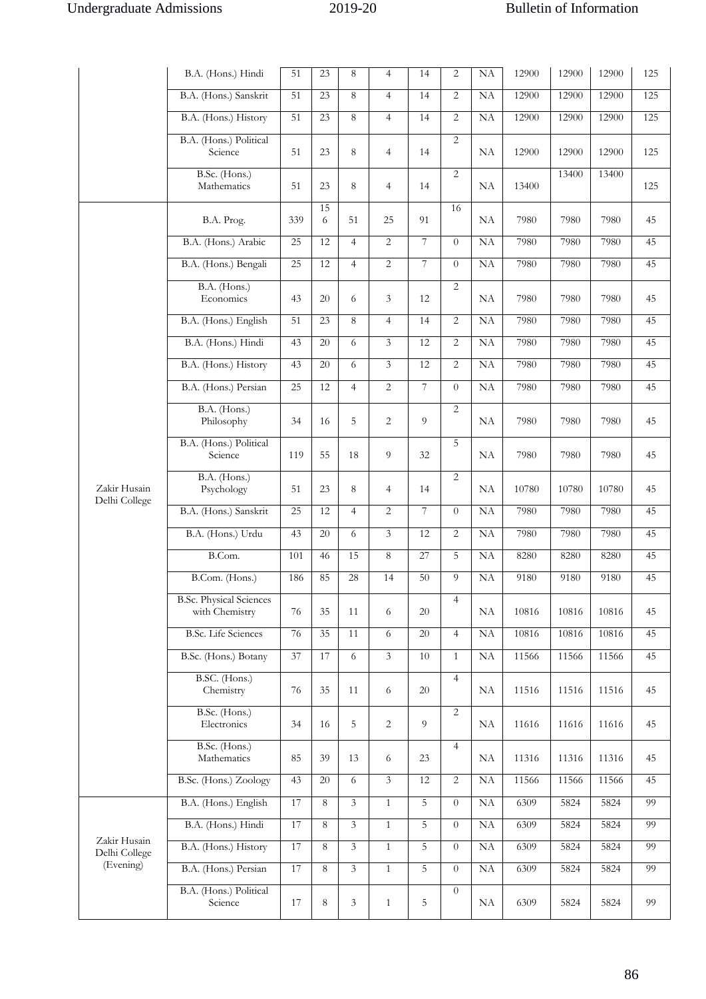|                                            | B.A. (Hons.) Hindi                               | 51  | 23              | 8              | $\overline{4}$ | 14             | $\overline{2}$ | NA | 12900 | 12900 | 12900 | 125 |
|--------------------------------------------|--------------------------------------------------|-----|-----------------|----------------|----------------|----------------|----------------|----|-------|-------|-------|-----|
|                                            | B.A. (Hons.) Sanskrit                            | 51  | 23              | 8              | $\overline{4}$ | 14             | 2              | NA | 12900 | 12900 | 12900 | 125 |
|                                            | B.A. (Hons.) History                             | 51  | 23              | 8              | $\overline{4}$ | 14             | 2              | NA | 12900 | 12900 | 12900 | 125 |
|                                            | B.A. (Hons.) Political<br>Science                | 51  | 23              | 8              | $\overline{4}$ | 14             | $\overline{2}$ | NA | 12900 | 12900 | 12900 | 125 |
|                                            | B.Sc. (Hons.)<br>Mathematics                     | 51  | 23              | 8              | $\overline{4}$ | 14             | $\overline{2}$ | NA | 13400 | 13400 | 13400 | 125 |
|                                            | B.A. Prog.                                       | 339 | 15<br>6         | 51             | 25             | 91             | 16             | NA | 7980  | 7980  | 7980  | 45  |
|                                            | B.A. (Hons.) Arabic                              | 25  | 12              | $\overline{4}$ | $\overline{c}$ | $\overline{7}$ | $\theta$       | NA | 7980  | 7980  | 7980  | 45  |
|                                            | B.A. (Hons.) Bengali                             | 25  | 12              | $\overline{4}$ | $\overline{c}$ | $\overline{7}$ | $\theta$       | NA | 7980  | 7980  | 7980  | 45  |
|                                            | B.A. (Hons.)<br>Economics                        | 43  | 20              | 6              | 3              | 12             | $\overline{2}$ | NA | 7980  | 7980  | 7980  | 45  |
|                                            | B.A. (Hons.) English                             | 51  | 23              | 8              | $\overline{4}$ | 14             | $\overline{2}$ | NA | 7980  | 7980  | 7980  | 45  |
|                                            | B.A. (Hons.) Hindi                               | 43  | 20              | 6              | 3              | 12             | $\overline{2}$ | NA | 7980  | 7980  | 7980  | 45  |
|                                            | B.A. (Hons.) History                             | 43  | 20              | 6              | $\overline{3}$ | 12             | 2              | NA | 7980  | 7980  | 7980  | 45  |
|                                            | B.A. (Hons.) Persian                             | 25  | 12              | $\overline{4}$ | $\overline{2}$ | $\overline{7}$ | $\theta$       | NA | 7980  | 7980  | 7980  | 45  |
| Zakir Husain<br>Delhi College              | B.A. (Hons.)<br>Philosophy                       | 34  | 16              | 5              | $\overline{c}$ | 9              | $\overline{2}$ | NA | 7980  | 7980  | 7980  | 45  |
|                                            | B.A. (Hons.) Political<br>Science                | 119 | 55              | 18             | 9              | 32             | 5              | NA | 7980  | 7980  | 7980  | 45  |
|                                            | B.A. (Hons.)<br>Psychology                       | 51  | 23              | 8              | $\overline{4}$ | 14             | $\overline{2}$ | NA | 10780 | 10780 | 10780 | 45  |
|                                            | B.A. (Hons.) Sanskrit                            | 25  | 12              | $\overline{4}$ | $\overline{c}$ | 7              | $\theta$       | NA | 7980  | 7980  | 7980  | 45  |
|                                            | B.A. (Hons.) Urdu                                | 43  | 20              | 6              | 3              | 12             | $\overline{2}$ | NA | 7980  | 7980  | 7980  | 45  |
|                                            | B.Com.                                           | 101 | 46              | 15             | 8              | 27             | 5              | NA | 8280  | 8280  | 8280  | 45  |
|                                            | B.Com. (Hons.)                                   | 186 | 85              | 28             | 14             | 50             | 9              | NA | 9180  | 9180  | 9180  | 45  |
|                                            | <b>B.Sc. Physical Sciences</b><br>with Chemistry | 76  | 35              | 11             | 6              | 20             | $\overline{4}$ | NA | 10816 | 10816 | 10816 | 45  |
|                                            | <b>B.Sc.</b> Life Sciences                       | 76  | $\overline{35}$ | 11             | 6              | 20             | $\overline{4}$ | NA | 10816 | 10816 | 10816 | 45  |
|                                            | B.Sc. (Hons.) Botany                             | 37  | 17              | $\sqrt{6}$     | $\overline{3}$ | $10\,$         | $\mathbf{1}$   | NA | 11566 | 11566 | 11566 | 45  |
|                                            | B.SC. (Hons.)<br>Chemistry                       | 76  | 35              | 11             | 6              | 20             | $\overline{4}$ | NA | 11516 | 11516 | 11516 | 45  |
|                                            | B.Sc. (Hons.)<br>Electronics                     | 34  | 16              | 5              | $\overline{2}$ | 9              | 2              | NA | 11616 | 11616 | 11616 | 45  |
|                                            | B.Sc. (Hons.)<br>Mathematics                     | 85  | 39              | 13             | 6              | 23             | $\overline{4}$ | NA | 11316 | 11316 | 11316 | 45  |
|                                            | B.Sc. (Hons.) Zoology                            | 43  | 20              | $\sqrt{6}$     | $\overline{3}$ | 12             | $\overline{2}$ | NA | 11566 | 11566 | 11566 | 45  |
| Zakir Husain<br>Delhi College<br>(Evening) | B.A. (Hons.) English                             | 17  | $8\,$           | $\mathfrak{Z}$ | $\mathbf{1}$   | 5              | $\theta$       | NA | 6309  | 5824  | 5824  | 99  |
|                                            | B.A. (Hons.) Hindi                               | 17  | 8               | $\mathfrak{Z}$ | $\mathbf{1}$   | 5              | $\theta$       | NA | 6309  | 5824  | 5824  | 99  |
|                                            | B.A. (Hons.) History                             | 17  | 8               | $\overline{3}$ | $\mathbf{1}$   | 5              | $\theta$       | NA | 6309  | 5824  | 5824  | 99  |
|                                            | B.A. (Hons.) Persian                             | 17  | 8               | $\overline{3}$ | $\mathbf{1}$   | 5              | $\theta$       | NA | 6309  | 5824  | 5824  | 99  |
|                                            | B.A. (Hons.) Political<br>Science                | 17  | 8               | 3              | $\mathbf{1}$   | 5              | $\theta$       | NA | 6309  | 5824  | 5824  | 99  |